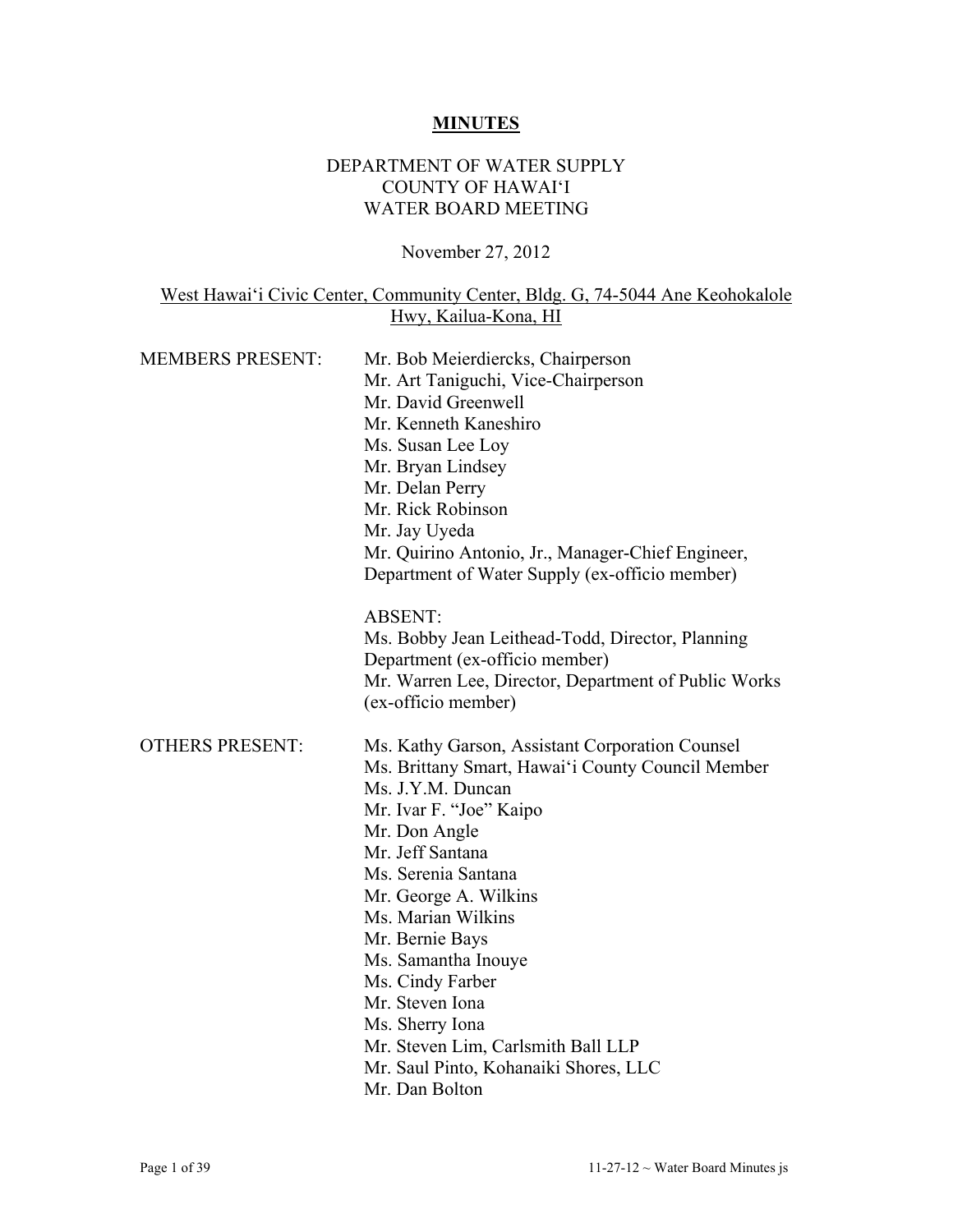## **MINUTES**

#### DEPARTMENT OF WATER SUPPLY COUNTY OF HAWAI'I WATER BOARD MEETING

November 27, 2012

## West Hawai'i Civic Center, Community Center, Bldg. G, 74-5044 Ane Keohokalole Hwy, Kailua-Kona, HI

| <b>MEMBERS PRESENT:</b> | Mr. Bob Meierdiercks, Chairperson<br>Mr. Art Taniguchi, Vice-Chairperson<br>Mr. David Greenwell<br>Mr. Kenneth Kaneshiro<br>Ms. Susan Lee Loy<br>Mr. Bryan Lindsey<br>Mr. Delan Perry<br>Mr. Rick Robinson<br>Mr. Jay Uyeda<br>Mr. Quirino Antonio, Jr., Manager-Chief Engineer,<br>Department of Water Supply (ex-officio member)<br><b>ABSENT:</b><br>Ms. Bobby Jean Leithead-Todd, Director, Planning<br>Department (ex-officio member)<br>Mr. Warren Lee, Director, Department of Public Works<br>(ex-officio member) |
|-------------------------|---------------------------------------------------------------------------------------------------------------------------------------------------------------------------------------------------------------------------------------------------------------------------------------------------------------------------------------------------------------------------------------------------------------------------------------------------------------------------------------------------------------------------|
| <b>OTHERS PRESENT:</b>  | Ms. Kathy Garson, Assistant Corporation Counsel<br>Ms. Brittany Smart, Hawai'i County Council Member<br>Ms. J.Y.M. Duncan<br>Mr. Ivar F. "Joe" Kaipo<br>Mr. Don Angle<br>Mr. Jeff Santana<br>Ms. Serenia Santana<br>Mr. George A. Wilkins<br>Ms. Marian Wilkins<br>Mr. Bernie Bays<br>Ms. Samantha Inouye<br>Ms. Cindy Farber<br>Mr. Steven Iona<br>Ms. Sherry Iona<br>Mr. Steven Lim, Carlsmith Ball LLP<br>Mr. Saul Pinto, Kohanaiki Shores, LLC<br>Mr. Dan Bolton                                                      |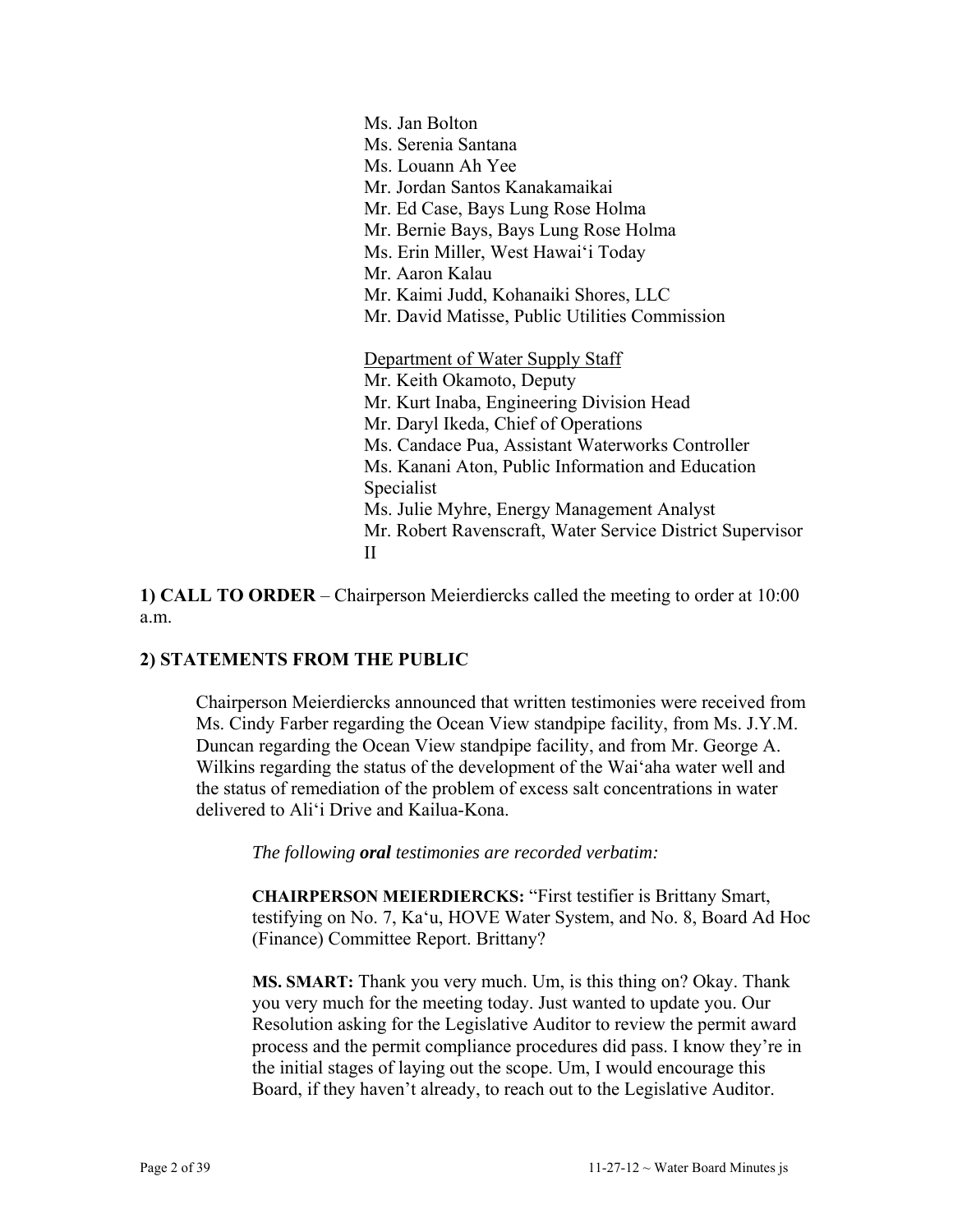Ms. Jan Bolton Ms. Serenia Santana Ms. Louann Ah Yee Mr. Jordan Santos Kanakamaikai Mr. Ed Case, Bays Lung Rose Holma Mr. Bernie Bays, Bays Lung Rose Holma Ms. Erin Miller, West Hawai'i Today Mr. Aaron Kalau Mr. Kaimi Judd, Kohanaiki Shores, LLC Mr. David Matisse, Public Utilities Commission Department of Water Supply Staff Mr. Keith Okamoto, Deputy Mr. Kurt Inaba, Engineering Division Head Mr. Daryl Ikeda, Chief of Operations Ms. Candace Pua, Assistant Waterworks Controller Ms. Kanani Aton, Public Information and Education Specialist Ms. Julie Myhre, Energy Management Analyst Mr. Robert Ravenscraft, Water Service District Supervisor II

**1) CALL TO ORDER** – Chairperson Meierdiercks called the meeting to order at 10:00 a.m.

## **2) STATEMENTS FROM THE PUBLIC**

Chairperson Meierdiercks announced that written testimonies were received from Ms. Cindy Farber regarding the Ocean View standpipe facility, from Ms. J.Y.M. Duncan regarding the Ocean View standpipe facility, and from Mr. George A. Wilkins regarding the status of the development of the Wai'aha water well and the status of remediation of the problem of excess salt concentrations in water delivered to Ali'i Drive and Kailua-Kona.

*The following oral testimonies are recorded verbatim:* 

**CHAIRPERSON MEIERDIERCKS:** "First testifier is Brittany Smart, testifying on No. 7, Ka'u, HOVE Water System, and No. 8, Board Ad Hoc (Finance) Committee Report. Brittany?

**MS. SMART:** Thank you very much. Um, is this thing on? Okay. Thank you very much for the meeting today. Just wanted to update you. Our Resolution asking for the Legislative Auditor to review the permit award process and the permit compliance procedures did pass. I know they're in the initial stages of laying out the scope. Um, I would encourage this Board, if they haven't already, to reach out to the Legislative Auditor.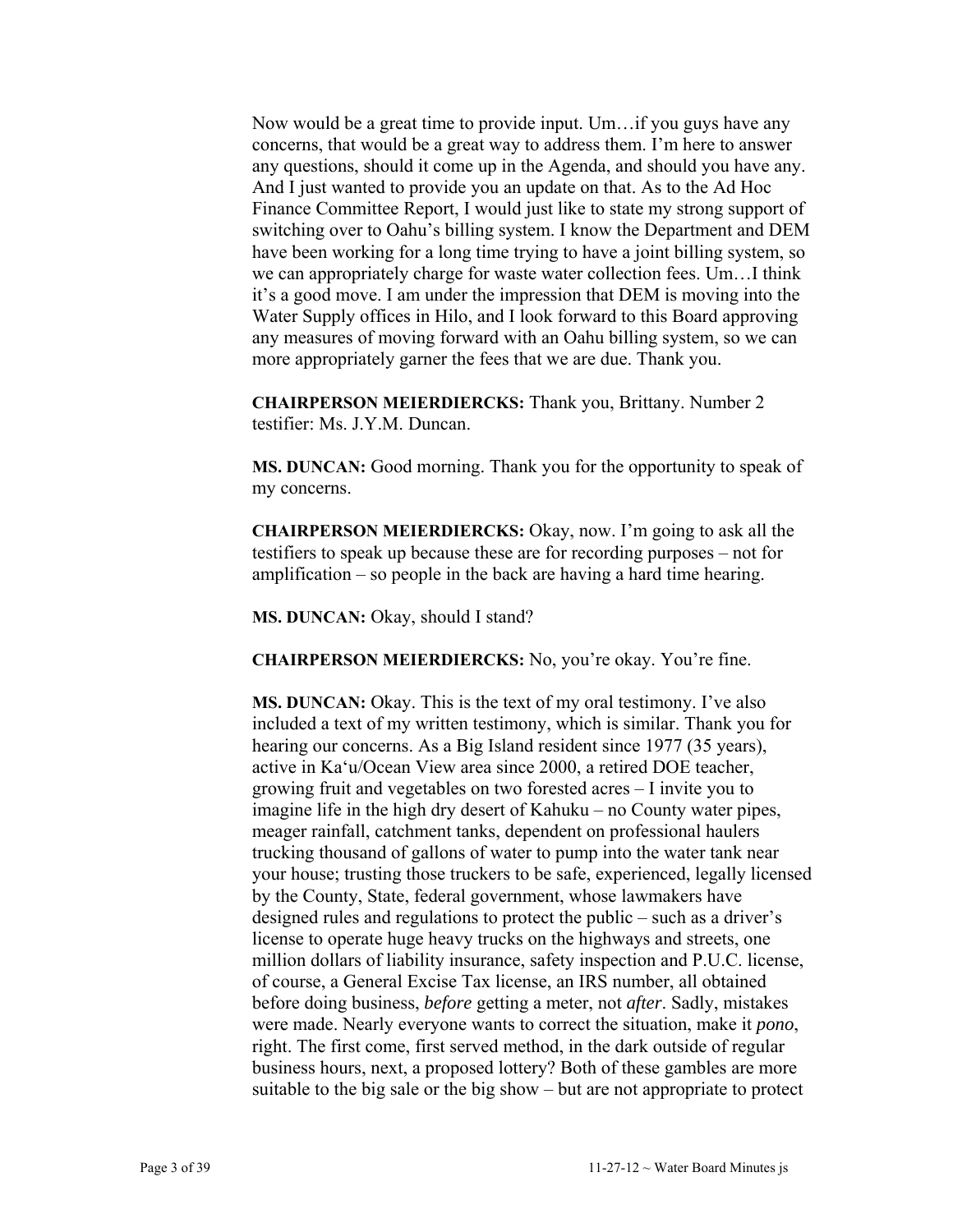Now would be a great time to provide input. Um…if you guys have any concerns, that would be a great way to address them. I'm here to answer any questions, should it come up in the Agenda, and should you have any. And I just wanted to provide you an update on that. As to the Ad Hoc Finance Committee Report, I would just like to state my strong support of switching over to Oahu's billing system. I know the Department and DEM have been working for a long time trying to have a joint billing system, so we can appropriately charge for waste water collection fees. Um…I think it's a good move. I am under the impression that DEM is moving into the Water Supply offices in Hilo, and I look forward to this Board approving any measures of moving forward with an Oahu billing system, so we can more appropriately garner the fees that we are due. Thank you.

**CHAIRPERSON MEIERDIERCKS:** Thank you, Brittany. Number 2 testifier: Ms. J.Y.M. Duncan.

**MS. DUNCAN:** Good morning. Thank you for the opportunity to speak of my concerns.

**CHAIRPERSON MEIERDIERCKS:** Okay, now. I'm going to ask all the testifiers to speak up because these are for recording purposes – not for amplification – so people in the back are having a hard time hearing.

**MS. DUNCAN:** Okay, should I stand?

**CHAIRPERSON MEIERDIERCKS:** No, you're okay. You're fine.

**MS. DUNCAN:** Okay. This is the text of my oral testimony. I've also included a text of my written testimony, which is similar. Thank you for hearing our concerns. As a Big Island resident since 1977 (35 years), active in Ka'u/Ocean View area since 2000, a retired DOE teacher, growing fruit and vegetables on two forested acres – I invite you to imagine life in the high dry desert of Kahuku – no County water pipes, meager rainfall, catchment tanks, dependent on professional haulers trucking thousand of gallons of water to pump into the water tank near your house; trusting those truckers to be safe, experienced, legally licensed by the County, State, federal government, whose lawmakers have designed rules and regulations to protect the public – such as a driver's license to operate huge heavy trucks on the highways and streets, one million dollars of liability insurance, safety inspection and P.U.C. license, of course, a General Excise Tax license, an IRS number, all obtained before doing business, *before* getting a meter, not *after*. Sadly, mistakes were made. Nearly everyone wants to correct the situation, make it *pono*, right. The first come, first served method, in the dark outside of regular business hours, next, a proposed lottery? Both of these gambles are more suitable to the big sale or the big show – but are not appropriate to protect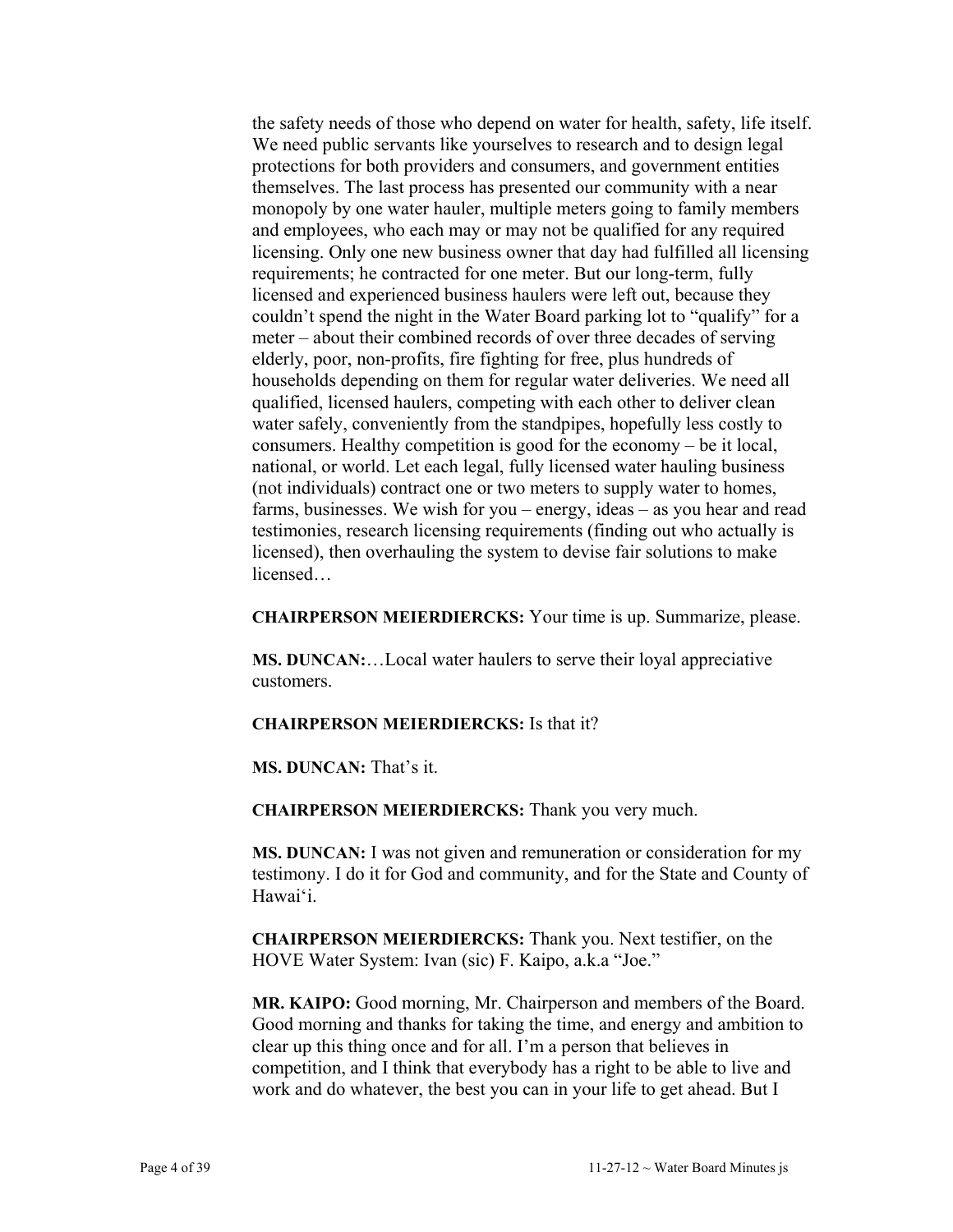the safety needs of those who depend on water for health, safety, life itself. We need public servants like yourselves to research and to design legal protections for both providers and consumers, and government entities themselves. The last process has presented our community with a near monopoly by one water hauler, multiple meters going to family members and employees, who each may or may not be qualified for any required licensing. Only one new business owner that day had fulfilled all licensing requirements; he contracted for one meter. But our long-term, fully licensed and experienced business haulers were left out, because they couldn't spend the night in the Water Board parking lot to "qualify" for a meter – about their combined records of over three decades of serving elderly, poor, non-profits, fire fighting for free, plus hundreds of households depending on them for regular water deliveries. We need all qualified, licensed haulers, competing with each other to deliver clean water safely, conveniently from the standpipes, hopefully less costly to consumers. Healthy competition is good for the economy – be it local, national, or world. Let each legal, fully licensed water hauling business (not individuals) contract one or two meters to supply water to homes, farms, businesses. We wish for you – energy, ideas – as you hear and read testimonies, research licensing requirements (finding out who actually is licensed), then overhauling the system to devise fair solutions to make licensed…

**CHAIRPERSON MEIERDIERCKS:** Your time is up. Summarize, please.

**MS. DUNCAN:**…Local water haulers to serve their loyal appreciative customers.

#### **CHAIRPERSON MEIERDIERCKS:** Is that it?

**MS. DUNCAN:** That's it.

**CHAIRPERSON MEIERDIERCKS:** Thank you very much.

**MS. DUNCAN:** I was not given and remuneration or consideration for my testimony. I do it for God and community, and for the State and County of Hawai'i.

**CHAIRPERSON MEIERDIERCKS:** Thank you. Next testifier, on the HOVE Water System: Ivan (sic) F. Kaipo, a.k.a "Joe."

**MR. KAIPO:** Good morning, Mr. Chairperson and members of the Board. Good morning and thanks for taking the time, and energy and ambition to clear up this thing once and for all. I'm a person that believes in competition, and I think that everybody has a right to be able to live and work and do whatever, the best you can in your life to get ahead. But I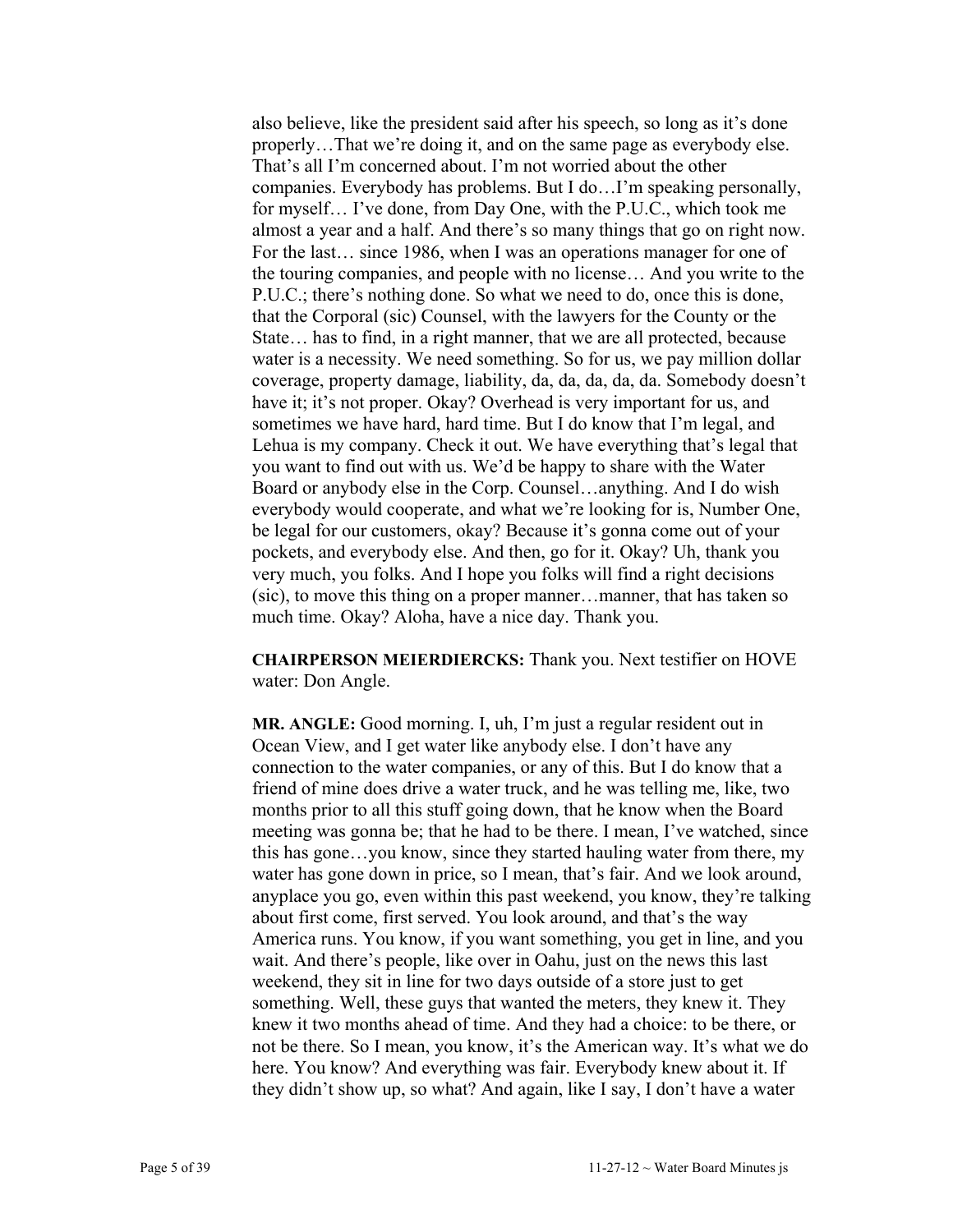also believe, like the president said after his speech, so long as it's done properly…That we're doing it, and on the same page as everybody else. That's all I'm concerned about. I'm not worried about the other companies. Everybody has problems. But I do…I'm speaking personally, for myself… I've done, from Day One, with the P.U.C., which took me almost a year and a half. And there's so many things that go on right now. For the last… since 1986, when I was an operations manager for one of the touring companies, and people with no license… And you write to the P.U.C.; there's nothing done. So what we need to do, once this is done, that the Corporal (sic) Counsel, with the lawyers for the County or the State… has to find, in a right manner, that we are all protected, because water is a necessity. We need something. So for us, we pay million dollar coverage, property damage, liability, da, da, da, da, da. Somebody doesn't have it; it's not proper. Okay? Overhead is very important for us, and sometimes we have hard, hard time. But I do know that I'm legal, and Lehua is my company. Check it out. We have everything that's legal that you want to find out with us. We'd be happy to share with the Water Board or anybody else in the Corp. Counsel…anything. And I do wish everybody would cooperate, and what we're looking for is, Number One, be legal for our customers, okay? Because it's gonna come out of your pockets, and everybody else. And then, go for it. Okay? Uh, thank you very much, you folks. And I hope you folks will find a right decisions (sic), to move this thing on a proper manner…manner, that has taken so much time. Okay? Aloha, have a nice day. Thank you.

**CHAIRPERSON MEIERDIERCKS:** Thank you. Next testifier on HOVE water: Don Angle.

**MR. ANGLE:** Good morning. I, uh, I'm just a regular resident out in Ocean View, and I get water like anybody else. I don't have any connection to the water companies, or any of this. But I do know that a friend of mine does drive a water truck, and he was telling me, like, two months prior to all this stuff going down, that he know when the Board meeting was gonna be; that he had to be there. I mean, I've watched, since this has gone…you know, since they started hauling water from there, my water has gone down in price, so I mean, that's fair. And we look around, anyplace you go, even within this past weekend, you know, they're talking about first come, first served. You look around, and that's the way America runs. You know, if you want something, you get in line, and you wait. And there's people, like over in Oahu, just on the news this last weekend, they sit in line for two days outside of a store just to get something. Well, these guys that wanted the meters, they knew it. They knew it two months ahead of time. And they had a choice: to be there, or not be there. So I mean, you know, it's the American way. It's what we do here. You know? And everything was fair. Everybody knew about it. If they didn't show up, so what? And again, like I say, I don't have a water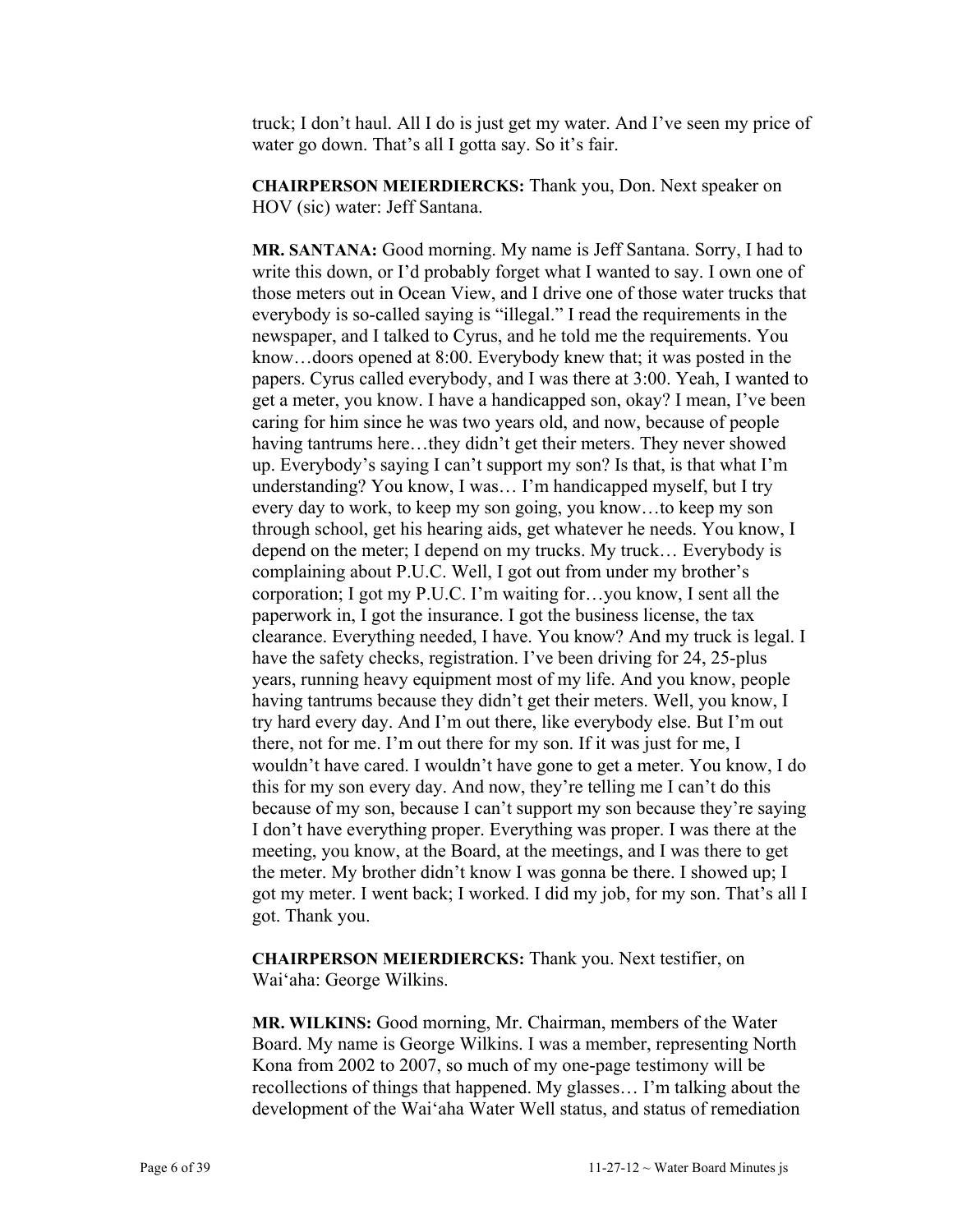truck; I don't haul. All I do is just get my water. And I've seen my price of water go down. That's all I gotta say. So it's fair.

**CHAIRPERSON MEIERDIERCKS:** Thank you, Don. Next speaker on HOV (sic) water: Jeff Santana.

**MR. SANTANA:** Good morning. My name is Jeff Santana. Sorry, I had to write this down, or I'd probably forget what I wanted to say. I own one of those meters out in Ocean View, and I drive one of those water trucks that everybody is so-called saying is "illegal." I read the requirements in the newspaper, and I talked to Cyrus, and he told me the requirements. You know…doors opened at 8:00. Everybody knew that; it was posted in the papers. Cyrus called everybody, and I was there at 3:00. Yeah, I wanted to get a meter, you know. I have a handicapped son, okay? I mean, I've been caring for him since he was two years old, and now, because of people having tantrums here…they didn't get their meters. They never showed up. Everybody's saying I can't support my son? Is that, is that what I'm understanding? You know, I was… I'm handicapped myself, but I try every day to work, to keep my son going, you know…to keep my son through school, get his hearing aids, get whatever he needs. You know, I depend on the meter; I depend on my trucks. My truck… Everybody is complaining about P.U.C. Well, I got out from under my brother's corporation; I got my P.U.C. I'm waiting for…you know, I sent all the paperwork in, I got the insurance. I got the business license, the tax clearance. Everything needed, I have. You know? And my truck is legal. I have the safety checks, registration. I've been driving for 24, 25-plus years, running heavy equipment most of my life. And you know, people having tantrums because they didn't get their meters. Well, you know, I try hard every day. And I'm out there, like everybody else. But I'm out there, not for me. I'm out there for my son. If it was just for me, I wouldn't have cared. I wouldn't have gone to get a meter. You know, I do this for my son every day. And now, they're telling me I can't do this because of my son, because I can't support my son because they're saying I don't have everything proper. Everything was proper. I was there at the meeting, you know, at the Board, at the meetings, and I was there to get the meter. My brother didn't know I was gonna be there. I showed up; I got my meter. I went back; I worked. I did my job, for my son. That's all I got. Thank you.

**CHAIRPERSON MEIERDIERCKS:** Thank you. Next testifier, on Wai'aha: George Wilkins.

**MR. WILKINS:** Good morning, Mr. Chairman, members of the Water Board. My name is George Wilkins. I was a member, representing North Kona from 2002 to 2007, so much of my one-page testimony will be recollections of things that happened. My glasses… I'm talking about the development of the Wai'aha Water Well status, and status of remediation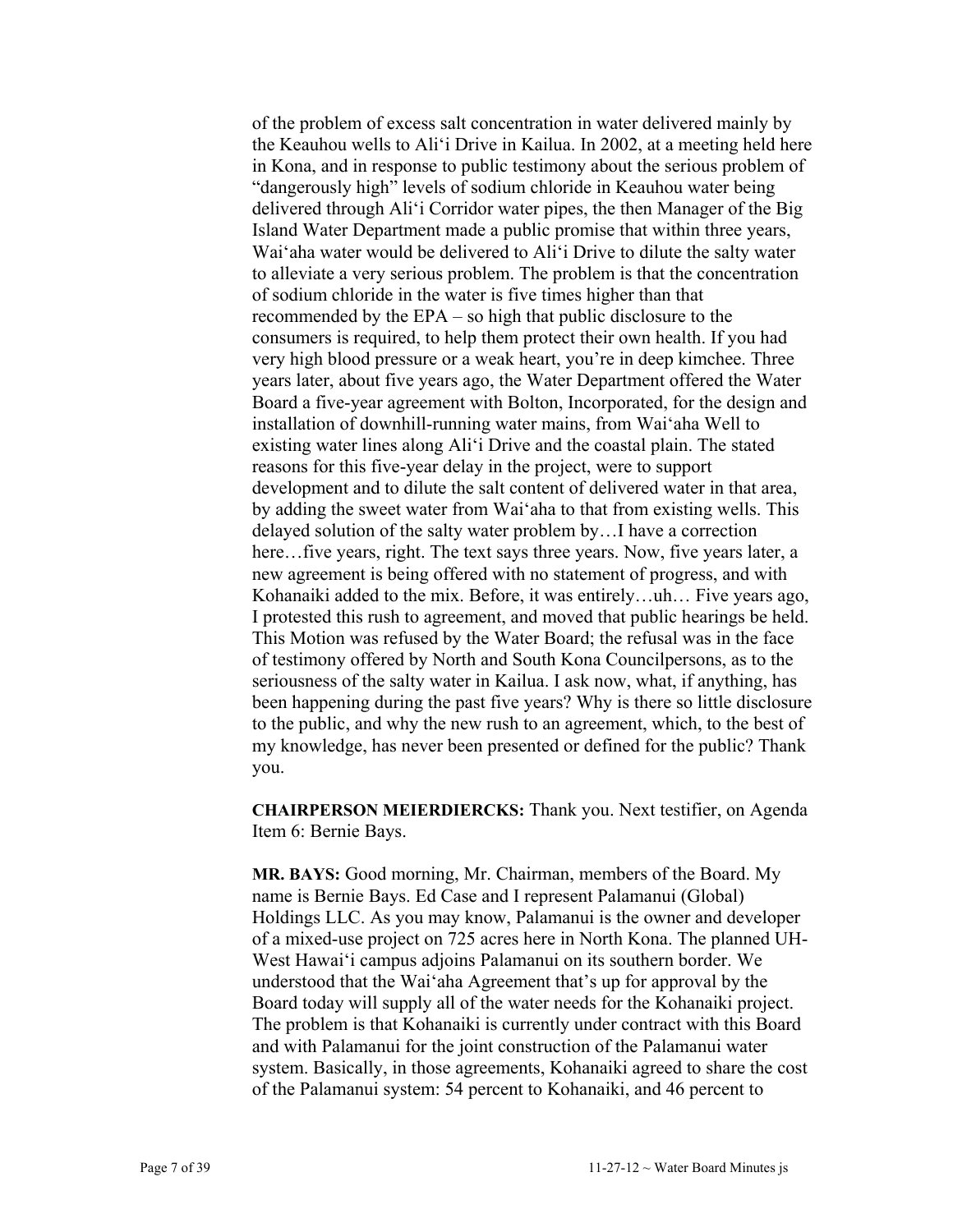of the problem of excess salt concentration in water delivered mainly by the Keauhou wells to Ali'i Drive in Kailua. In 2002, at a meeting held here in Kona, and in response to public testimony about the serious problem of "dangerously high" levels of sodium chloride in Keauhou water being delivered through Ali'i Corridor water pipes, the then Manager of the Big Island Water Department made a public promise that within three years, Wai'aha water would be delivered to Ali'i Drive to dilute the salty water to alleviate a very serious problem. The problem is that the concentration of sodium chloride in the water is five times higher than that recommended by the EPA – so high that public disclosure to the consumers is required, to help them protect their own health. If you had very high blood pressure or a weak heart, you're in deep kimchee. Three years later, about five years ago, the Water Department offered the Water Board a five-year agreement with Bolton, Incorporated, for the design and installation of downhill-running water mains, from Wai'aha Well to existing water lines along Ali'i Drive and the coastal plain. The stated reasons for this five-year delay in the project, were to support development and to dilute the salt content of delivered water in that area, by adding the sweet water from Wai'aha to that from existing wells. This delayed solution of the salty water problem by…I have a correction here...five years, right. The text says three years. Now, five years later, a new agreement is being offered with no statement of progress, and with Kohanaiki added to the mix. Before, it was entirely…uh… Five years ago, I protested this rush to agreement, and moved that public hearings be held. This Motion was refused by the Water Board; the refusal was in the face of testimony offered by North and South Kona Councilpersons, as to the seriousness of the salty water in Kailua. I ask now, what, if anything, has been happening during the past five years? Why is there so little disclosure to the public, and why the new rush to an agreement, which, to the best of my knowledge, has never been presented or defined for the public? Thank you.

**CHAIRPERSON MEIERDIERCKS:** Thank you. Next testifier, on Agenda Item 6: Bernie Bays.

**MR. BAYS:** Good morning, Mr. Chairman, members of the Board. My name is Bernie Bays. Ed Case and I represent Palamanui (Global) Holdings LLC. As you may know, Palamanui is the owner and developer of a mixed-use project on 725 acres here in North Kona. The planned UH-West Hawai'i campus adjoins Palamanui on its southern border. We understood that the Wai'aha Agreement that's up for approval by the Board today will supply all of the water needs for the Kohanaiki project. The problem is that Kohanaiki is currently under contract with this Board and with Palamanui for the joint construction of the Palamanui water system. Basically, in those agreements, Kohanaiki agreed to share the cost of the Palamanui system: 54 percent to Kohanaiki, and 46 percent to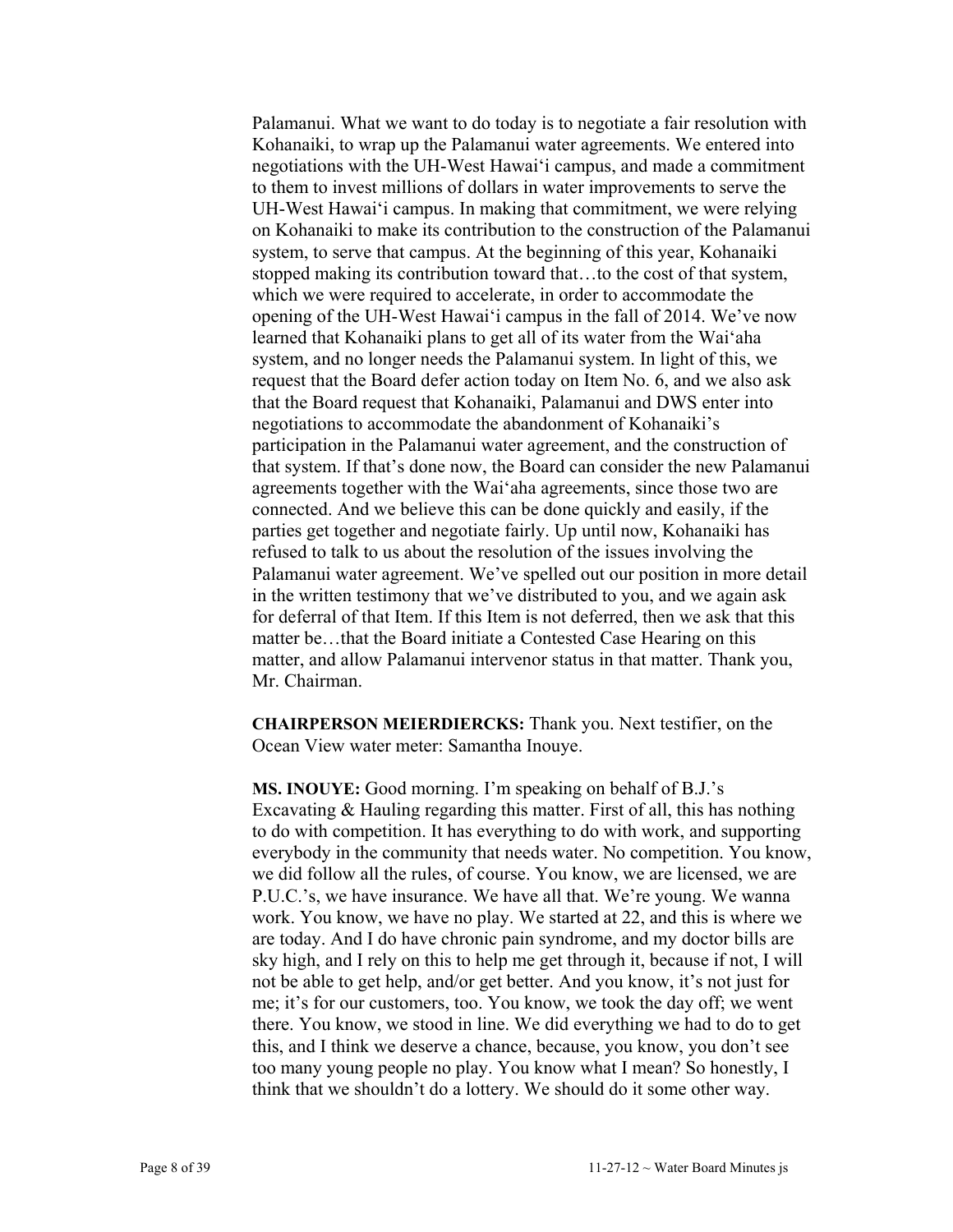Palamanui. What we want to do today is to negotiate a fair resolution with Kohanaiki, to wrap up the Palamanui water agreements. We entered into negotiations with the UH-West Hawai'i campus, and made a commitment to them to invest millions of dollars in water improvements to serve the UH-West Hawai'i campus. In making that commitment, we were relying on Kohanaiki to make its contribution to the construction of the Palamanui system, to serve that campus. At the beginning of this year, Kohanaiki stopped making its contribution toward that…to the cost of that system, which we were required to accelerate, in order to accommodate the opening of the UH-West Hawai'i campus in the fall of 2014. We've now learned that Kohanaiki plans to get all of its water from the Wai'aha system, and no longer needs the Palamanui system. In light of this, we request that the Board defer action today on Item No. 6, and we also ask that the Board request that Kohanaiki, Palamanui and DWS enter into negotiations to accommodate the abandonment of Kohanaiki's participation in the Palamanui water agreement, and the construction of that system. If that's done now, the Board can consider the new Palamanui agreements together with the Wai'aha agreements, since those two are connected. And we believe this can be done quickly and easily, if the parties get together and negotiate fairly. Up until now, Kohanaiki has refused to talk to us about the resolution of the issues involving the Palamanui water agreement. We've spelled out our position in more detail in the written testimony that we've distributed to you, and we again ask for deferral of that Item. If this Item is not deferred, then we ask that this matter be…that the Board initiate a Contested Case Hearing on this matter, and allow Palamanui intervenor status in that matter. Thank you, Mr. Chairman.

**CHAIRPERSON MEIERDIERCKS:** Thank you. Next testifier, on the Ocean View water meter: Samantha Inouye.

**MS. INOUYE:** Good morning. I'm speaking on behalf of B.J.'s Excavating & Hauling regarding this matter. First of all, this has nothing to do with competition. It has everything to do with work, and supporting everybody in the community that needs water. No competition. You know, we did follow all the rules, of course. You know, we are licensed, we are P.U.C.'s, we have insurance. We have all that. We're young. We wanna work. You know, we have no play. We started at 22, and this is where we are today. And I do have chronic pain syndrome, and my doctor bills are sky high, and I rely on this to help me get through it, because if not, I will not be able to get help, and/or get better. And you know, it's not just for me; it's for our customers, too. You know, we took the day off; we went there. You know, we stood in line. We did everything we had to do to get this, and I think we deserve a chance, because, you know, you don't see too many young people no play. You know what I mean? So honestly, I think that we shouldn't do a lottery. We should do it some other way.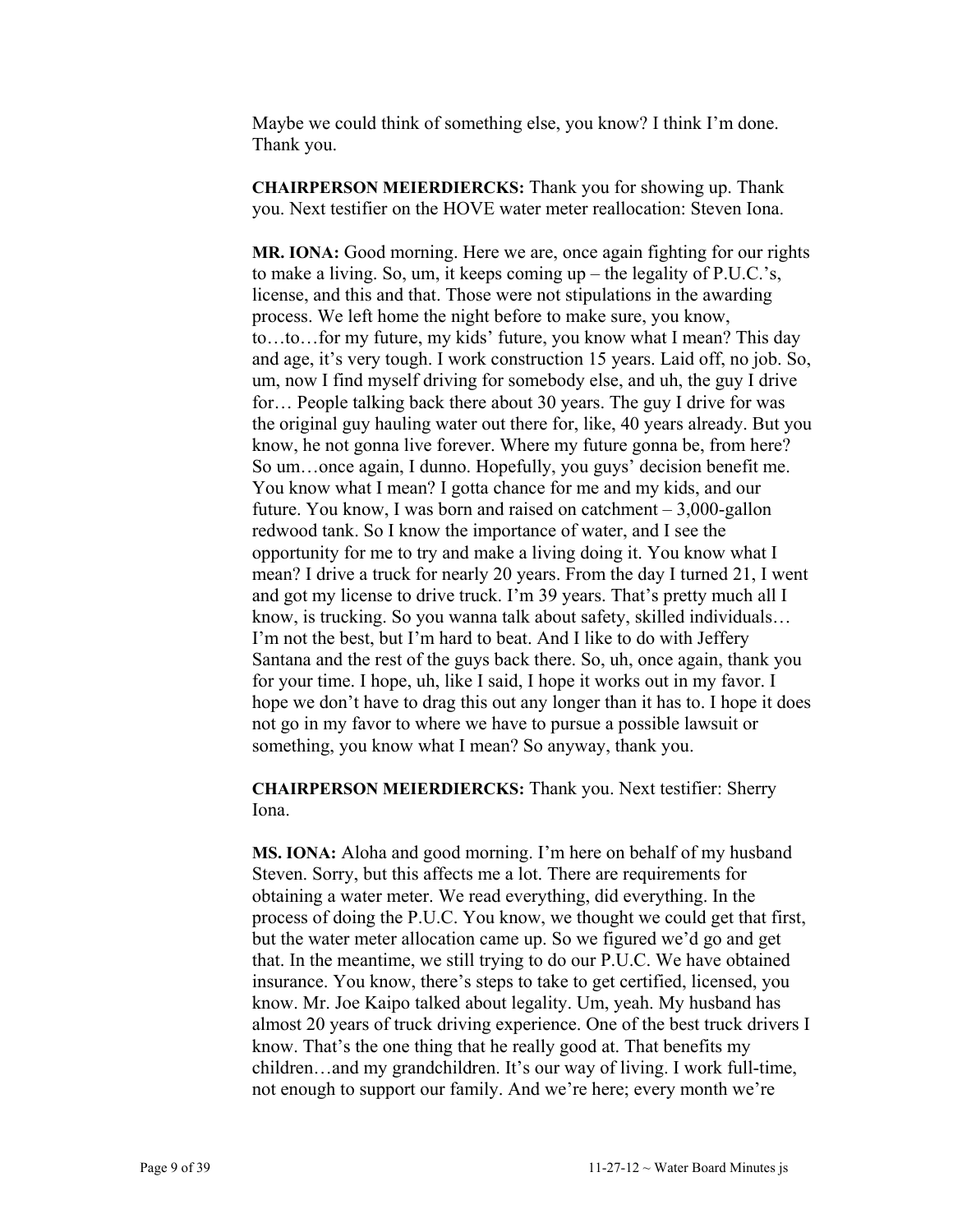Maybe we could think of something else, you know? I think I'm done. Thank you.

**CHAIRPERSON MEIERDIERCKS:** Thank you for showing up. Thank you. Next testifier on the HOVE water meter reallocation: Steven Iona.

**MR. IONA:** Good morning. Here we are, once again fighting for our rights to make a living. So, um, it keeps coming up – the legality of P.U.C.'s, license, and this and that. Those were not stipulations in the awarding process. We left home the night before to make sure, you know, to…to…for my future, my kids' future, you know what I mean? This day and age, it's very tough. I work construction 15 years. Laid off, no job. So, um, now I find myself driving for somebody else, and uh, the guy I drive for… People talking back there about 30 years. The guy I drive for was the original guy hauling water out there for, like, 40 years already. But you know, he not gonna live forever. Where my future gonna be, from here? So um…once again, I dunno. Hopefully, you guys' decision benefit me. You know what I mean? I gotta chance for me and my kids, and our future. You know, I was born and raised on catchment – 3,000-gallon redwood tank. So I know the importance of water, and I see the opportunity for me to try and make a living doing it. You know what I mean? I drive a truck for nearly 20 years. From the day I turned 21, I went and got my license to drive truck. I'm 39 years. That's pretty much all I know, is trucking. So you wanna talk about safety, skilled individuals… I'm not the best, but I'm hard to beat. And I like to do with Jeffery Santana and the rest of the guys back there. So, uh, once again, thank you for your time. I hope, uh, like I said, I hope it works out in my favor. I hope we don't have to drag this out any longer than it has to. I hope it does not go in my favor to where we have to pursue a possible lawsuit or something, you know what I mean? So anyway, thank you.

**CHAIRPERSON MEIERDIERCKS:** Thank you. Next testifier: Sherry Iona.

**MS. IONA:** Aloha and good morning. I'm here on behalf of my husband Steven. Sorry, but this affects me a lot. There are requirements for obtaining a water meter. We read everything, did everything. In the process of doing the P.U.C. You know, we thought we could get that first, but the water meter allocation came up. So we figured we'd go and get that. In the meantime, we still trying to do our P.U.C. We have obtained insurance. You know, there's steps to take to get certified, licensed, you know. Mr. Joe Kaipo talked about legality. Um, yeah. My husband has almost 20 years of truck driving experience. One of the best truck drivers I know. That's the one thing that he really good at. That benefits my children…and my grandchildren. It's our way of living. I work full-time, not enough to support our family. And we're here; every month we're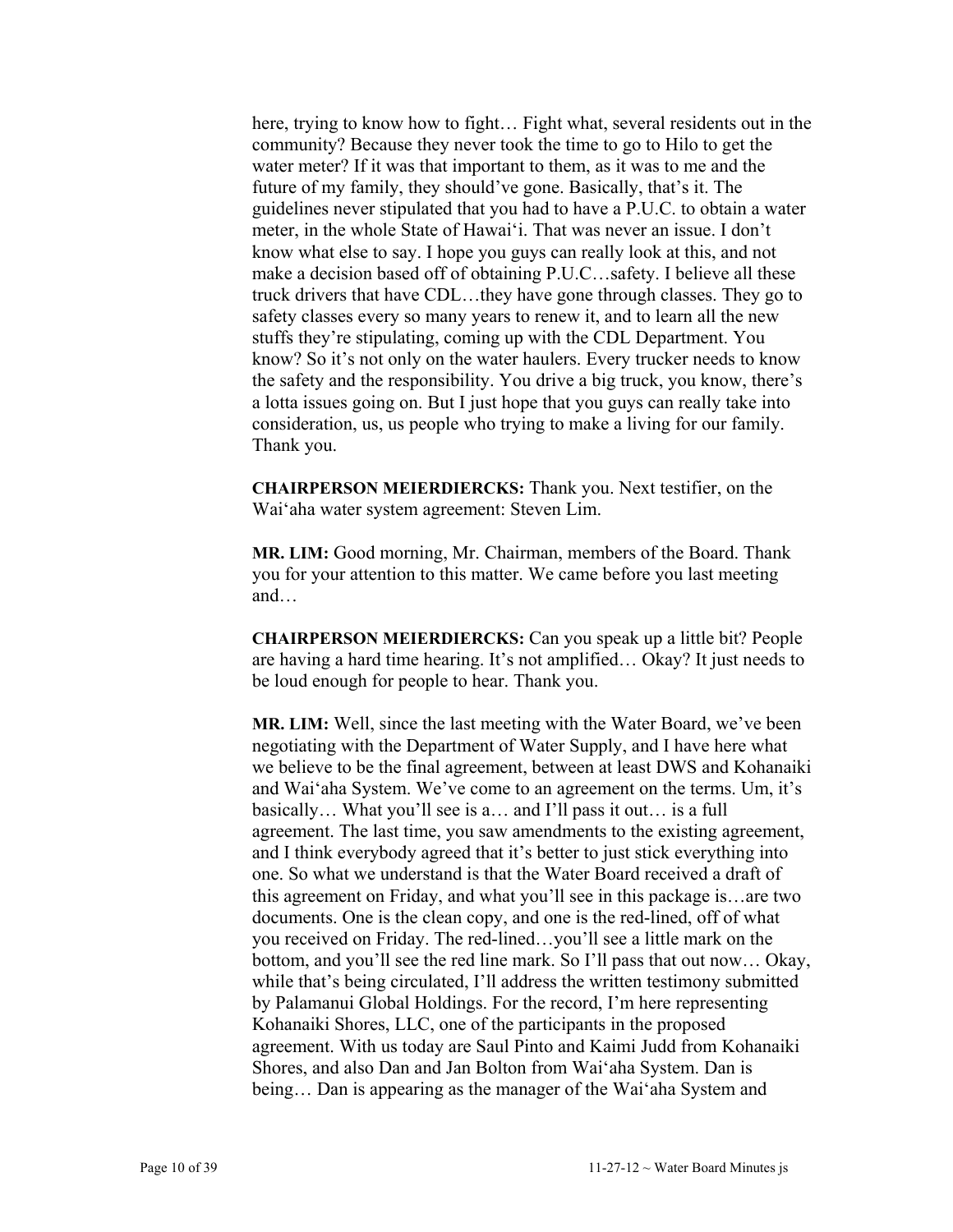here, trying to know how to fight… Fight what, several residents out in the community? Because they never took the time to go to Hilo to get the water meter? If it was that important to them, as it was to me and the future of my family, they should've gone. Basically, that's it. The guidelines never stipulated that you had to have a P.U.C. to obtain a water meter, in the whole State of Hawai'i. That was never an issue. I don't know what else to say. I hope you guys can really look at this, and not make a decision based off of obtaining P.U.C…safety. I believe all these truck drivers that have CDL…they have gone through classes. They go to safety classes every so many years to renew it, and to learn all the new stuffs they're stipulating, coming up with the CDL Department. You know? So it's not only on the water haulers. Every trucker needs to know the safety and the responsibility. You drive a big truck, you know, there's a lotta issues going on. But I just hope that you guys can really take into consideration, us, us people who trying to make a living for our family. Thank you.

**CHAIRPERSON MEIERDIERCKS:** Thank you. Next testifier, on the Wai'aha water system agreement: Steven Lim.

**MR. LIM:** Good morning, Mr. Chairman, members of the Board. Thank you for your attention to this matter. We came before you last meeting and…

**CHAIRPERSON MEIERDIERCKS:** Can you speak up a little bit? People are having a hard time hearing. It's not amplified… Okay? It just needs to be loud enough for people to hear. Thank you.

**MR. LIM:** Well, since the last meeting with the Water Board, we've been negotiating with the Department of Water Supply, and I have here what we believe to be the final agreement, between at least DWS and Kohanaiki and Wai'aha System. We've come to an agreement on the terms. Um, it's basically… What you'll see is a… and I'll pass it out… is a full agreement. The last time, you saw amendments to the existing agreement, and I think everybody agreed that it's better to just stick everything into one. So what we understand is that the Water Board received a draft of this agreement on Friday, and what you'll see in this package is…are two documents. One is the clean copy, and one is the red-lined, off of what you received on Friday. The red-lined…you'll see a little mark on the bottom, and you'll see the red line mark. So I'll pass that out now… Okay, while that's being circulated, I'll address the written testimony submitted by Palamanui Global Holdings. For the record, I'm here representing Kohanaiki Shores, LLC, one of the participants in the proposed agreement. With us today are Saul Pinto and Kaimi Judd from Kohanaiki Shores, and also Dan and Jan Bolton from Wai'aha System. Dan is being… Dan is appearing as the manager of the Wai'aha System and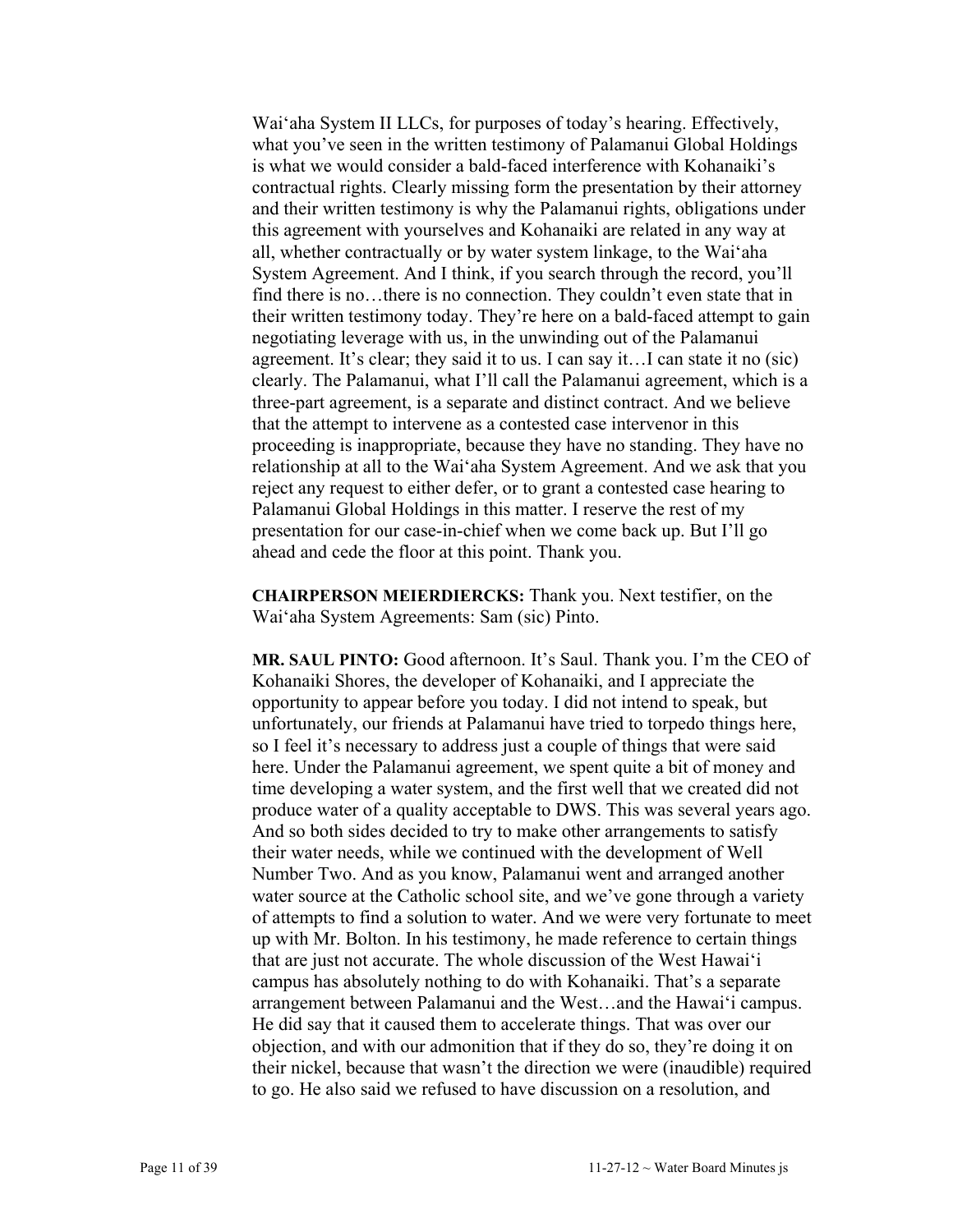Wai'aha System II LLCs, for purposes of today's hearing. Effectively, what you've seen in the written testimony of Palamanui Global Holdings is what we would consider a bald-faced interference with Kohanaiki's contractual rights. Clearly missing form the presentation by their attorney and their written testimony is why the Palamanui rights, obligations under this agreement with yourselves and Kohanaiki are related in any way at all, whether contractually or by water system linkage, to the Wai'aha System Agreement. And I think, if you search through the record, you'll find there is no…there is no connection. They couldn't even state that in their written testimony today. They're here on a bald-faced attempt to gain negotiating leverage with us, in the unwinding out of the Palamanui agreement. It's clear; they said it to us. I can say it…I can state it no (sic) clearly. The Palamanui, what I'll call the Palamanui agreement, which is a three-part agreement, is a separate and distinct contract. And we believe that the attempt to intervene as a contested case intervenor in this proceeding is inappropriate, because they have no standing. They have no relationship at all to the Wai'aha System Agreement. And we ask that you reject any request to either defer, or to grant a contested case hearing to Palamanui Global Holdings in this matter. I reserve the rest of my presentation for our case-in-chief when we come back up. But I'll go ahead and cede the floor at this point. Thank you.

**CHAIRPERSON MEIERDIERCKS:** Thank you. Next testifier, on the Wai'aha System Agreements: Sam (sic) Pinto.

**MR. SAUL PINTO:** Good afternoon. It's Saul. Thank you. I'm the CEO of Kohanaiki Shores, the developer of Kohanaiki, and I appreciate the opportunity to appear before you today. I did not intend to speak, but unfortunately, our friends at Palamanui have tried to torpedo things here, so I feel it's necessary to address just a couple of things that were said here. Under the Palamanui agreement, we spent quite a bit of money and time developing a water system, and the first well that we created did not produce water of a quality acceptable to DWS. This was several years ago. And so both sides decided to try to make other arrangements to satisfy their water needs, while we continued with the development of Well Number Two. And as you know, Palamanui went and arranged another water source at the Catholic school site, and we've gone through a variety of attempts to find a solution to water. And we were very fortunate to meet up with Mr. Bolton. In his testimony, he made reference to certain things that are just not accurate. The whole discussion of the West Hawai'i campus has absolutely nothing to do with Kohanaiki. That's a separate arrangement between Palamanui and the West…and the Hawai'i campus. He did say that it caused them to accelerate things. That was over our objection, and with our admonition that if they do so, they're doing it on their nickel, because that wasn't the direction we were (inaudible) required to go. He also said we refused to have discussion on a resolution, and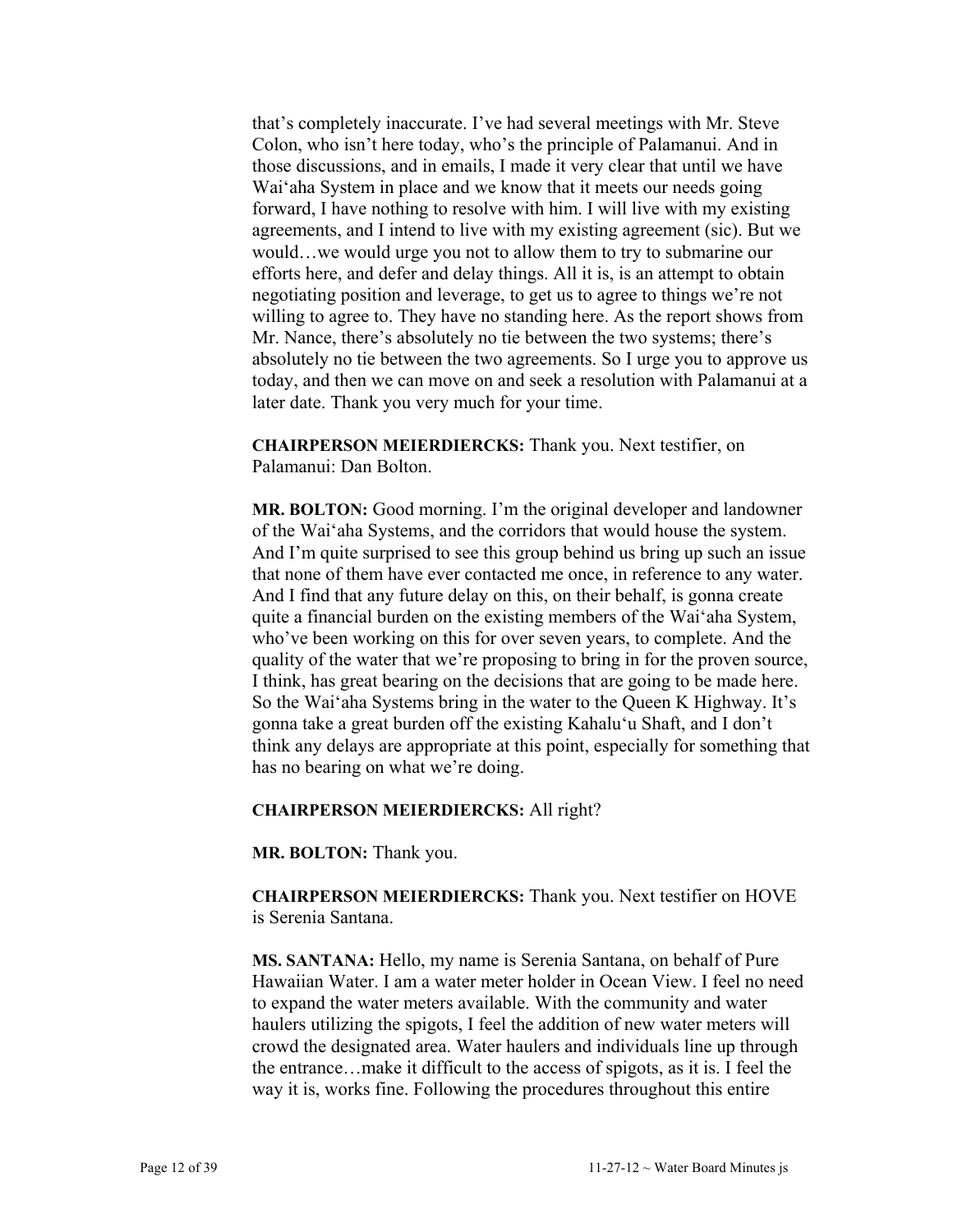that's completely inaccurate. I've had several meetings with Mr. Steve Colon, who isn't here today, who's the principle of Palamanui. And in those discussions, and in emails, I made it very clear that until we have Wai'aha System in place and we know that it meets our needs going forward, I have nothing to resolve with him. I will live with my existing agreements, and I intend to live with my existing agreement (sic). But we would…we would urge you not to allow them to try to submarine our efforts here, and defer and delay things. All it is, is an attempt to obtain negotiating position and leverage, to get us to agree to things we're not willing to agree to. They have no standing here. As the report shows from Mr. Nance, there's absolutely no tie between the two systems; there's absolutely no tie between the two agreements. So I urge you to approve us today, and then we can move on and seek a resolution with Palamanui at a later date. Thank you very much for your time.

**CHAIRPERSON MEIERDIERCKS:** Thank you. Next testifier, on Palamanui: Dan Bolton.

**MR. BOLTON:** Good morning. I'm the original developer and landowner of the Wai'aha Systems, and the corridors that would house the system. And I'm quite surprised to see this group behind us bring up such an issue that none of them have ever contacted me once, in reference to any water. And I find that any future delay on this, on their behalf, is gonna create quite a financial burden on the existing members of the Wai'aha System, who've been working on this for over seven years, to complete. And the quality of the water that we're proposing to bring in for the proven source, I think, has great bearing on the decisions that are going to be made here. So the Wai'aha Systems bring in the water to the Queen K Highway. It's gonna take a great burden off the existing Kahalu'u Shaft, and I don't think any delays are appropriate at this point, especially for something that has no bearing on what we're doing.

#### **CHAIRPERSON MEIERDIERCKS:** All right?

**MR. BOLTON:** Thank you.

**CHAIRPERSON MEIERDIERCKS:** Thank you. Next testifier on HOVE is Serenia Santana.

**MS. SANTANA:** Hello, my name is Serenia Santana, on behalf of Pure Hawaiian Water. I am a water meter holder in Ocean View. I feel no need to expand the water meters available. With the community and water haulers utilizing the spigots, I feel the addition of new water meters will crowd the designated area. Water haulers and individuals line up through the entrance…make it difficult to the access of spigots, as it is. I feel the way it is, works fine. Following the procedures throughout this entire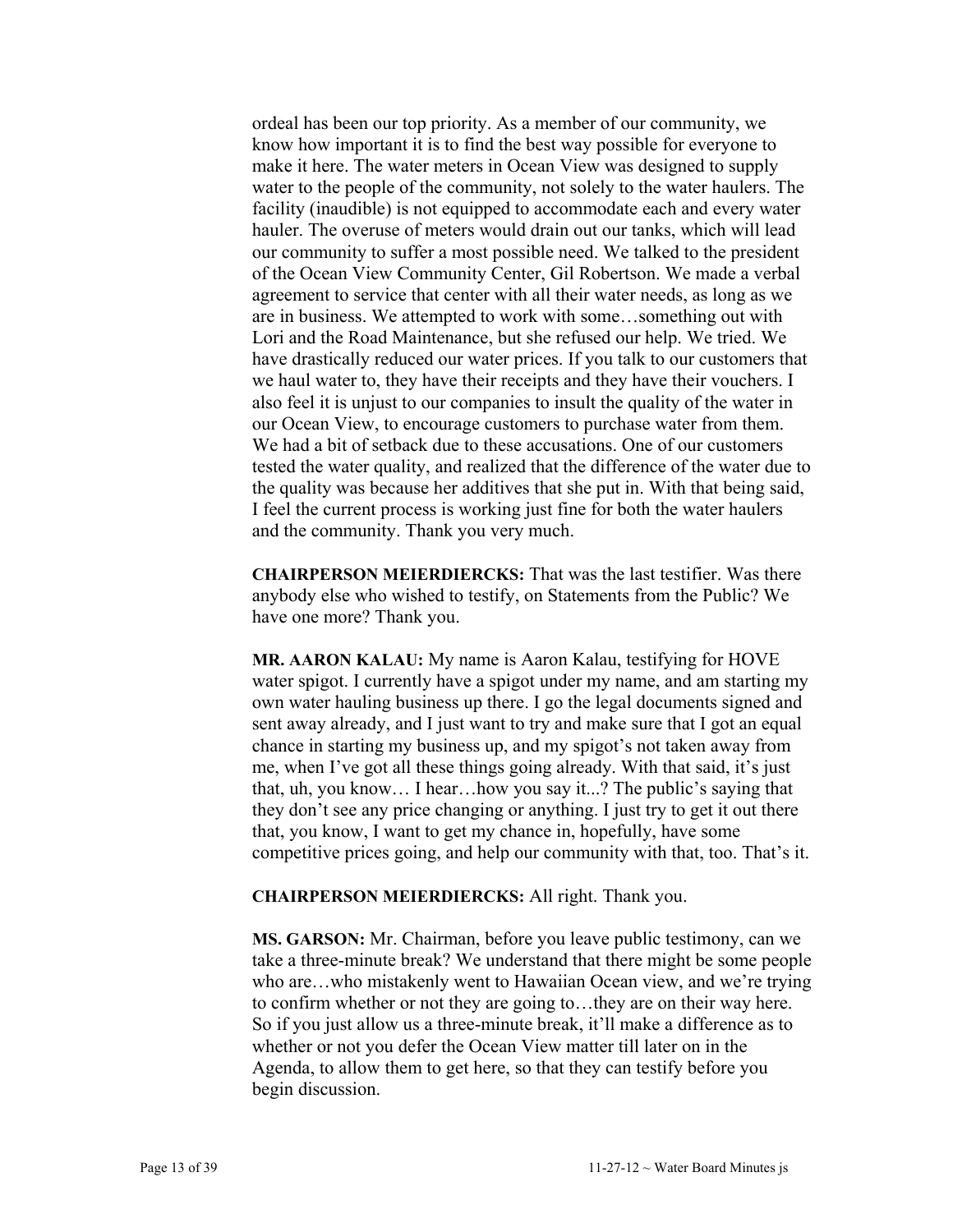ordeal has been our top priority. As a member of our community, we know how important it is to find the best way possible for everyone to make it here. The water meters in Ocean View was designed to supply water to the people of the community, not solely to the water haulers. The facility (inaudible) is not equipped to accommodate each and every water hauler. The overuse of meters would drain out our tanks, which will lead our community to suffer a most possible need. We talked to the president of the Ocean View Community Center, Gil Robertson. We made a verbal agreement to service that center with all their water needs, as long as we are in business. We attempted to work with some…something out with Lori and the Road Maintenance, but she refused our help. We tried. We have drastically reduced our water prices. If you talk to our customers that we haul water to, they have their receipts and they have their vouchers. I also feel it is unjust to our companies to insult the quality of the water in our Ocean View, to encourage customers to purchase water from them. We had a bit of setback due to these accusations. One of our customers tested the water quality, and realized that the difference of the water due to the quality was because her additives that she put in. With that being said, I feel the current process is working just fine for both the water haulers and the community. Thank you very much.

**CHAIRPERSON MEIERDIERCKS:** That was the last testifier. Was there anybody else who wished to testify, on Statements from the Public? We have one more? Thank you.

**MR. AARON KALAU:** My name is Aaron Kalau, testifying for HOVE water spigot. I currently have a spigot under my name, and am starting my own water hauling business up there. I go the legal documents signed and sent away already, and I just want to try and make sure that I got an equal chance in starting my business up, and my spigot's not taken away from me, when I've got all these things going already. With that said, it's just that, uh, you know… I hear…how you say it...? The public's saying that they don't see any price changing or anything. I just try to get it out there that, you know, I want to get my chance in, hopefully, have some competitive prices going, and help our community with that, too. That's it.

#### **CHAIRPERSON MEIERDIERCKS:** All right. Thank you.

**MS. GARSON:** Mr. Chairman, before you leave public testimony, can we take a three-minute break? We understand that there might be some people who are…who mistakenly went to Hawaiian Ocean view, and we're trying to confirm whether or not they are going to…they are on their way here. So if you just allow us a three-minute break, it'll make a difference as to whether or not you defer the Ocean View matter till later on in the Agenda, to allow them to get here, so that they can testify before you begin discussion.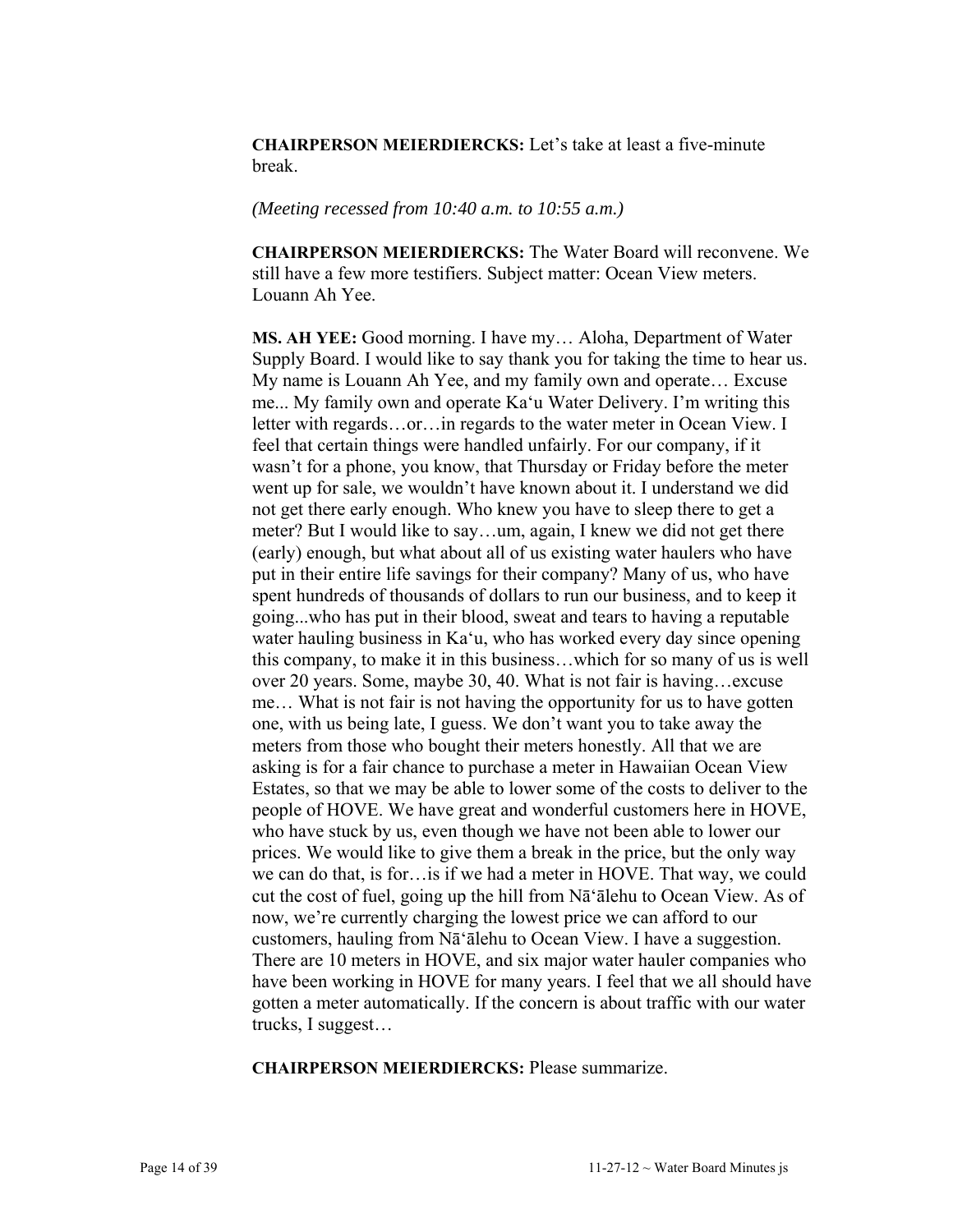**CHAIRPERSON MEIERDIERCKS:** Let's take at least a five-minute break.

#### *(Meeting recessed from 10:40 a.m. to 10:55 a.m.)*

**CHAIRPERSON MEIERDIERCKS:** The Water Board will reconvene. We still have a few more testifiers. Subject matter: Ocean View meters. Louann Ah Yee.

**MS. AH YEE:** Good morning. I have my… Aloha, Department of Water Supply Board. I would like to say thank you for taking the time to hear us. My name is Louann Ah Yee, and my family own and operate… Excuse me... My family own and operate Ka'u Water Delivery. I'm writing this letter with regards…or…in regards to the water meter in Ocean View. I feel that certain things were handled unfairly. For our company, if it wasn't for a phone, you know, that Thursday or Friday before the meter went up for sale, we wouldn't have known about it. I understand we did not get there early enough. Who knew you have to sleep there to get a meter? But I would like to say…um, again, I knew we did not get there (early) enough, but what about all of us existing water haulers who have put in their entire life savings for their company? Many of us, who have spent hundreds of thousands of dollars to run our business, and to keep it going...who has put in their blood, sweat and tears to having a reputable water hauling business in Ka'u, who has worked every day since opening this company, to make it in this business…which for so many of us is well over 20 years. Some, maybe 30, 40. What is not fair is having…excuse me… What is not fair is not having the opportunity for us to have gotten one, with us being late, I guess. We don't want you to take away the meters from those who bought their meters honestly. All that we are asking is for a fair chance to purchase a meter in Hawaiian Ocean View Estates, so that we may be able to lower some of the costs to deliver to the people of HOVE. We have great and wonderful customers here in HOVE, who have stuck by us, even though we have not been able to lower our prices. We would like to give them a break in the price, but the only way we can do that, is for…is if we had a meter in HOVE. That way, we could cut the cost of fuel, going up the hill from Nā'ālehu to Ocean View. As of now, we're currently charging the lowest price we can afford to our customers, hauling from Nā'ālehu to Ocean View. I have a suggestion. There are 10 meters in HOVE, and six major water hauler companies who have been working in HOVE for many years. I feel that we all should have gotten a meter automatically. If the concern is about traffic with our water trucks, I suggest…

**CHAIRPERSON MEIERDIERCKS:** Please summarize.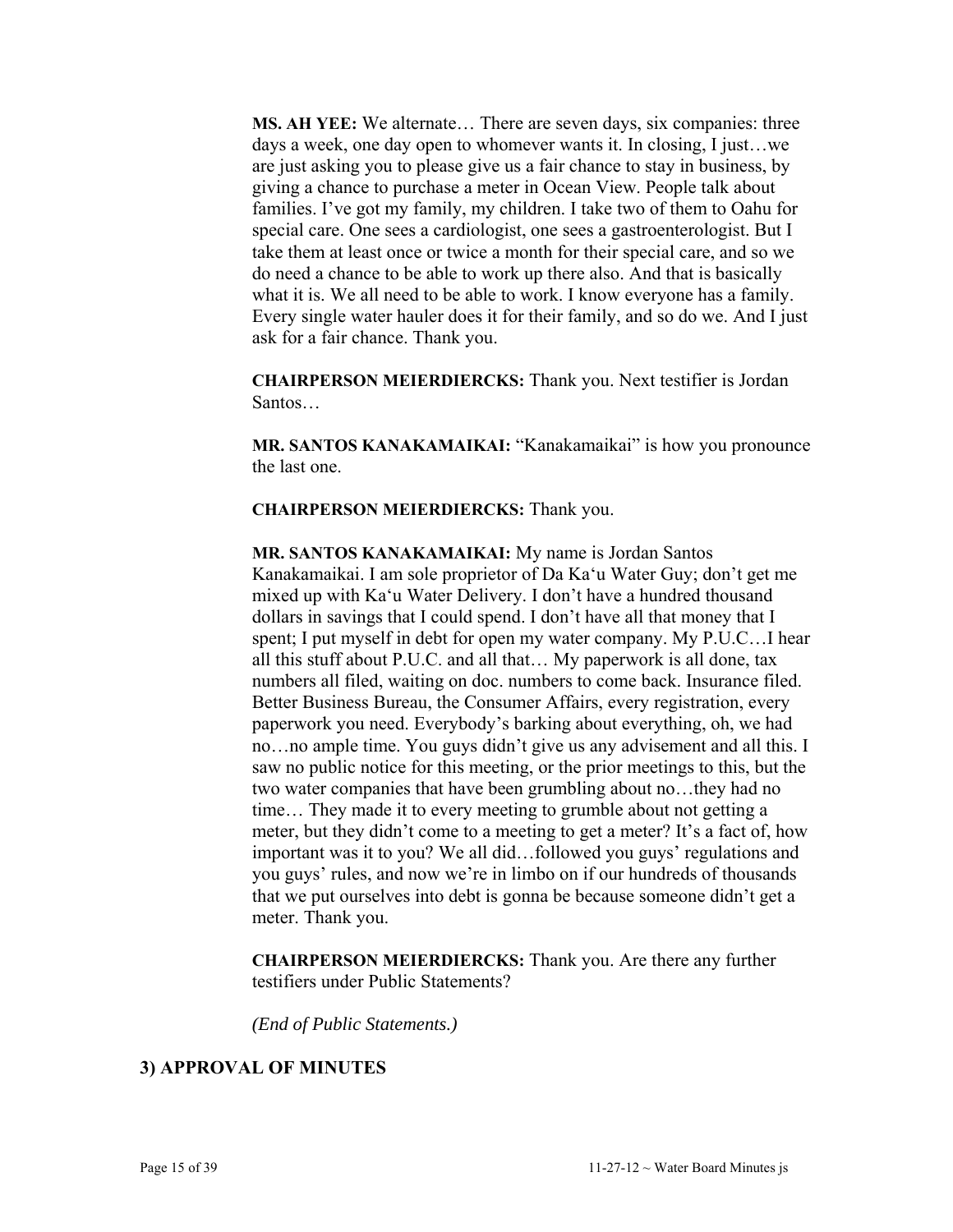**MS. AH YEE:** We alternate… There are seven days, six companies: three days a week, one day open to whomever wants it. In closing, I just…we are just asking you to please give us a fair chance to stay in business, by giving a chance to purchase a meter in Ocean View. People talk about families. I've got my family, my children. I take two of them to Oahu for special care. One sees a cardiologist, one sees a gastroenterologist. But I take them at least once or twice a month for their special care, and so we do need a chance to be able to work up there also. And that is basically what it is. We all need to be able to work. I know everyone has a family. Every single water hauler does it for their family, and so do we. And I just ask for a fair chance. Thank you.

**CHAIRPERSON MEIERDIERCKS:** Thank you. Next testifier is Jordan Santos…

**MR. SANTOS KANAKAMAIKAI:** "Kanakamaikai" is how you pronounce the last one.

**CHAIRPERSON MEIERDIERCKS:** Thank you.

**MR. SANTOS KANAKAMAIKAI:** My name is Jordan Santos Kanakamaikai. I am sole proprietor of Da Ka'u Water Guy; don't get me mixed up with Ka'u Water Delivery. I don't have a hundred thousand dollars in savings that I could spend. I don't have all that money that I spent; I put myself in debt for open my water company. My P.U.C…I hear all this stuff about P.U.C. and all that… My paperwork is all done, tax numbers all filed, waiting on doc. numbers to come back. Insurance filed. Better Business Bureau, the Consumer Affairs, every registration, every paperwork you need. Everybody's barking about everything, oh, we had no…no ample time. You guys didn't give us any advisement and all this. I saw no public notice for this meeting, or the prior meetings to this, but the two water companies that have been grumbling about no…they had no time… They made it to every meeting to grumble about not getting a meter, but they didn't come to a meeting to get a meter? It's a fact of, how important was it to you? We all did…followed you guys' regulations and you guys' rules, and now we're in limbo on if our hundreds of thousands that we put ourselves into debt is gonna be because someone didn't get a meter. Thank you.

**CHAIRPERSON MEIERDIERCKS:** Thank you. Are there any further testifiers under Public Statements?

*(End of Public Statements.)* 

#### **3) APPROVAL OF MINUTES**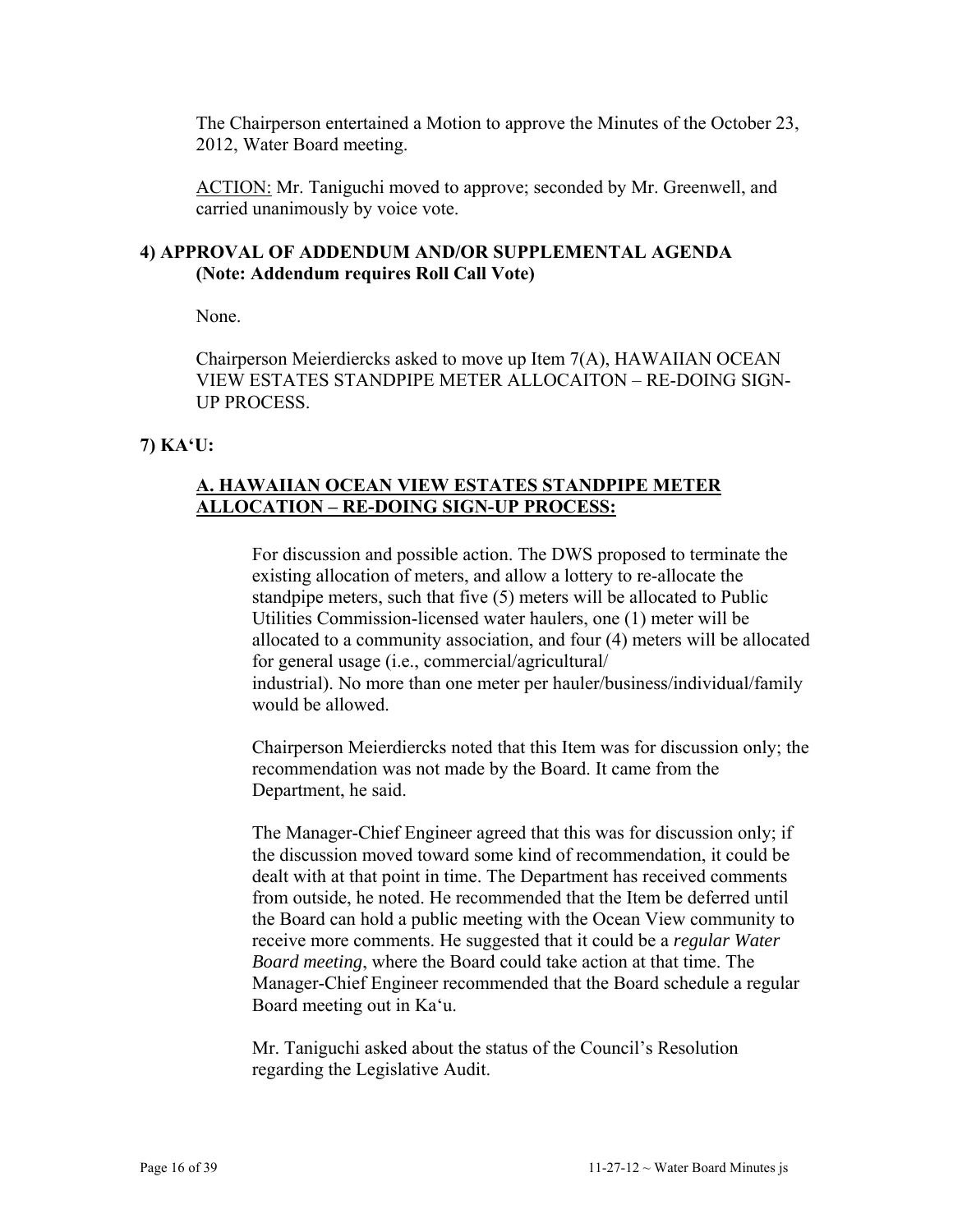The Chairperson entertained a Motion to approve the Minutes of the October 23, 2012, Water Board meeting.

ACTION: Mr. Taniguchi moved to approve; seconded by Mr. Greenwell, and carried unanimously by voice vote.

## **4) APPROVAL OF ADDENDUM AND/OR SUPPLEMENTAL AGENDA (Note: Addendum requires Roll Call Vote)**

None.

Chairperson Meierdiercks asked to move up Item 7(A), HAWAIIAN OCEAN VIEW ESTATES STANDPIPE METER ALLOCAITON – RE-DOING SIGN-UP PROCESS.

# **7) KA'U:**

## **A. HAWAIIAN OCEAN VIEW ESTATES STANDPIPE METER ALLOCATION – RE-DOING SIGN-UP PROCESS:**

For discussion and possible action. The DWS proposed to terminate the existing allocation of meters, and allow a lottery to re-allocate the standpipe meters, such that five (5) meters will be allocated to Public Utilities Commission-licensed water haulers, one (1) meter will be allocated to a community association, and four (4) meters will be allocated for general usage (i.e., commercial/agricultural/ industrial). No more than one meter per hauler/business/individual/family would be allowed.

Chairperson Meierdiercks noted that this Item was for discussion only; the recommendation was not made by the Board. It came from the Department, he said.

The Manager-Chief Engineer agreed that this was for discussion only; if the discussion moved toward some kind of recommendation, it could be dealt with at that point in time. The Department has received comments from outside, he noted. He recommended that the Item be deferred until the Board can hold a public meeting with the Ocean View community to receive more comments. He suggested that it could be a *regular Water Board meeting*, where the Board could take action at that time. The Manager-Chief Engineer recommended that the Board schedule a regular Board meeting out in Ka'u.

Mr. Taniguchi asked about the status of the Council's Resolution regarding the Legislative Audit.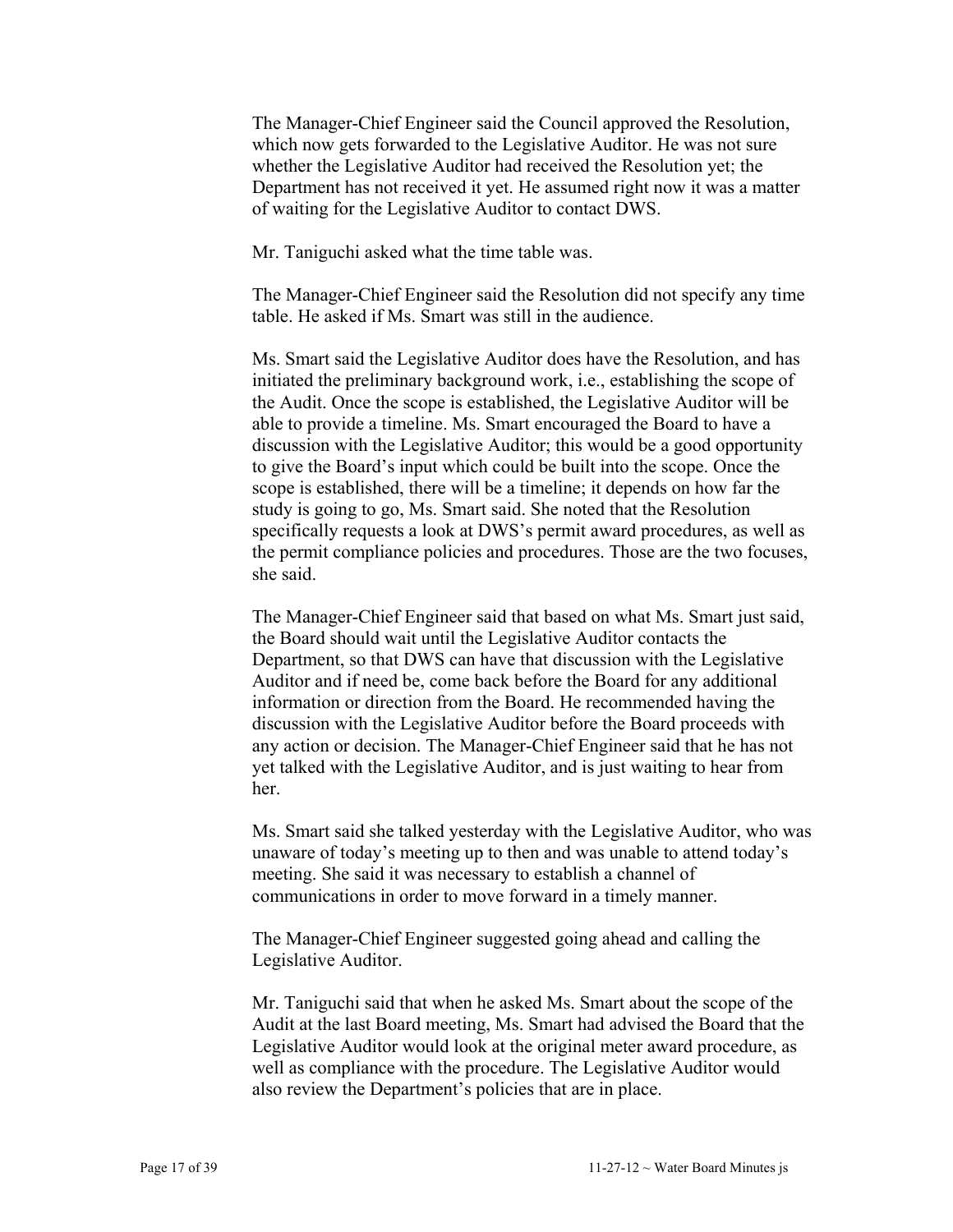The Manager-Chief Engineer said the Council approved the Resolution, which now gets forwarded to the Legislative Auditor. He was not sure whether the Legislative Auditor had received the Resolution yet; the Department has not received it yet. He assumed right now it was a matter of waiting for the Legislative Auditor to contact DWS.

Mr. Taniguchi asked what the time table was.

The Manager-Chief Engineer said the Resolution did not specify any time table. He asked if Ms. Smart was still in the audience.

Ms. Smart said the Legislative Auditor does have the Resolution, and has initiated the preliminary background work, i.e., establishing the scope of the Audit. Once the scope is established, the Legislative Auditor will be able to provide a timeline. Ms. Smart encouraged the Board to have a discussion with the Legislative Auditor; this would be a good opportunity to give the Board's input which could be built into the scope. Once the scope is established, there will be a timeline; it depends on how far the study is going to go, Ms. Smart said. She noted that the Resolution specifically requests a look at DWS's permit award procedures, as well as the permit compliance policies and procedures. Those are the two focuses, she said.

The Manager-Chief Engineer said that based on what Ms. Smart just said, the Board should wait until the Legislative Auditor contacts the Department, so that DWS can have that discussion with the Legislative Auditor and if need be, come back before the Board for any additional information or direction from the Board. He recommended having the discussion with the Legislative Auditor before the Board proceeds with any action or decision. The Manager-Chief Engineer said that he has not yet talked with the Legislative Auditor, and is just waiting to hear from her.

Ms. Smart said she talked yesterday with the Legislative Auditor, who was unaware of today's meeting up to then and was unable to attend today's meeting. She said it was necessary to establish a channel of communications in order to move forward in a timely manner.

The Manager-Chief Engineer suggested going ahead and calling the Legislative Auditor.

Mr. Taniguchi said that when he asked Ms. Smart about the scope of the Audit at the last Board meeting, Ms. Smart had advised the Board that the Legislative Auditor would look at the original meter award procedure, as well as compliance with the procedure. The Legislative Auditor would also review the Department's policies that are in place.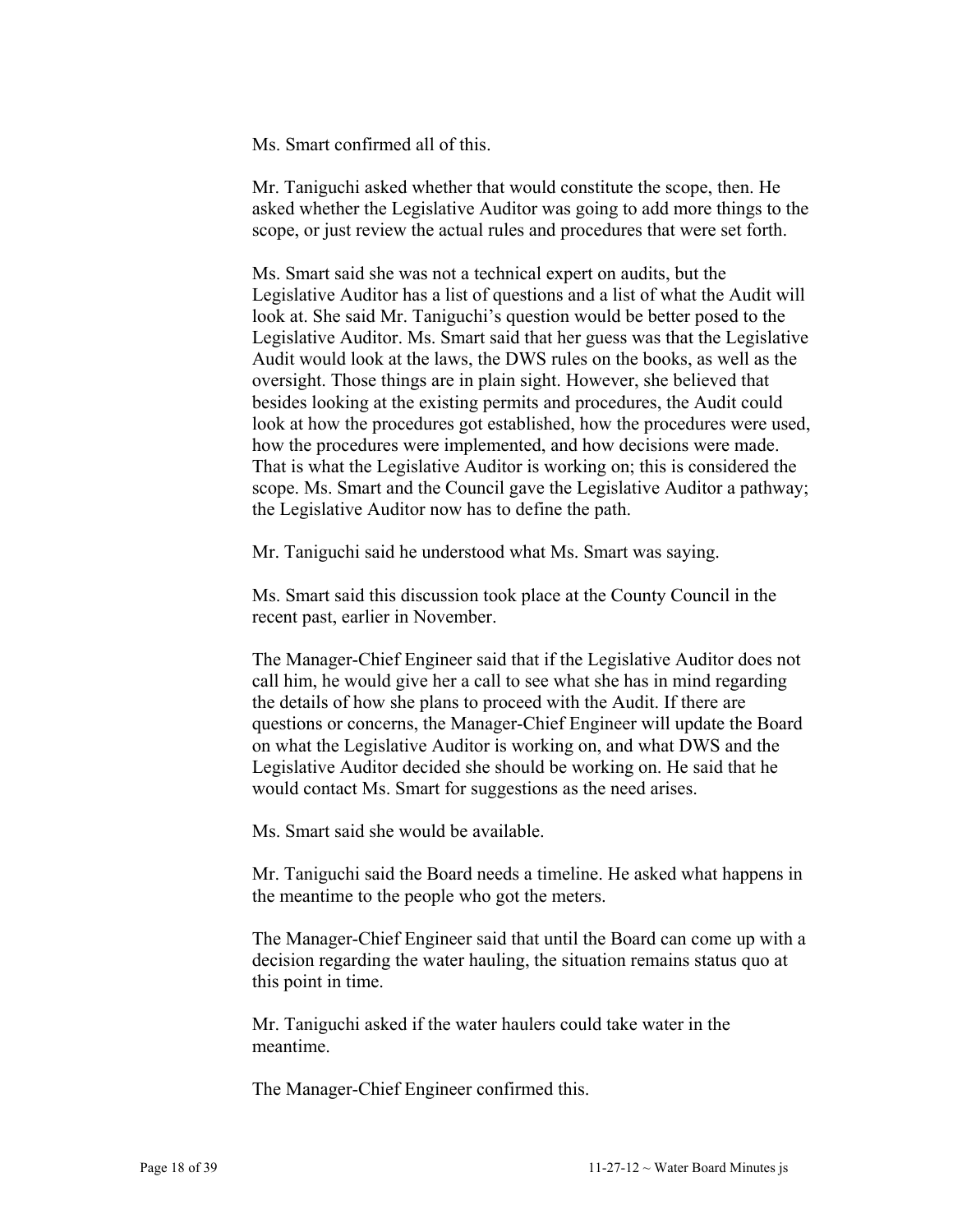Ms. Smart confirmed all of this.

Mr. Taniguchi asked whether that would constitute the scope, then. He asked whether the Legislative Auditor was going to add more things to the scope, or just review the actual rules and procedures that were set forth.

Ms. Smart said she was not a technical expert on audits, but the Legislative Auditor has a list of questions and a list of what the Audit will look at. She said Mr. Taniguchi's question would be better posed to the Legislative Auditor. Ms. Smart said that her guess was that the Legislative Audit would look at the laws, the DWS rules on the books, as well as the oversight. Those things are in plain sight. However, she believed that besides looking at the existing permits and procedures, the Audit could look at how the procedures got established, how the procedures were used, how the procedures were implemented, and how decisions were made. That is what the Legislative Auditor is working on; this is considered the scope. Ms. Smart and the Council gave the Legislative Auditor a pathway; the Legislative Auditor now has to define the path.

Mr. Taniguchi said he understood what Ms. Smart was saying.

Ms. Smart said this discussion took place at the County Council in the recent past, earlier in November.

The Manager-Chief Engineer said that if the Legislative Auditor does not call him, he would give her a call to see what she has in mind regarding the details of how she plans to proceed with the Audit. If there are questions or concerns, the Manager-Chief Engineer will update the Board on what the Legislative Auditor is working on, and what DWS and the Legislative Auditor decided she should be working on. He said that he would contact Ms. Smart for suggestions as the need arises.

Ms. Smart said she would be available.

Mr. Taniguchi said the Board needs a timeline. He asked what happens in the meantime to the people who got the meters.

The Manager-Chief Engineer said that until the Board can come up with a decision regarding the water hauling, the situation remains status quo at this point in time.

Mr. Taniguchi asked if the water haulers could take water in the meantime.

The Manager-Chief Engineer confirmed this.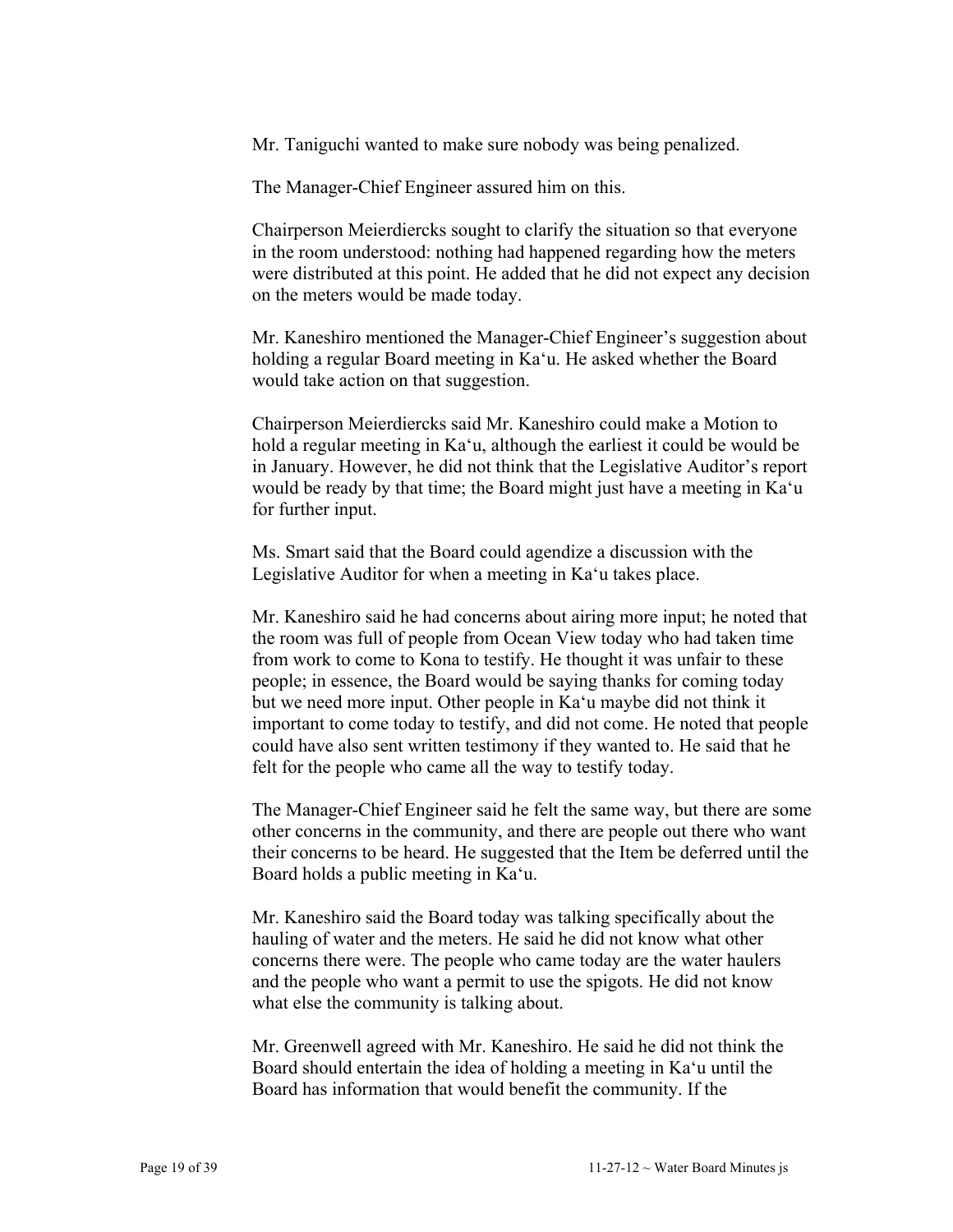Mr. Taniguchi wanted to make sure nobody was being penalized.

The Manager-Chief Engineer assured him on this.

Chairperson Meierdiercks sought to clarify the situation so that everyone in the room understood: nothing had happened regarding how the meters were distributed at this point. He added that he did not expect any decision on the meters would be made today.

Mr. Kaneshiro mentioned the Manager-Chief Engineer's suggestion about holding a regular Board meeting in Ka'u. He asked whether the Board would take action on that suggestion.

Chairperson Meierdiercks said Mr. Kaneshiro could make a Motion to hold a regular meeting in Ka'u, although the earliest it could be would be in January. However, he did not think that the Legislative Auditor's report would be ready by that time; the Board might just have a meeting in Ka'u for further input.

Ms. Smart said that the Board could agendize a discussion with the Legislative Auditor for when a meeting in Ka'u takes place.

Mr. Kaneshiro said he had concerns about airing more input; he noted that the room was full of people from Ocean View today who had taken time from work to come to Kona to testify. He thought it was unfair to these people; in essence, the Board would be saying thanks for coming today but we need more input. Other people in Ka'u maybe did not think it important to come today to testify, and did not come. He noted that people could have also sent written testimony if they wanted to. He said that he felt for the people who came all the way to testify today.

The Manager-Chief Engineer said he felt the same way, but there are some other concerns in the community, and there are people out there who want their concerns to be heard. He suggested that the Item be deferred until the Board holds a public meeting in Ka'u.

Mr. Kaneshiro said the Board today was talking specifically about the hauling of water and the meters. He said he did not know what other concerns there were. The people who came today are the water haulers and the people who want a permit to use the spigots. He did not know what else the community is talking about.

Mr. Greenwell agreed with Mr. Kaneshiro. He said he did not think the Board should entertain the idea of holding a meeting in Ka'u until the Board has information that would benefit the community. If the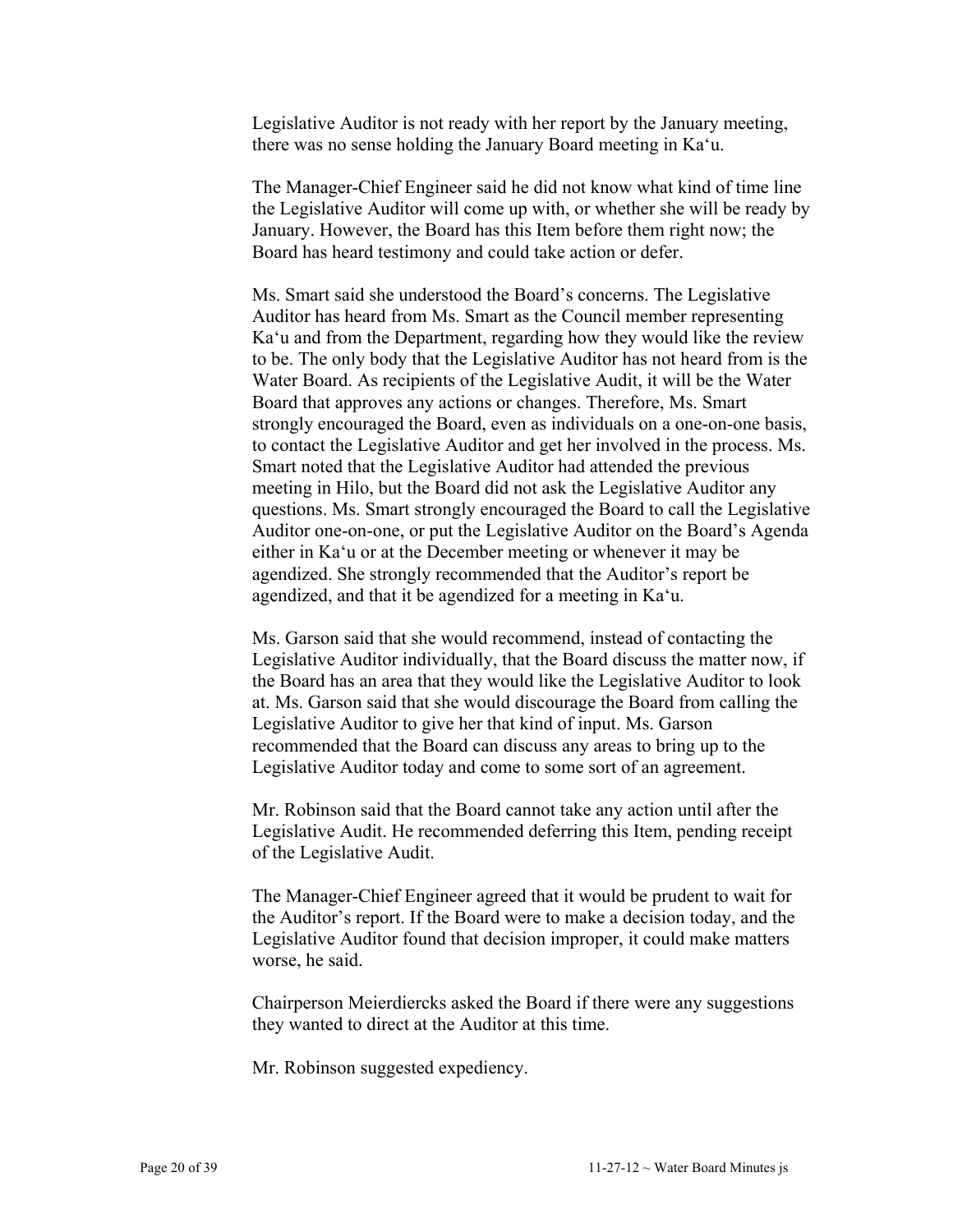Legislative Auditor is not ready with her report by the January meeting, there was no sense holding the January Board meeting in Ka'u.

The Manager-Chief Engineer said he did not know what kind of time line the Legislative Auditor will come up with, or whether she will be ready by January. However, the Board has this Item before them right now; the Board has heard testimony and could take action or defer.

Ms. Smart said she understood the Board's concerns. The Legislative Auditor has heard from Ms. Smart as the Council member representing Ka'u and from the Department, regarding how they would like the review to be. The only body that the Legislative Auditor has not heard from is the Water Board. As recipients of the Legislative Audit, it will be the Water Board that approves any actions or changes. Therefore, Ms. Smart strongly encouraged the Board, even as individuals on a one-on-one basis, to contact the Legislative Auditor and get her involved in the process. Ms. Smart noted that the Legislative Auditor had attended the previous meeting in Hilo, but the Board did not ask the Legislative Auditor any questions. Ms. Smart strongly encouraged the Board to call the Legislative Auditor one-on-one, or put the Legislative Auditor on the Board's Agenda either in Ka'u or at the December meeting or whenever it may be agendized. She strongly recommended that the Auditor's report be agendized, and that it be agendized for a meeting in Ka'u.

Ms. Garson said that she would recommend, instead of contacting the Legislative Auditor individually, that the Board discuss the matter now, if the Board has an area that they would like the Legislative Auditor to look at. Ms. Garson said that she would discourage the Board from calling the Legislative Auditor to give her that kind of input. Ms. Garson recommended that the Board can discuss any areas to bring up to the Legislative Auditor today and come to some sort of an agreement.

Mr. Robinson said that the Board cannot take any action until after the Legislative Audit. He recommended deferring this Item, pending receipt of the Legislative Audit.

The Manager-Chief Engineer agreed that it would be prudent to wait for the Auditor's report. If the Board were to make a decision today, and the Legislative Auditor found that decision improper, it could make matters worse, he said.

Chairperson Meierdiercks asked the Board if there were any suggestions they wanted to direct at the Auditor at this time.

Mr. Robinson suggested expediency.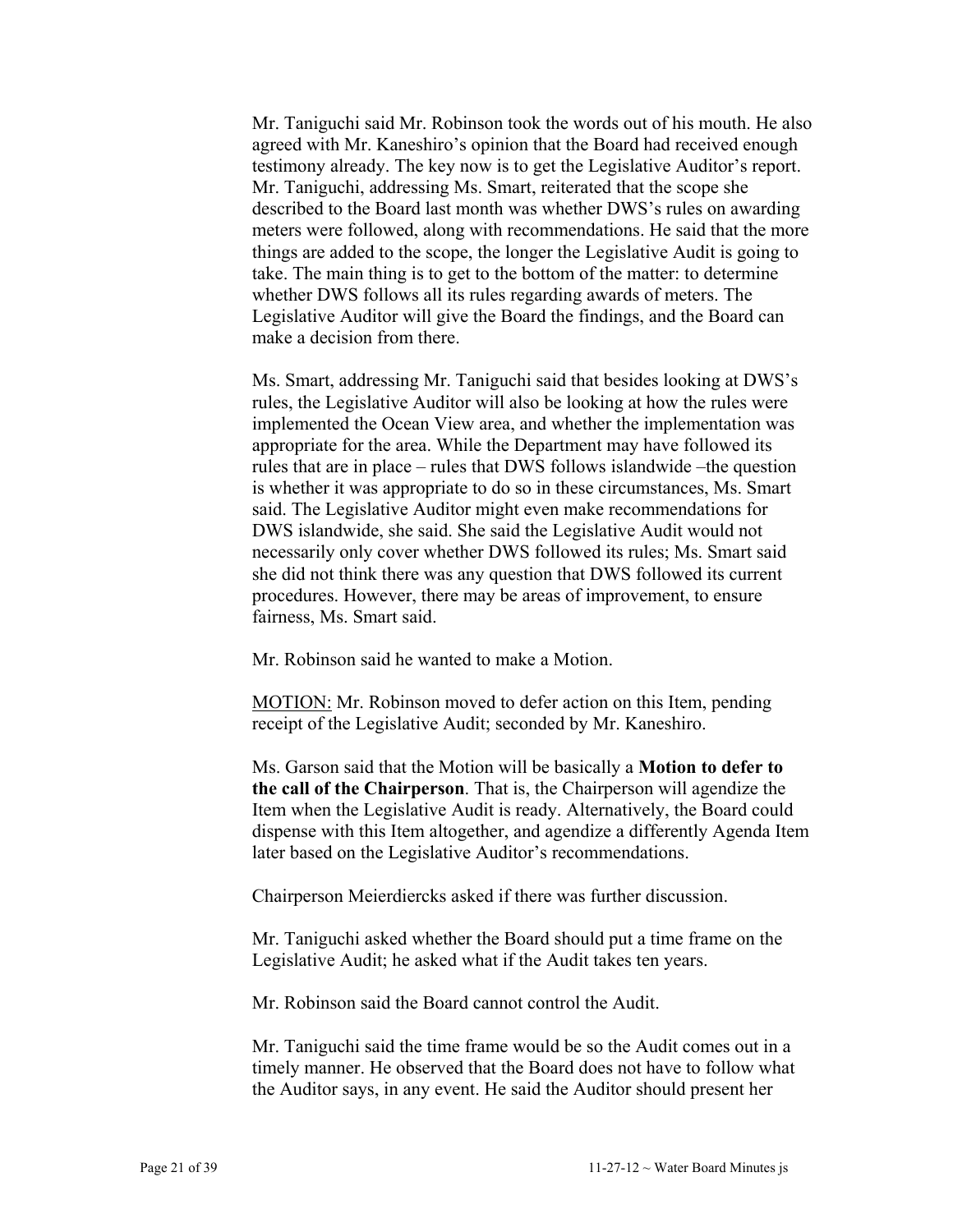Mr. Taniguchi said Mr. Robinson took the words out of his mouth. He also agreed with Mr. Kaneshiro's opinion that the Board had received enough testimony already. The key now is to get the Legislative Auditor's report. Mr. Taniguchi, addressing Ms. Smart, reiterated that the scope she described to the Board last month was whether DWS's rules on awarding meters were followed, along with recommendations. He said that the more things are added to the scope, the longer the Legislative Audit is going to take. The main thing is to get to the bottom of the matter: to determine whether DWS follows all its rules regarding awards of meters. The Legislative Auditor will give the Board the findings, and the Board can make a decision from there.

Ms. Smart, addressing Mr. Taniguchi said that besides looking at DWS's rules, the Legislative Auditor will also be looking at how the rules were implemented the Ocean View area, and whether the implementation was appropriate for the area. While the Department may have followed its rules that are in place – rules that DWS follows islandwide –the question is whether it was appropriate to do so in these circumstances, Ms. Smart said. The Legislative Auditor might even make recommendations for DWS islandwide, she said. She said the Legislative Audit would not necessarily only cover whether DWS followed its rules; Ms. Smart said she did not think there was any question that DWS followed its current procedures. However, there may be areas of improvement, to ensure fairness, Ms. Smart said.

Mr. Robinson said he wanted to make a Motion.

MOTION: Mr. Robinson moved to defer action on this Item, pending receipt of the Legislative Audit; seconded by Mr. Kaneshiro.

Ms. Garson said that the Motion will be basically a **Motion to defer to the call of the Chairperson**. That is, the Chairperson will agendize the Item when the Legislative Audit is ready. Alternatively, the Board could dispense with this Item altogether, and agendize a differently Agenda Item later based on the Legislative Auditor's recommendations.

Chairperson Meierdiercks asked if there was further discussion.

Mr. Taniguchi asked whether the Board should put a time frame on the Legislative Audit; he asked what if the Audit takes ten years.

Mr. Robinson said the Board cannot control the Audit.

Mr. Taniguchi said the time frame would be so the Audit comes out in a timely manner. He observed that the Board does not have to follow what the Auditor says, in any event. He said the Auditor should present her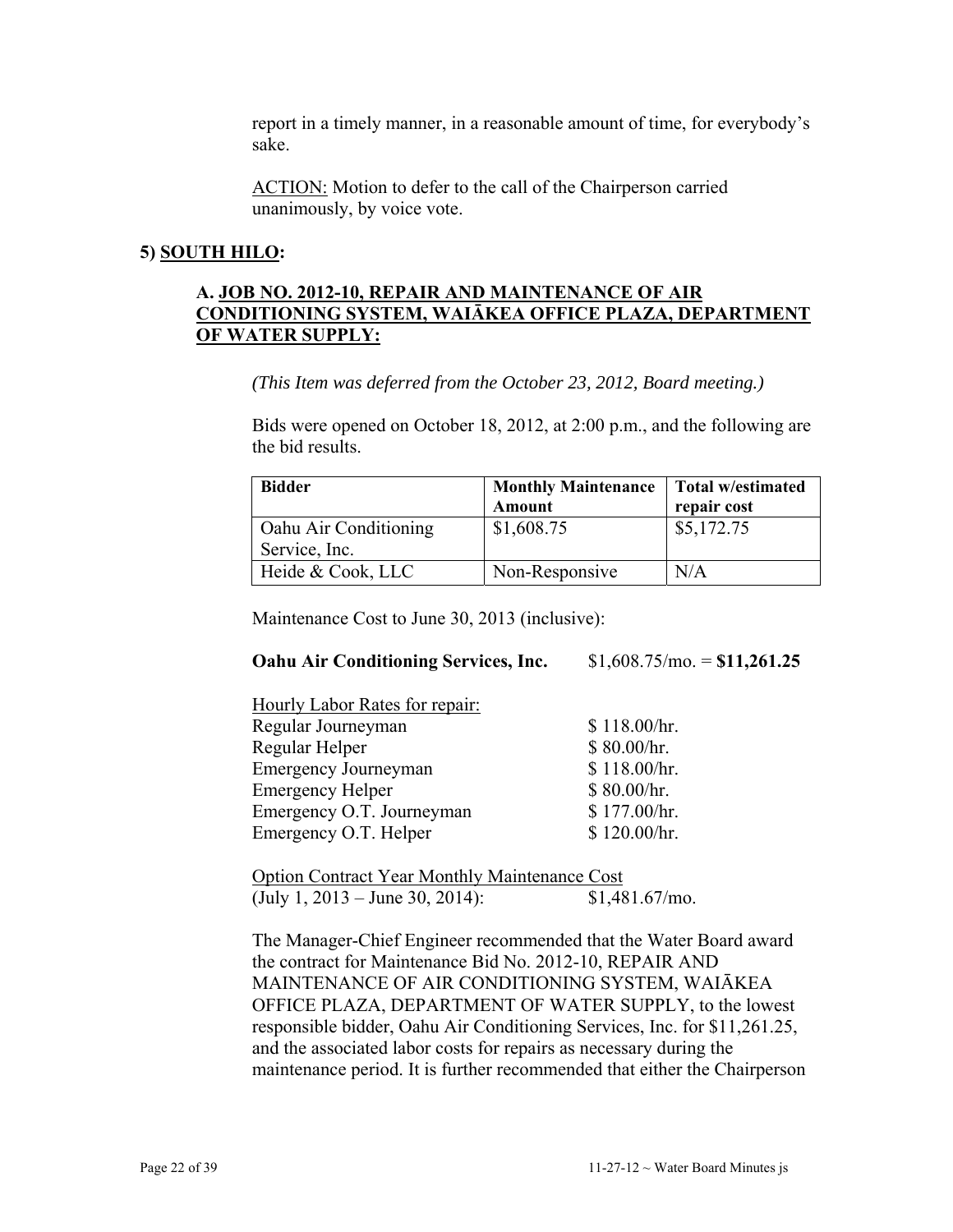report in a timely manner, in a reasonable amount of time, for everybody's sake.

ACTION: Motion to defer to the call of the Chairperson carried unanimously, by voice vote.

#### **5) SOUTH HILO:**

#### **A. JOB NO. 2012-10, REPAIR AND MAINTENANCE OF AIR CONDITIONING SYSTEM, WAIĀKEA OFFICE PLAZA, DEPARTMENT OF WATER SUPPLY:**

*(This Item was deferred from the October 23, 2012, Board meeting.)* 

Bids were opened on October 18, 2012, at 2:00 p.m., and the following are the bid results.

| <b>Bidder</b>         | Monthly Maintenance   Total w/estimated |             |
|-----------------------|-----------------------------------------|-------------|
|                       | <b>Amount</b>                           | repair cost |
| Oahu Air Conditioning | \$1,608.75                              | \$5,172.75  |
| Service, Inc.         |                                         |             |
| Heide & Cook, LLC     | Non-Responsive                          | N/A         |

Maintenance Cost to June 30, 2013 (inclusive):

#### **Oahu Air Conditioning Services, Inc.** \$1,608.75/mo. = **\$11,261.25**

| Hourly Labor Rates for repair: |              |
|--------------------------------|--------------|
| Regular Journeyman             | \$118.00/hr. |
| Regular Helper                 | \$80.00/hr.  |
| <b>Emergency Journeyman</b>    | \$118.00/hr. |
| <b>Emergency Helper</b>        | \$80.00/hr.  |
| Emergency O.T. Journeyman      | \$177.00/hr. |
| Emergency O.T. Helper          | \$120.00/hr. |

| <b>Option Contract Year Monthly Maintenance Cost</b> |                  |
|------------------------------------------------------|------------------|
| (July 1, $2013 -$ June 30, 2014):                    | $$1,481.67/m$ o. |

The Manager-Chief Engineer recommended that the Water Board award the contract for Maintenance Bid No. 2012-10, REPAIR AND MAINTENANCE OF AIR CONDITIONING SYSTEM, WAIĀKEA OFFICE PLAZA, DEPARTMENT OF WATER SUPPLY, to the lowest responsible bidder, Oahu Air Conditioning Services, Inc. for \$11,261.25, and the associated labor costs for repairs as necessary during the maintenance period. It is further recommended that either the Chairperson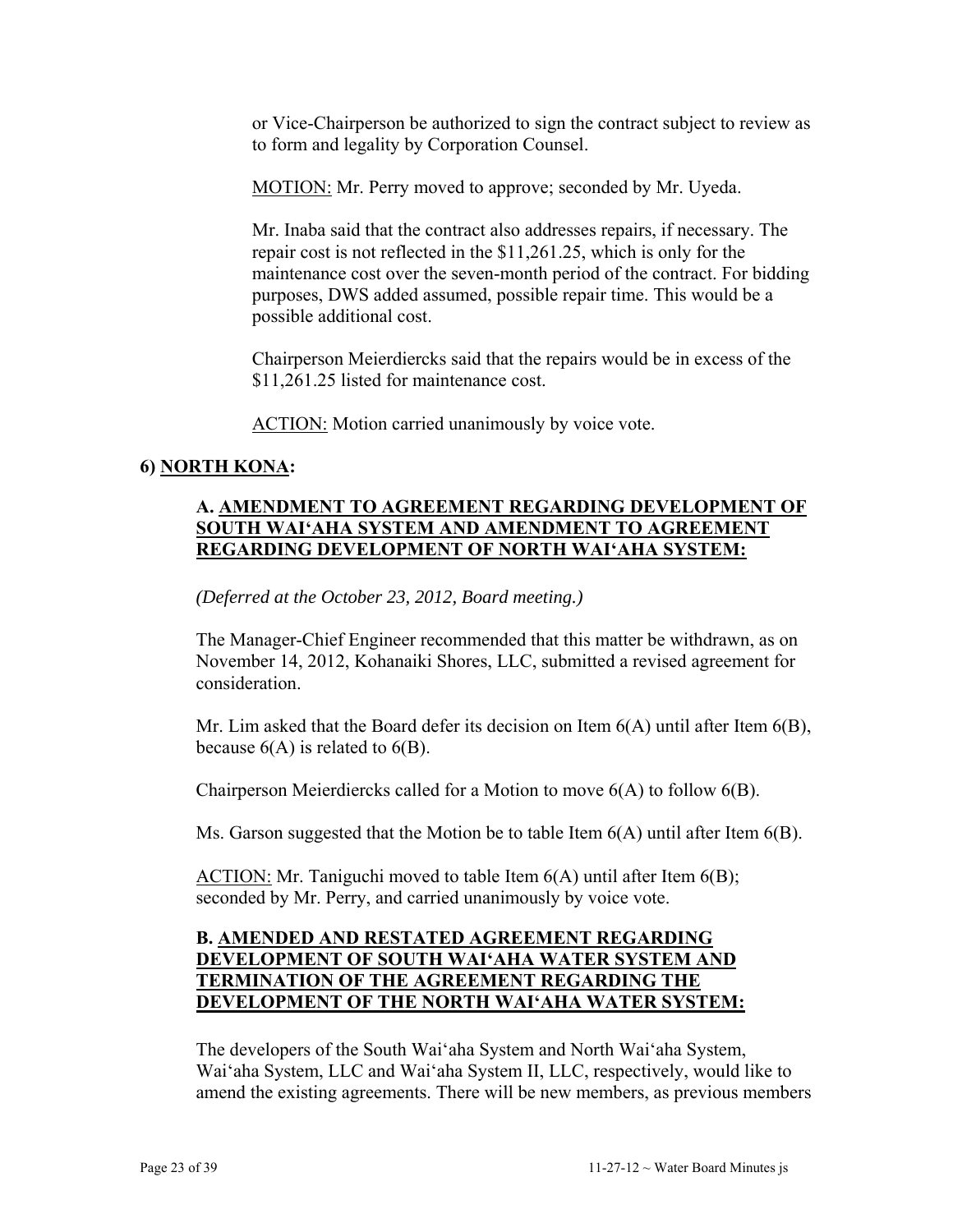or Vice-Chairperson be authorized to sign the contract subject to review as to form and legality by Corporation Counsel.

MOTION: Mr. Perry moved to approve; seconded by Mr. Uyeda.

Mr. Inaba said that the contract also addresses repairs, if necessary. The repair cost is not reflected in the \$11,261.25, which is only for the maintenance cost over the seven-month period of the contract. For bidding purposes, DWS added assumed, possible repair time. This would be a possible additional cost.

Chairperson Meierdiercks said that the repairs would be in excess of the \$11,261.25 listed for maintenance cost.

ACTION: Motion carried unanimously by voice vote.

## **6) NORTH KONA:**

## **A. AMENDMENT TO AGREEMENT REGARDING DEVELOPMENT OF SOUTH WAI'AHA SYSTEM AND AMENDMENT TO AGREEMENT REGARDING DEVELOPMENT OF NORTH WAI'AHA SYSTEM:**

*(Deferred at the October 23, 2012, Board meeting.)*

The Manager-Chief Engineer recommended that this matter be withdrawn, as on November 14, 2012, Kohanaiki Shores, LLC, submitted a revised agreement for consideration.

Mr. Lim asked that the Board defer its decision on Item  $6(A)$  until after Item  $6(B)$ , because  $6(A)$  is related to  $6(B)$ .

Chairperson Meierdiercks called for a Motion to move 6(A) to follow 6(B).

Ms. Garson suggested that the Motion be to table Item  $6(A)$  until after Item  $6(B)$ .

ACTION: Mr. Taniguchi moved to table Item 6(A) until after Item 6(B); seconded by Mr. Perry, and carried unanimously by voice vote.

## **B. AMENDED AND RESTATED AGREEMENT REGARDING DEVELOPMENT OF SOUTH WAI'AHA WATER SYSTEM AND TERMINATION OF THE AGREEMENT REGARDING THE DEVELOPMENT OF THE NORTH WAI'AHA WATER SYSTEM:**

The developers of the South Wai'aha System and North Wai'aha System, Wai'aha System, LLC and Wai'aha System II, LLC, respectively, would like to amend the existing agreements. There will be new members, as previous members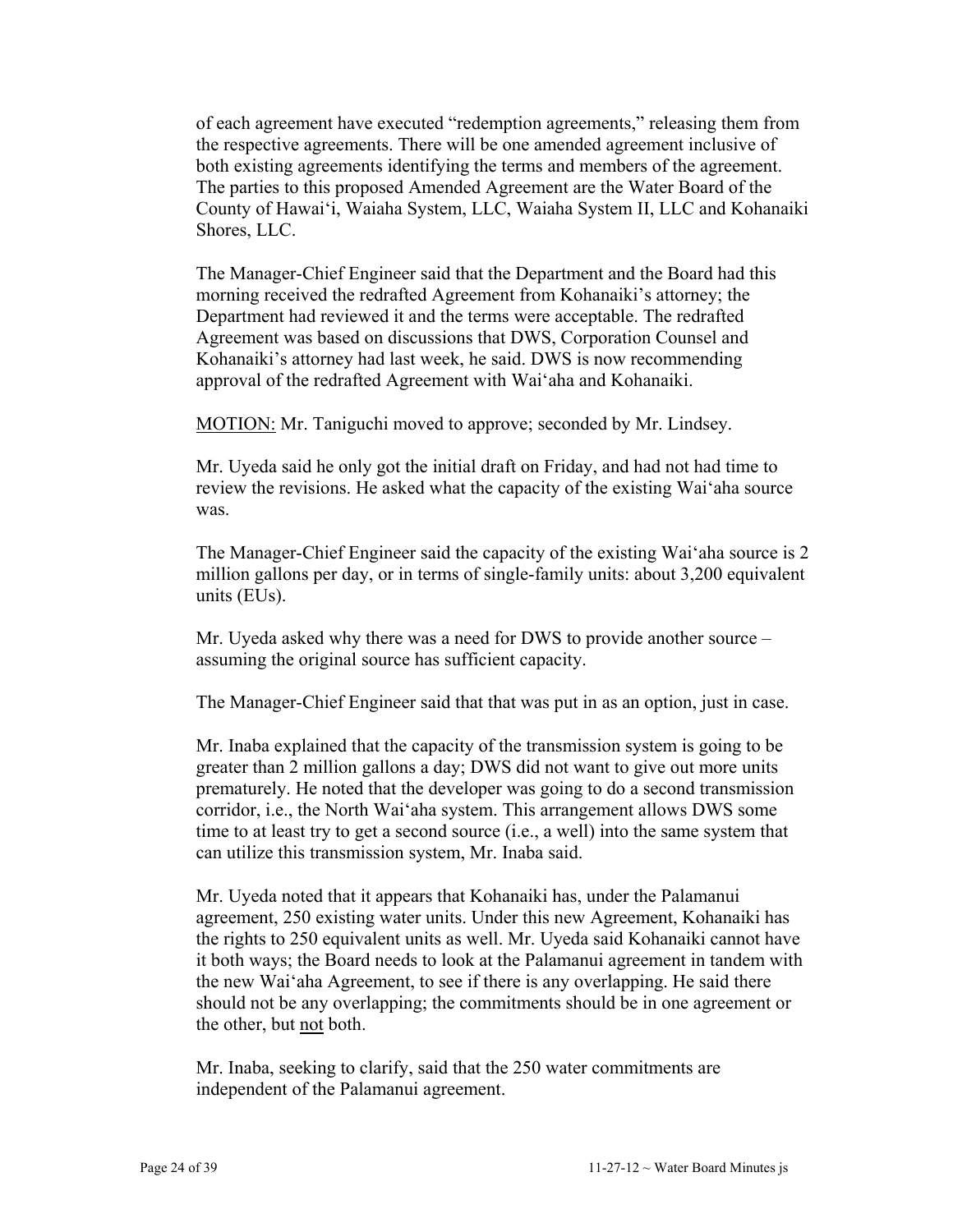of each agreement have executed "redemption agreements," releasing them from the respective agreements. There will be one amended agreement inclusive of both existing agreements identifying the terms and members of the agreement. The parties to this proposed Amended Agreement are the Water Board of the County of Hawai'i, Waiaha System, LLC, Waiaha System II, LLC and Kohanaiki Shores, LLC.

The Manager-Chief Engineer said that the Department and the Board had this morning received the redrafted Agreement from Kohanaiki's attorney; the Department had reviewed it and the terms were acceptable. The redrafted Agreement was based on discussions that DWS, Corporation Counsel and Kohanaiki's attorney had last week, he said. DWS is now recommending approval of the redrafted Agreement with Wai'aha and Kohanaiki.

MOTION: Mr. Taniguchi moved to approve; seconded by Mr. Lindsey.

Mr. Uyeda said he only got the initial draft on Friday, and had not had time to review the revisions. He asked what the capacity of the existing Wai'aha source was.

The Manager-Chief Engineer said the capacity of the existing Wai'aha source is 2 million gallons per day, or in terms of single-family units: about 3,200 equivalent units (EUs).

Mr. Uyeda asked why there was a need for DWS to provide another source – assuming the original source has sufficient capacity.

The Manager-Chief Engineer said that that was put in as an option, just in case.

Mr. Inaba explained that the capacity of the transmission system is going to be greater than 2 million gallons a day; DWS did not want to give out more units prematurely. He noted that the developer was going to do a second transmission corridor, i.e., the North Wai'aha system. This arrangement allows DWS some time to at least try to get a second source (i.e., a well) into the same system that can utilize this transmission system, Mr. Inaba said.

Mr. Uyeda noted that it appears that Kohanaiki has, under the Palamanui agreement, 250 existing water units. Under this new Agreement, Kohanaiki has the rights to 250 equivalent units as well. Mr. Uyeda said Kohanaiki cannot have it both ways; the Board needs to look at the Palamanui agreement in tandem with the new Wai'aha Agreement, to see if there is any overlapping. He said there should not be any overlapping; the commitments should be in one agreement or the other, but not both.

Mr. Inaba, seeking to clarify, said that the 250 water commitments are independent of the Palamanui agreement.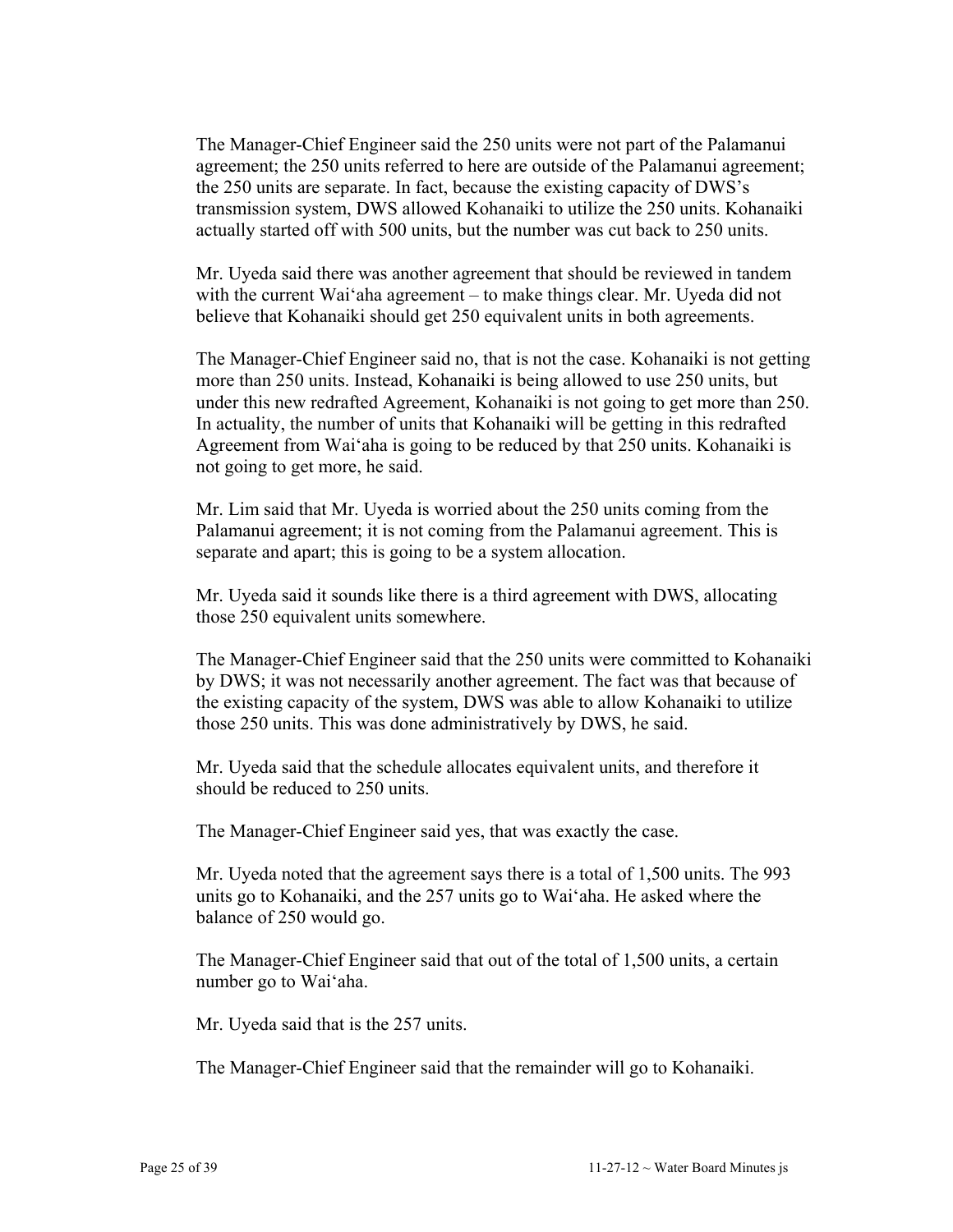The Manager-Chief Engineer said the 250 units were not part of the Palamanui agreement; the 250 units referred to here are outside of the Palamanui agreement; the 250 units are separate. In fact, because the existing capacity of DWS's transmission system, DWS allowed Kohanaiki to utilize the 250 units. Kohanaiki actually started off with 500 units, but the number was cut back to 250 units.

Mr. Uyeda said there was another agreement that should be reviewed in tandem with the current Wai'aha agreement – to make things clear. Mr. Uyeda did not believe that Kohanaiki should get 250 equivalent units in both agreements.

The Manager-Chief Engineer said no, that is not the case. Kohanaiki is not getting more than 250 units. Instead, Kohanaiki is being allowed to use 250 units, but under this new redrafted Agreement, Kohanaiki is not going to get more than 250. In actuality, the number of units that Kohanaiki will be getting in this redrafted Agreement from Wai'aha is going to be reduced by that 250 units. Kohanaiki is not going to get more, he said.

Mr. Lim said that Mr. Uyeda is worried about the 250 units coming from the Palamanui agreement; it is not coming from the Palamanui agreement. This is separate and apart; this is going to be a system allocation.

Mr. Uyeda said it sounds like there is a third agreement with DWS, allocating those 250 equivalent units somewhere.

The Manager-Chief Engineer said that the 250 units were committed to Kohanaiki by DWS; it was not necessarily another agreement. The fact was that because of the existing capacity of the system, DWS was able to allow Kohanaiki to utilize those 250 units. This was done administratively by DWS, he said.

Mr. Uyeda said that the schedule allocates equivalent units, and therefore it should be reduced to 250 units.

The Manager-Chief Engineer said yes, that was exactly the case.

Mr. Uyeda noted that the agreement says there is a total of 1,500 units. The 993 units go to Kohanaiki, and the 257 units go to Wai'aha. He asked where the balance of 250 would go.

The Manager-Chief Engineer said that out of the total of 1,500 units, a certain number go to Wai'aha.

Mr. Uyeda said that is the 257 units.

The Manager-Chief Engineer said that the remainder will go to Kohanaiki.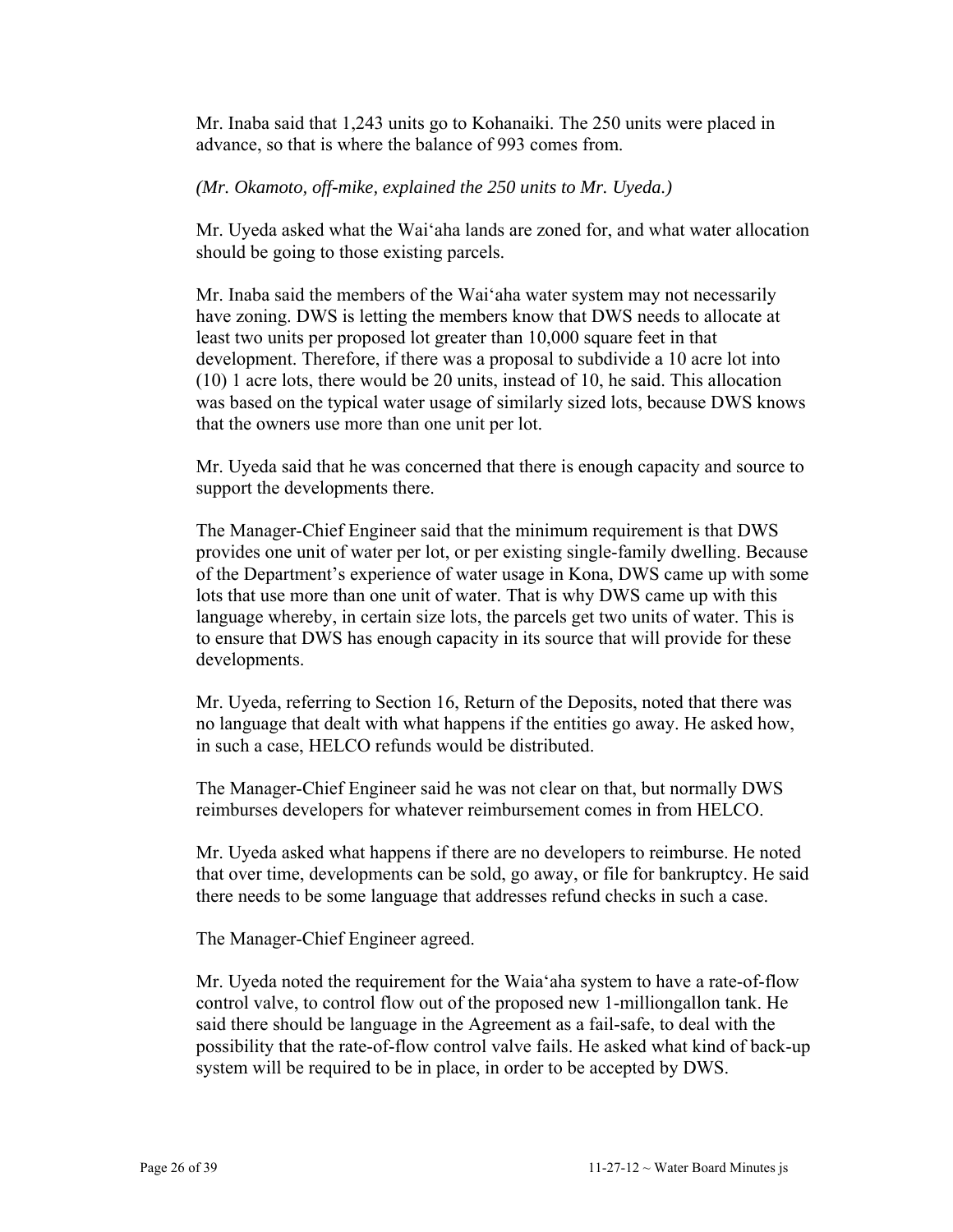Mr. Inaba said that 1,243 units go to Kohanaiki. The 250 units were placed in advance, so that is where the balance of 993 comes from.

#### *(Mr. Okamoto, off-mike, explained the 250 units to Mr. Uyeda.)*

Mr. Uyeda asked what the Wai'aha lands are zoned for, and what water allocation should be going to those existing parcels.

Mr. Inaba said the members of the Wai'aha water system may not necessarily have zoning. DWS is letting the members know that DWS needs to allocate at least two units per proposed lot greater than 10,000 square feet in that development. Therefore, if there was a proposal to subdivide a 10 acre lot into (10) 1 acre lots, there would be 20 units, instead of 10, he said. This allocation was based on the typical water usage of similarly sized lots, because DWS knows that the owners use more than one unit per lot.

Mr. Uyeda said that he was concerned that there is enough capacity and source to support the developments there.

The Manager-Chief Engineer said that the minimum requirement is that DWS provides one unit of water per lot, or per existing single-family dwelling. Because of the Department's experience of water usage in Kona, DWS came up with some lots that use more than one unit of water. That is why DWS came up with this language whereby, in certain size lots, the parcels get two units of water. This is to ensure that DWS has enough capacity in its source that will provide for these developments.

Mr. Uyeda, referring to Section 16, Return of the Deposits, noted that there was no language that dealt with what happens if the entities go away. He asked how, in such a case, HELCO refunds would be distributed.

The Manager-Chief Engineer said he was not clear on that, but normally DWS reimburses developers for whatever reimbursement comes in from HELCO.

Mr. Uyeda asked what happens if there are no developers to reimburse. He noted that over time, developments can be sold, go away, or file for bankruptcy. He said there needs to be some language that addresses refund checks in such a case.

The Manager-Chief Engineer agreed.

Mr. Uyeda noted the requirement for the Waia'aha system to have a rate-of-flow control valve, to control flow out of the proposed new 1-milliongallon tank. He said there should be language in the Agreement as a fail-safe, to deal with the possibility that the rate-of-flow control valve fails. He asked what kind of back-up system will be required to be in place, in order to be accepted by DWS.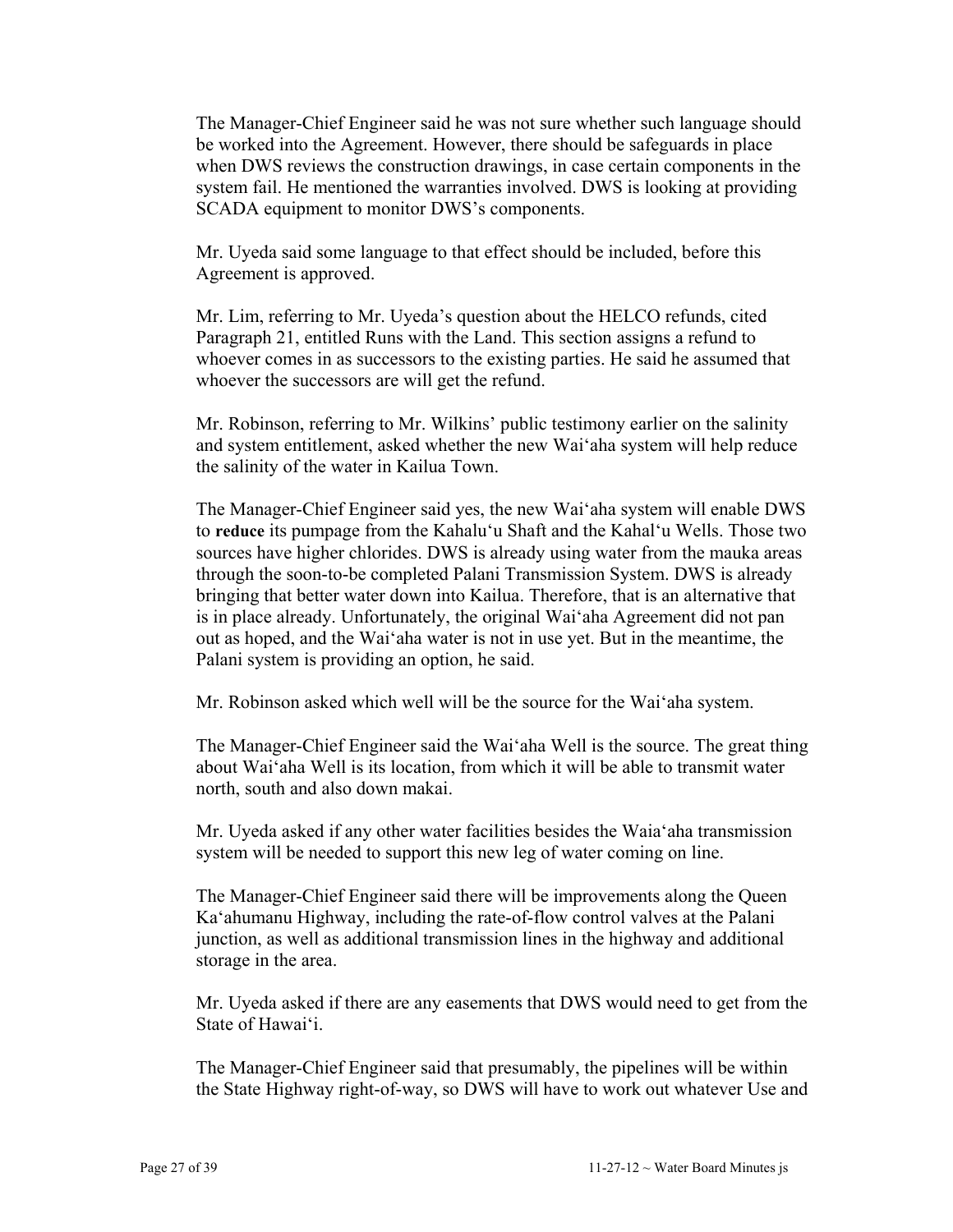The Manager-Chief Engineer said he was not sure whether such language should be worked into the Agreement. However, there should be safeguards in place when DWS reviews the construction drawings, in case certain components in the system fail. He mentioned the warranties involved. DWS is looking at providing SCADA equipment to monitor DWS's components.

Mr. Uyeda said some language to that effect should be included, before this Agreement is approved.

Mr. Lim, referring to Mr. Uyeda's question about the HELCO refunds, cited Paragraph 21, entitled Runs with the Land. This section assigns a refund to whoever comes in as successors to the existing parties. He said he assumed that whoever the successors are will get the refund.

Mr. Robinson, referring to Mr. Wilkins' public testimony earlier on the salinity and system entitlement, asked whether the new Wai'aha system will help reduce the salinity of the water in Kailua Town.

The Manager-Chief Engineer said yes, the new Wai'aha system will enable DWS to **reduce** its pumpage from the Kahalu'u Shaft and the Kahal'u Wells. Those two sources have higher chlorides. DWS is already using water from the mauka areas through the soon-to-be completed Palani Transmission System. DWS is already bringing that better water down into Kailua. Therefore, that is an alternative that is in place already. Unfortunately, the original Wai'aha Agreement did not pan out as hoped, and the Wai'aha water is not in use yet. But in the meantime, the Palani system is providing an option, he said.

Mr. Robinson asked which well will be the source for the Wai'aha system.

The Manager-Chief Engineer said the Wai'aha Well is the source. The great thing about Wai'aha Well is its location, from which it will be able to transmit water north, south and also down makai.

Mr. Uyeda asked if any other water facilities besides the Waia'aha transmission system will be needed to support this new leg of water coming on line.

The Manager-Chief Engineer said there will be improvements along the Queen Ka'ahumanu Highway, including the rate-of-flow control valves at the Palani junction, as well as additional transmission lines in the highway and additional storage in the area.

Mr. Uyeda asked if there are any easements that DWS would need to get from the State of Hawai'i.

The Manager-Chief Engineer said that presumably, the pipelines will be within the State Highway right-of-way, so DWS will have to work out whatever Use and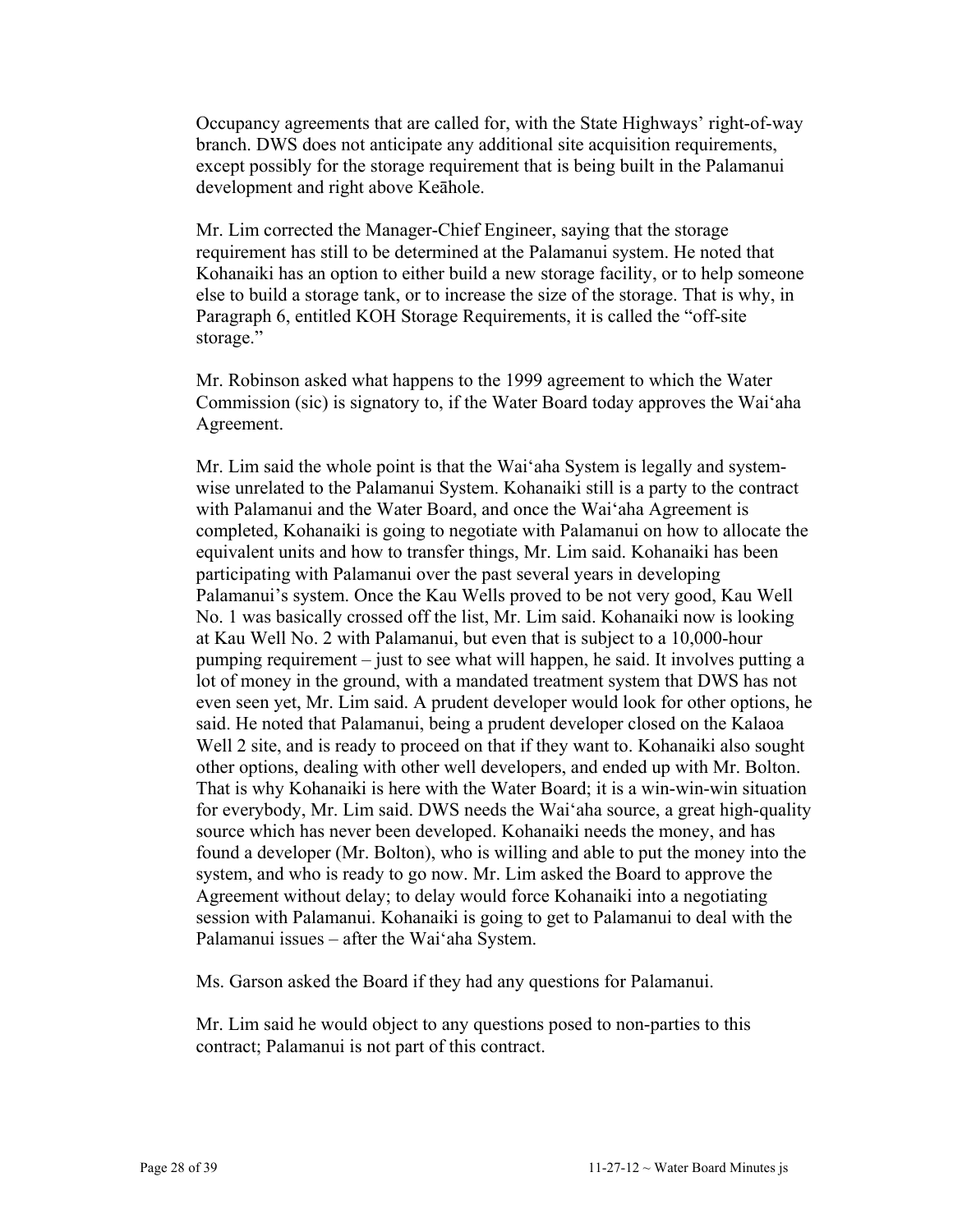Occupancy agreements that are called for, with the State Highways' right-of-way branch. DWS does not anticipate any additional site acquisition requirements, except possibly for the storage requirement that is being built in the Palamanui development and right above Keāhole.

Mr. Lim corrected the Manager-Chief Engineer, saying that the storage requirement has still to be determined at the Palamanui system. He noted that Kohanaiki has an option to either build a new storage facility, or to help someone else to build a storage tank, or to increase the size of the storage. That is why, in Paragraph 6, entitled KOH Storage Requirements, it is called the "off-site storage."

Mr. Robinson asked what happens to the 1999 agreement to which the Water Commission (sic) is signatory to, if the Water Board today approves the Wai'aha Agreement.

Mr. Lim said the whole point is that the Wai'aha System is legally and systemwise unrelated to the Palamanui System. Kohanaiki still is a party to the contract with Palamanui and the Water Board, and once the Wai'aha Agreement is completed, Kohanaiki is going to negotiate with Palamanui on how to allocate the equivalent units and how to transfer things, Mr. Lim said. Kohanaiki has been participating with Palamanui over the past several years in developing Palamanui's system. Once the Kau Wells proved to be not very good, Kau Well No. 1 was basically crossed off the list, Mr. Lim said. Kohanaiki now is looking at Kau Well No. 2 with Palamanui, but even that is subject to a 10,000-hour pumping requirement – just to see what will happen, he said. It involves putting a lot of money in the ground, with a mandated treatment system that DWS has not even seen yet, Mr. Lim said. A prudent developer would look for other options, he said. He noted that Palamanui, being a prudent developer closed on the Kalaoa Well 2 site, and is ready to proceed on that if they want to. Kohanaiki also sought other options, dealing with other well developers, and ended up with Mr. Bolton. That is why Kohanaiki is here with the Water Board; it is a win-win-win situation for everybody, Mr. Lim said. DWS needs the Wai'aha source, a great high-quality source which has never been developed. Kohanaiki needs the money, and has found a developer (Mr. Bolton), who is willing and able to put the money into the system, and who is ready to go now. Mr. Lim asked the Board to approve the Agreement without delay; to delay would force Kohanaiki into a negotiating session with Palamanui. Kohanaiki is going to get to Palamanui to deal with the Palamanui issues – after the Wai'aha System.

Ms. Garson asked the Board if they had any questions for Palamanui.

Mr. Lim said he would object to any questions posed to non-parties to this contract; Palamanui is not part of this contract.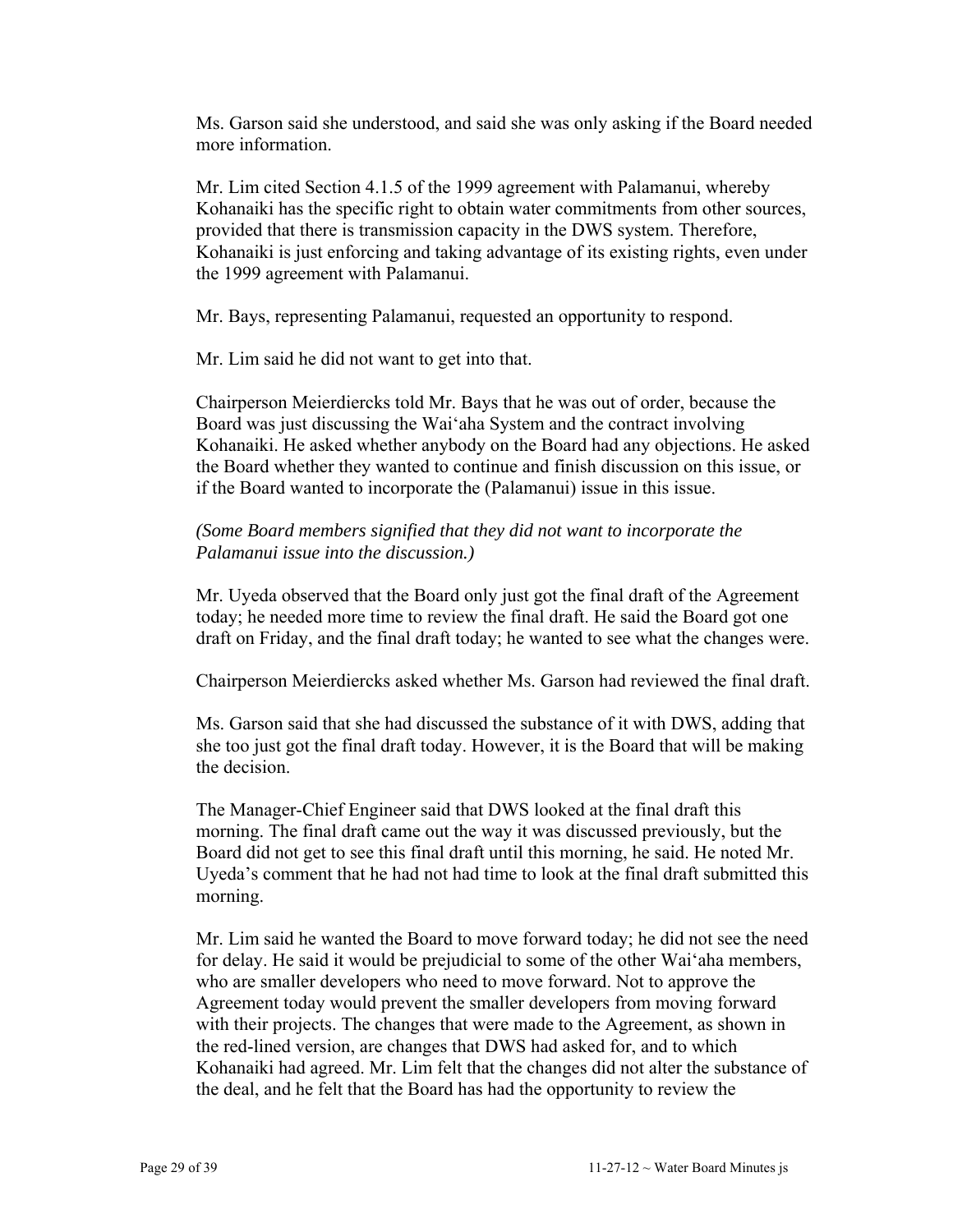Ms. Garson said she understood, and said she was only asking if the Board needed more information.

Mr. Lim cited Section 4.1.5 of the 1999 agreement with Palamanui, whereby Kohanaiki has the specific right to obtain water commitments from other sources, provided that there is transmission capacity in the DWS system. Therefore, Kohanaiki is just enforcing and taking advantage of its existing rights, even under the 1999 agreement with Palamanui.

Mr. Bays, representing Palamanui, requested an opportunity to respond.

Mr. Lim said he did not want to get into that.

Chairperson Meierdiercks told Mr. Bays that he was out of order, because the Board was just discussing the Wai'aha System and the contract involving Kohanaiki. He asked whether anybody on the Board had any objections. He asked the Board whether they wanted to continue and finish discussion on this issue, or if the Board wanted to incorporate the (Palamanui) issue in this issue.

## *(Some Board members signified that they did not want to incorporate the Palamanui issue into the discussion.)*

Mr. Uyeda observed that the Board only just got the final draft of the Agreement today; he needed more time to review the final draft. He said the Board got one draft on Friday, and the final draft today; he wanted to see what the changes were.

Chairperson Meierdiercks asked whether Ms. Garson had reviewed the final draft.

Ms. Garson said that she had discussed the substance of it with DWS, adding that she too just got the final draft today. However, it is the Board that will be making the decision.

The Manager-Chief Engineer said that DWS looked at the final draft this morning. The final draft came out the way it was discussed previously, but the Board did not get to see this final draft until this morning, he said. He noted Mr. Uyeda's comment that he had not had time to look at the final draft submitted this morning.

Mr. Lim said he wanted the Board to move forward today; he did not see the need for delay. He said it would be prejudicial to some of the other Wai'aha members, who are smaller developers who need to move forward. Not to approve the Agreement today would prevent the smaller developers from moving forward with their projects. The changes that were made to the Agreement, as shown in the red-lined version, are changes that DWS had asked for, and to which Kohanaiki had agreed. Mr. Lim felt that the changes did not alter the substance of the deal, and he felt that the Board has had the opportunity to review the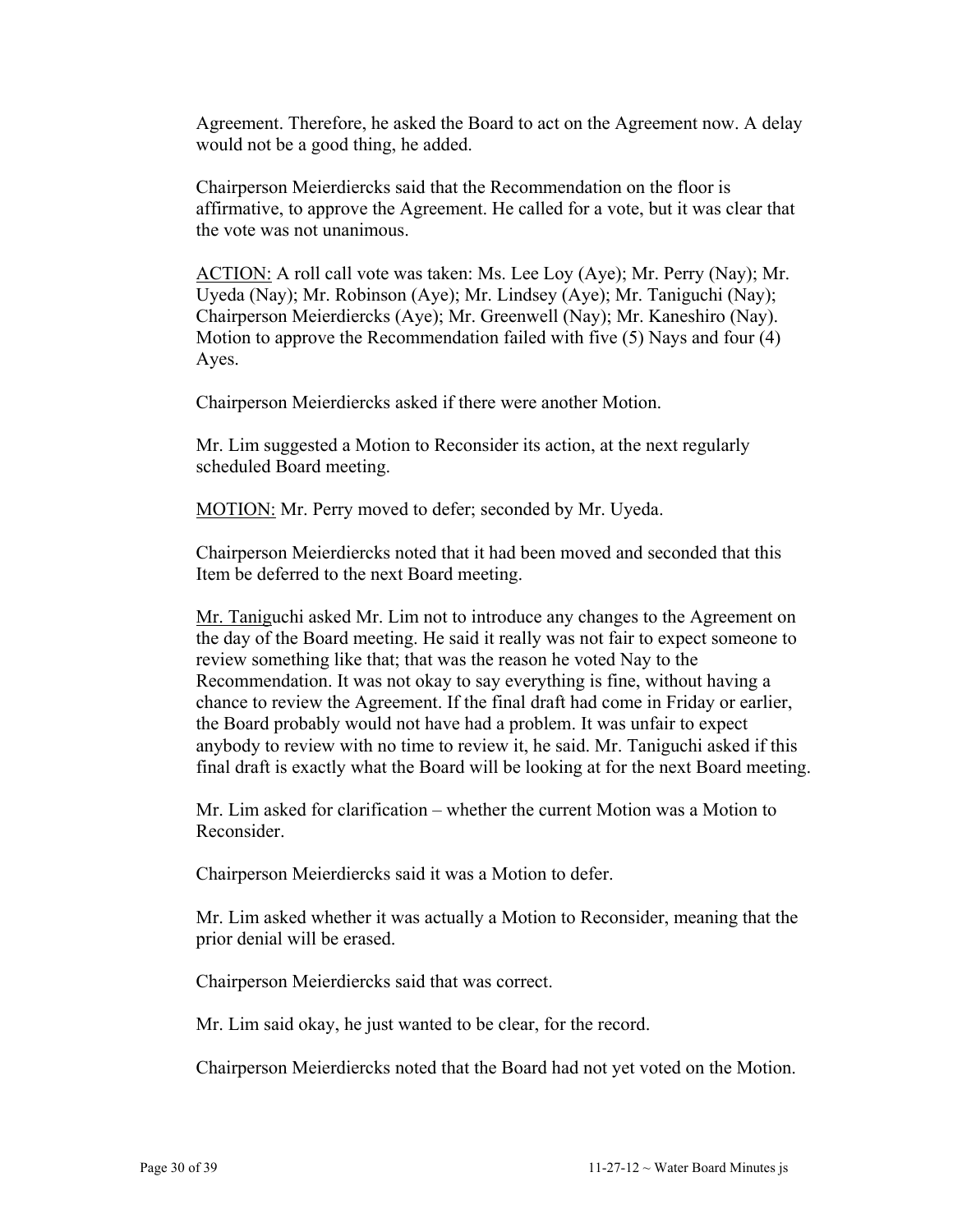Agreement. Therefore, he asked the Board to act on the Agreement now. A delay would not be a good thing, he added.

Chairperson Meierdiercks said that the Recommendation on the floor is affirmative, to approve the Agreement. He called for a vote, but it was clear that the vote was not unanimous.

ACTION: A roll call vote was taken: Ms. Lee Loy (Aye); Mr. Perry (Nay); Mr. Uyeda (Nay); Mr. Robinson (Aye); Mr. Lindsey (Aye); Mr. Taniguchi (Nay); Chairperson Meierdiercks (Aye); Mr. Greenwell (Nay); Mr. Kaneshiro (Nay). Motion to approve the Recommendation failed with five (5) Nays and four (4) Ayes.

Chairperson Meierdiercks asked if there were another Motion.

Mr. Lim suggested a Motion to Reconsider its action, at the next regularly scheduled Board meeting.

MOTION: Mr. Perry moved to defer; seconded by Mr. Uyeda.

Chairperson Meierdiercks noted that it had been moved and seconded that this Item be deferred to the next Board meeting.

Mr. Taniguchi asked Mr. Lim not to introduce any changes to the Agreement on the day of the Board meeting. He said it really was not fair to expect someone to review something like that; that was the reason he voted Nay to the Recommendation. It was not okay to say everything is fine, without having a chance to review the Agreement. If the final draft had come in Friday or earlier, the Board probably would not have had a problem. It was unfair to expect anybody to review with no time to review it, he said. Mr. Taniguchi asked if this final draft is exactly what the Board will be looking at for the next Board meeting.

Mr. Lim asked for clarification – whether the current Motion was a Motion to Reconsider.

Chairperson Meierdiercks said it was a Motion to defer.

Mr. Lim asked whether it was actually a Motion to Reconsider, meaning that the prior denial will be erased.

Chairperson Meierdiercks said that was correct.

Mr. Lim said okay, he just wanted to be clear, for the record.

Chairperson Meierdiercks noted that the Board had not yet voted on the Motion.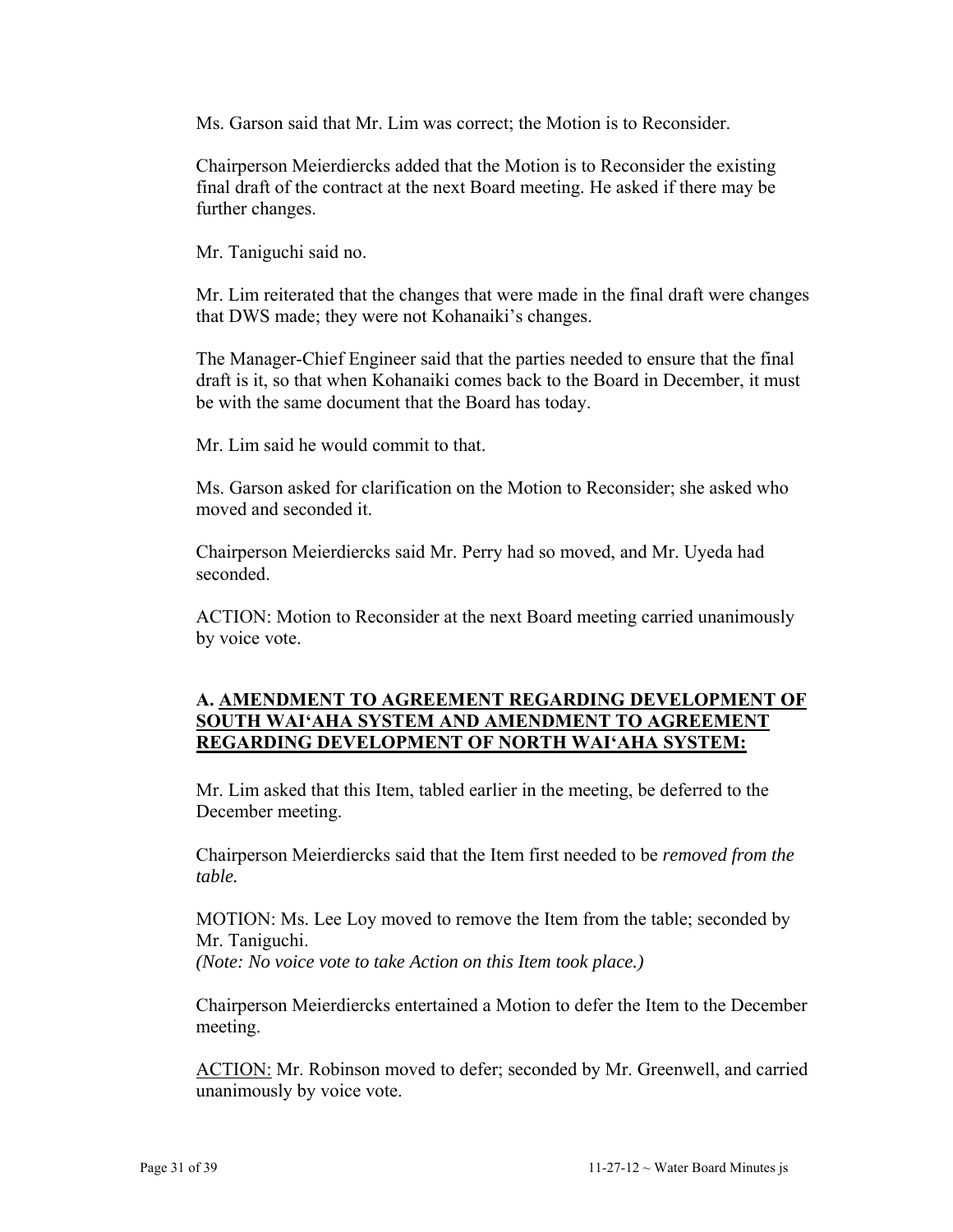Ms. Garson said that Mr. Lim was correct; the Motion is to Reconsider.

Chairperson Meierdiercks added that the Motion is to Reconsider the existing final draft of the contract at the next Board meeting. He asked if there may be further changes.

Mr. Taniguchi said no.

Mr. Lim reiterated that the changes that were made in the final draft were changes that DWS made; they were not Kohanaiki's changes.

The Manager-Chief Engineer said that the parties needed to ensure that the final draft is it, so that when Kohanaiki comes back to the Board in December, it must be with the same document that the Board has today.

Mr. Lim said he would commit to that.

Ms. Garson asked for clarification on the Motion to Reconsider; she asked who moved and seconded it.

Chairperson Meierdiercks said Mr. Perry had so moved, and Mr. Uyeda had seconded.

ACTION: Motion to Reconsider at the next Board meeting carried unanimously by voice vote.

## **A. AMENDMENT TO AGREEMENT REGARDING DEVELOPMENT OF SOUTH WAI'AHA SYSTEM AND AMENDMENT TO AGREEMENT REGARDING DEVELOPMENT OF NORTH WAI'AHA SYSTEM:**

Mr. Lim asked that this Item, tabled earlier in the meeting, be deferred to the December meeting.

Chairperson Meierdiercks said that the Item first needed to be *removed from the table.*

MOTION: Ms. Lee Loy moved to remove the Item from the table; seconded by Mr. Taniguchi. *(Note: No voice vote to take Action on this Item took place.)* 

Chairperson Meierdiercks entertained a Motion to defer the Item to the December meeting.

ACTION: Mr. Robinson moved to defer; seconded by Mr. Greenwell, and carried unanimously by voice vote.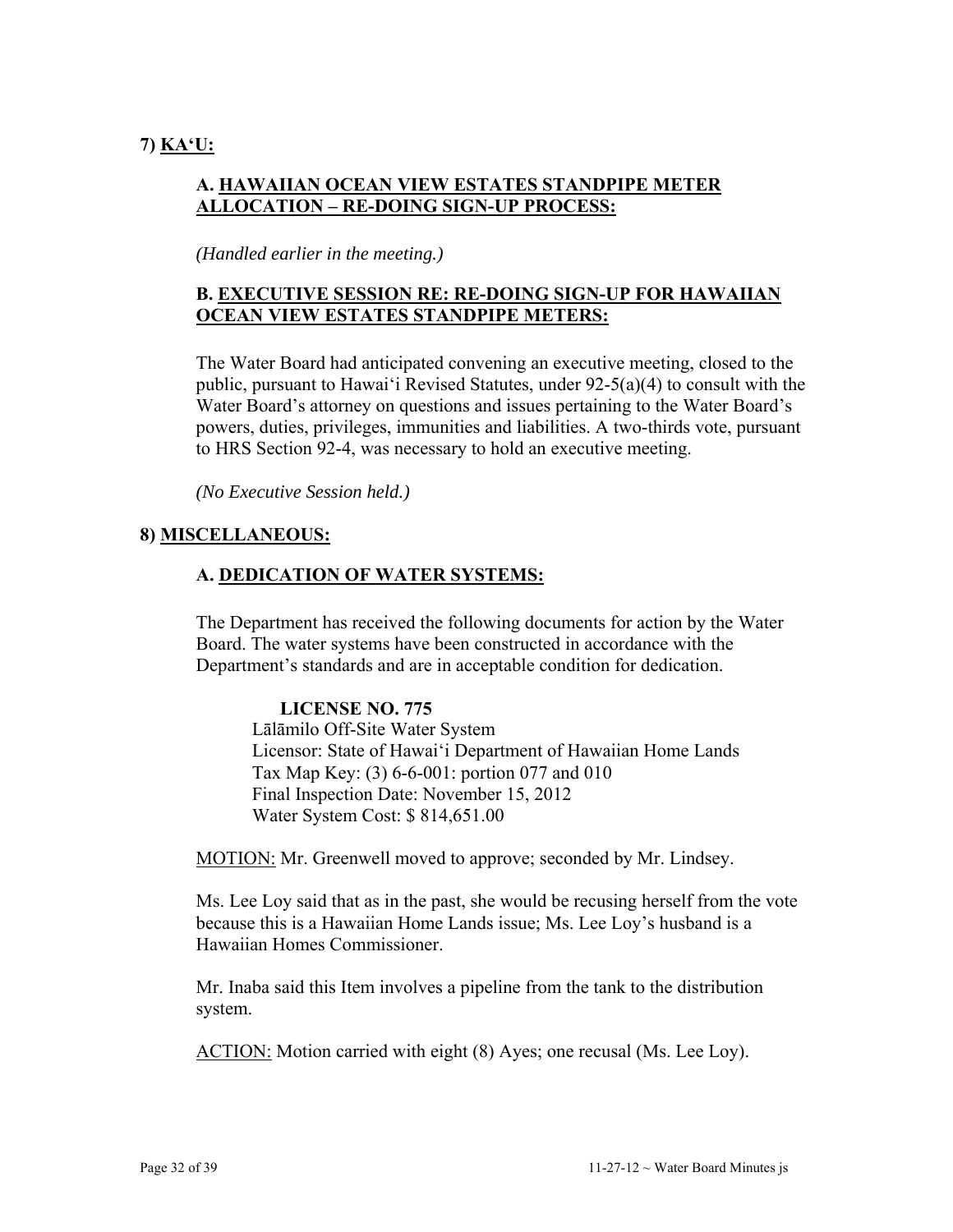# **A. HAWAIIAN OCEAN VIEW ESTATES STANDPIPE METER ALLOCATION – RE-DOING SIGN-UP PROCESS:**

*(Handled earlier in the meeting.)*

# **B. EXECUTIVE SESSION RE: RE-DOING SIGN-UP FOR HAWAIIAN OCEAN VIEW ESTATES STANDPIPE METERS:**

The Water Board had anticipated convening an executive meeting, closed to the public, pursuant to Hawai'i Revised Statutes, under 92-5(a)(4) to consult with the Water Board's attorney on questions and issues pertaining to the Water Board's powers, duties, privileges, immunities and liabilities. A two-thirds vote, pursuant to HRS Section 92-4, was necessary to hold an executive meeting.

*(No Executive Session held.)* 

# **8) MISCELLANEOUS:**

# **A. DEDICATION OF WATER SYSTEMS:**

The Department has received the following documents for action by the Water Board. The water systems have been constructed in accordance with the Department's standards and are in acceptable condition for dedication.

## **LICENSE NO. 775**

Lālāmilo Off-Site Water System Licensor: State of Hawai'i Department of Hawaiian Home Lands Tax Map Key: (3) 6-6-001: portion 077 and 010 Final Inspection Date: November 15, 2012 Water System Cost: \$ 814,651.00

MOTION: Mr. Greenwell moved to approve; seconded by Mr. Lindsey.

Ms. Lee Loy said that as in the past, she would be recusing herself from the vote because this is a Hawaiian Home Lands issue; Ms. Lee Loy's husband is a Hawaiian Homes Commissioner.

Mr. Inaba said this Item involves a pipeline from the tank to the distribution system.

ACTION: Motion carried with eight (8) Ayes; one recusal (Ms. Lee Loy).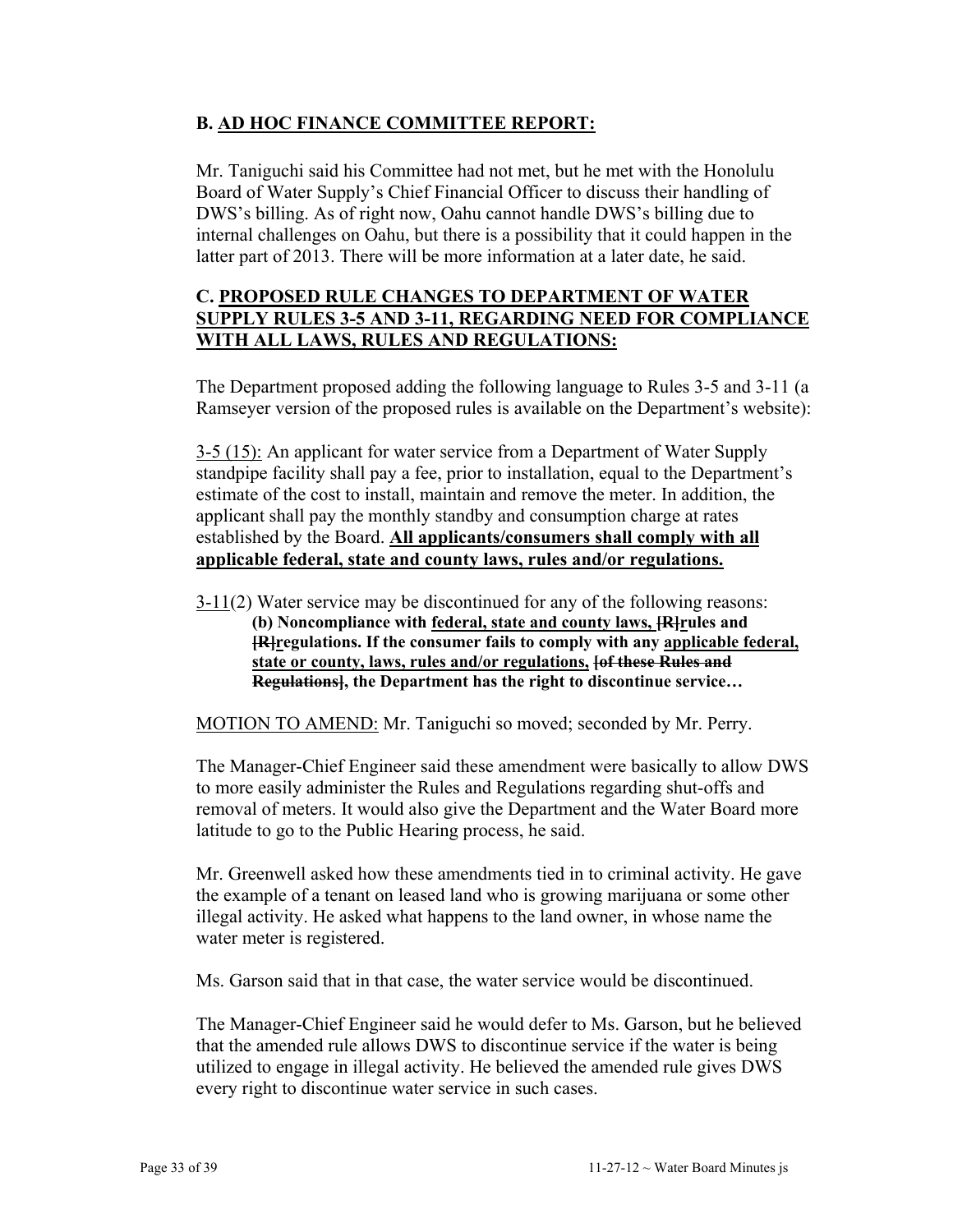## **B. AD HOC FINANCE COMMITTEE REPORT:**

Mr. Taniguchi said his Committee had not met, but he met with the Honolulu Board of Water Supply's Chief Financial Officer to discuss their handling of DWS's billing. As of right now, Oahu cannot handle DWS's billing due to internal challenges on Oahu, but there is a possibility that it could happen in the latter part of 2013. There will be more information at a later date, he said.

## **C. PROPOSED RULE CHANGES TO DEPARTMENT OF WATER SUPPLY RULES 3-5 AND 3-11, REGARDING NEED FOR COMPLIANCE WITH ALL LAWS, RULES AND REGULATIONS:**

The Department proposed adding the following language to Rules 3-5 and 3-11 (a Ramseyer version of the proposed rules is available on the Department's website):

3-5 (15): An applicant for water service from a Department of Water Supply standpipe facility shall pay a fee, prior to installation, equal to the Department's estimate of the cost to install, maintain and remove the meter. In addition, the applicant shall pay the monthly standby and consumption charge at rates established by the Board. **All applicants/consumers shall comply with all applicable federal, state and county laws, rules and/or regulations.**

3-11(2) Water service may be discontinued for any of the following reasons: **(b) Noncompliance with federal, state and county laws, [R]rules and [R]regulations. If the consumer fails to comply with any applicable federal, state or county, laws, rules and/or regulations, [of these Rules and Regulations], the Department has the right to discontinue service…** 

MOTION TO AMEND: Mr. Taniguchi so moved; seconded by Mr. Perry.

The Manager-Chief Engineer said these amendment were basically to allow DWS to more easily administer the Rules and Regulations regarding shut-offs and removal of meters. It would also give the Department and the Water Board more latitude to go to the Public Hearing process, he said.

Mr. Greenwell asked how these amendments tied in to criminal activity. He gave the example of a tenant on leased land who is growing marijuana or some other illegal activity. He asked what happens to the land owner, in whose name the water meter is registered.

Ms. Garson said that in that case, the water service would be discontinued.

The Manager-Chief Engineer said he would defer to Ms. Garson, but he believed that the amended rule allows DWS to discontinue service if the water is being utilized to engage in illegal activity. He believed the amended rule gives DWS every right to discontinue water service in such cases.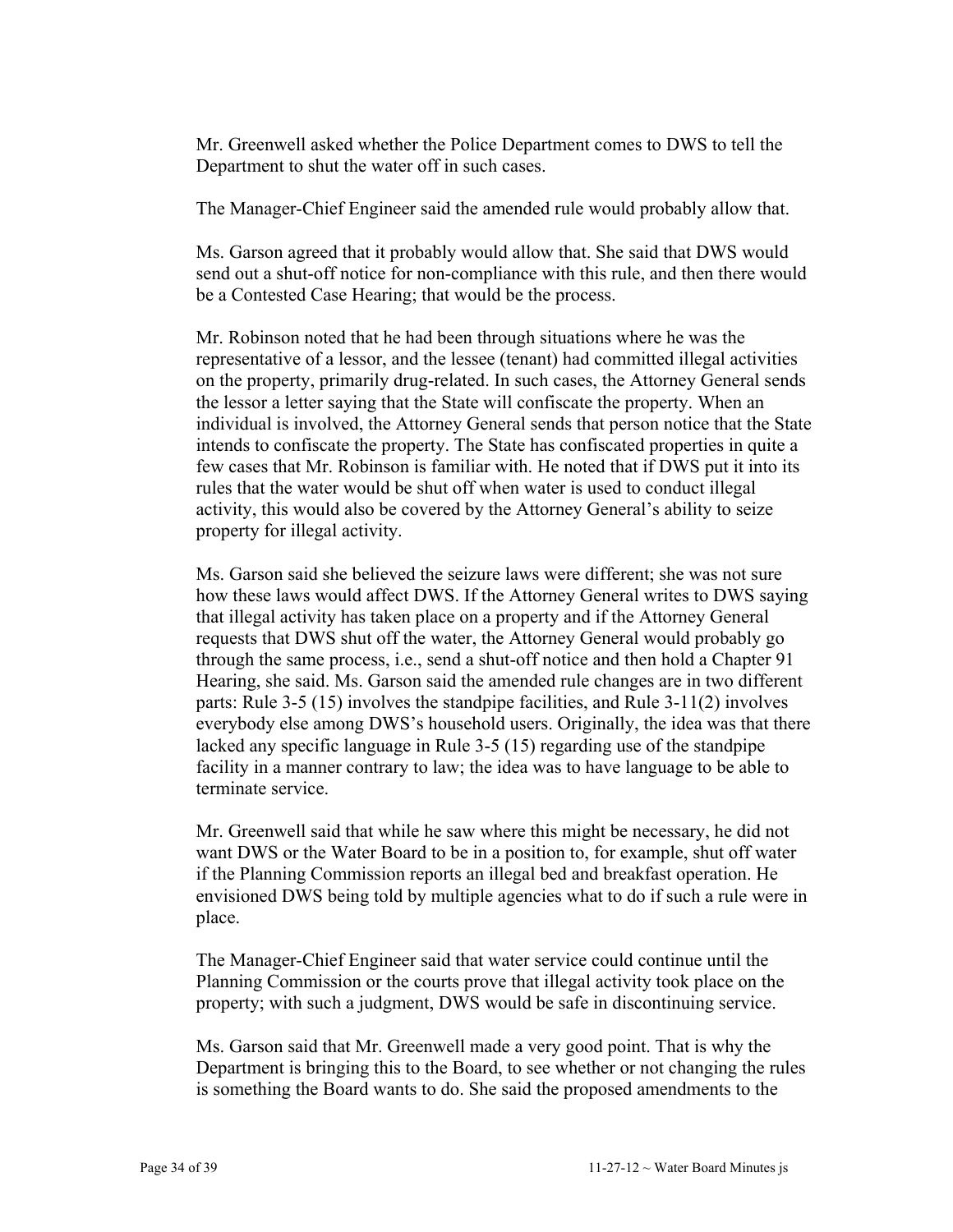Mr. Greenwell asked whether the Police Department comes to DWS to tell the Department to shut the water off in such cases.

The Manager-Chief Engineer said the amended rule would probably allow that.

Ms. Garson agreed that it probably would allow that. She said that DWS would send out a shut-off notice for non-compliance with this rule, and then there would be a Contested Case Hearing; that would be the process.

Mr. Robinson noted that he had been through situations where he was the representative of a lessor, and the lessee (tenant) had committed illegal activities on the property, primarily drug-related. In such cases, the Attorney General sends the lessor a letter saying that the State will confiscate the property. When an individual is involved, the Attorney General sends that person notice that the State intends to confiscate the property. The State has confiscated properties in quite a few cases that Mr. Robinson is familiar with. He noted that if DWS put it into its rules that the water would be shut off when water is used to conduct illegal activity, this would also be covered by the Attorney General's ability to seize property for illegal activity.

Ms. Garson said she believed the seizure laws were different; she was not sure how these laws would affect DWS. If the Attorney General writes to DWS saying that illegal activity has taken place on a property and if the Attorney General requests that DWS shut off the water, the Attorney General would probably go through the same process, i.e., send a shut-off notice and then hold a Chapter 91 Hearing, she said. Ms. Garson said the amended rule changes are in two different parts: Rule 3-5 (15) involves the standpipe facilities, and Rule 3-11(2) involves everybody else among DWS's household users. Originally, the idea was that there lacked any specific language in Rule 3-5 (15) regarding use of the standpipe facility in a manner contrary to law; the idea was to have language to be able to terminate service.

Mr. Greenwell said that while he saw where this might be necessary, he did not want DWS or the Water Board to be in a position to, for example, shut off water if the Planning Commission reports an illegal bed and breakfast operation. He envisioned DWS being told by multiple agencies what to do if such a rule were in place.

The Manager-Chief Engineer said that water service could continue until the Planning Commission or the courts prove that illegal activity took place on the property; with such a judgment, DWS would be safe in discontinuing service.

Ms. Garson said that Mr. Greenwell made a very good point. That is why the Department is bringing this to the Board, to see whether or not changing the rules is something the Board wants to do. She said the proposed amendments to the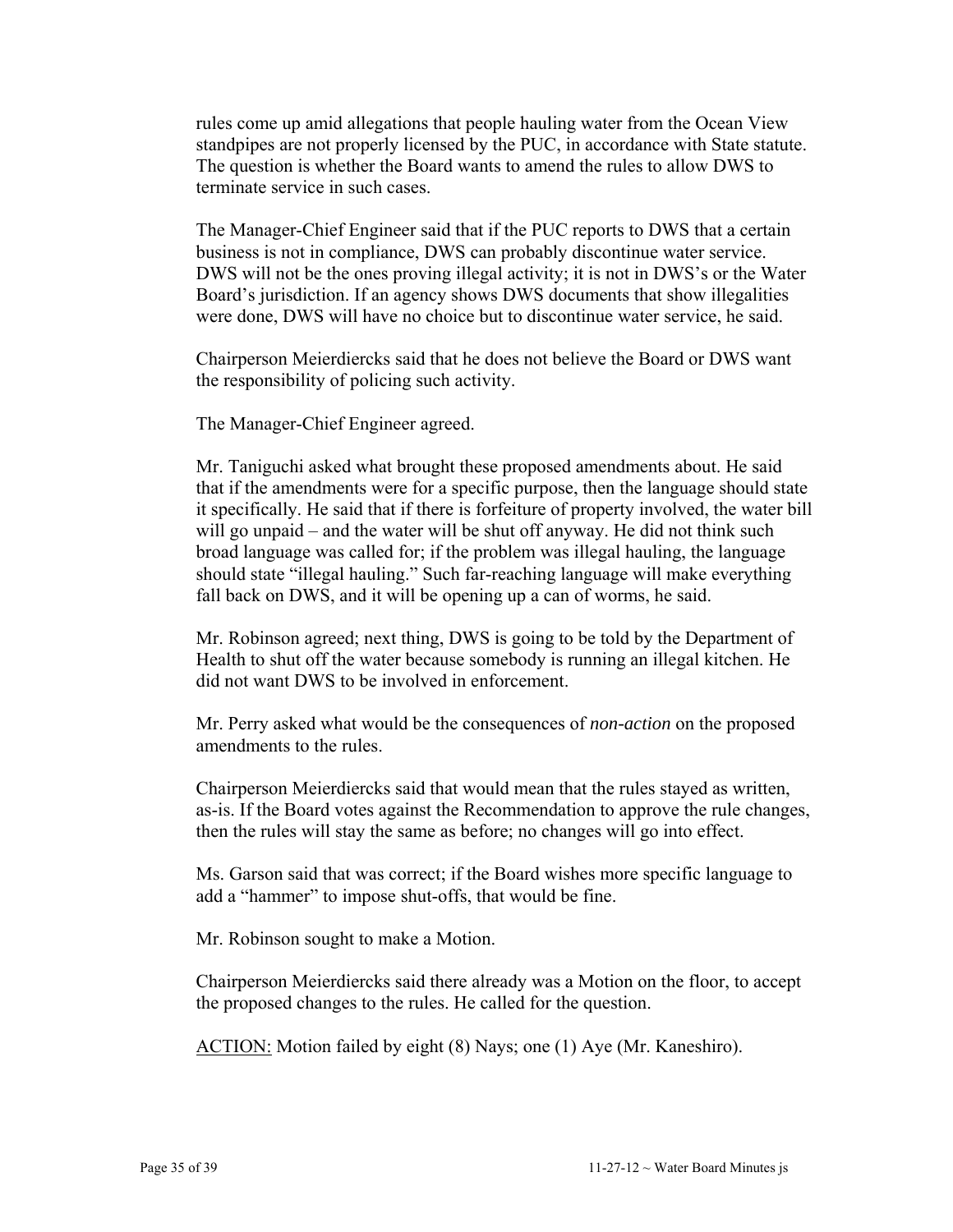rules come up amid allegations that people hauling water from the Ocean View standpipes are not properly licensed by the PUC, in accordance with State statute. The question is whether the Board wants to amend the rules to allow DWS to terminate service in such cases.

The Manager-Chief Engineer said that if the PUC reports to DWS that a certain business is not in compliance, DWS can probably discontinue water service. DWS will not be the ones proving illegal activity; it is not in DWS's or the Water Board's jurisdiction. If an agency shows DWS documents that show illegalities were done, DWS will have no choice but to discontinue water service, he said.

Chairperson Meierdiercks said that he does not believe the Board or DWS want the responsibility of policing such activity.

The Manager-Chief Engineer agreed.

Mr. Taniguchi asked what brought these proposed amendments about. He said that if the amendments were for a specific purpose, then the language should state it specifically. He said that if there is forfeiture of property involved, the water bill will go unpaid – and the water will be shut off anyway. He did not think such broad language was called for; if the problem was illegal hauling, the language should state "illegal hauling." Such far-reaching language will make everything fall back on DWS, and it will be opening up a can of worms, he said.

Mr. Robinson agreed; next thing, DWS is going to be told by the Department of Health to shut off the water because somebody is running an illegal kitchen. He did not want DWS to be involved in enforcement.

Mr. Perry asked what would be the consequences of *non-action* on the proposed amendments to the rules.

Chairperson Meierdiercks said that would mean that the rules stayed as written, as-is. If the Board votes against the Recommendation to approve the rule changes, then the rules will stay the same as before; no changes will go into effect.

Ms. Garson said that was correct; if the Board wishes more specific language to add a "hammer" to impose shut-offs, that would be fine.

Mr. Robinson sought to make a Motion.

Chairperson Meierdiercks said there already was a Motion on the floor, to accept the proposed changes to the rules. He called for the question.

ACTION: Motion failed by eight (8) Nays; one (1) Aye (Mr. Kaneshiro).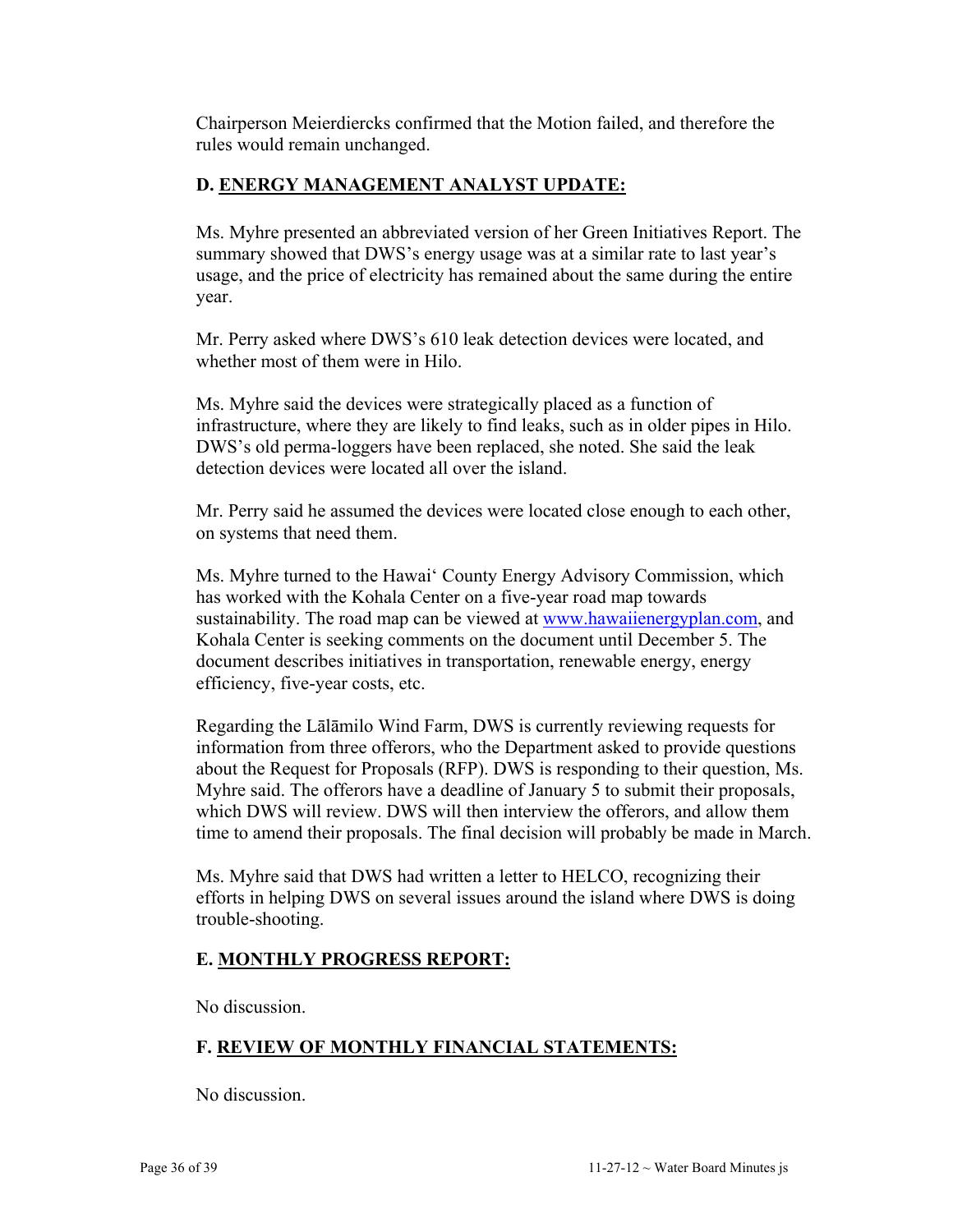Chairperson Meierdiercks confirmed that the Motion failed, and therefore the rules would remain unchanged.

# **D. ENERGY MANAGEMENT ANALYST UPDATE:**

Ms. Myhre presented an abbreviated version of her Green Initiatives Report. The summary showed that DWS's energy usage was at a similar rate to last year's usage, and the price of electricity has remained about the same during the entire year.

Mr. Perry asked where DWS's 610 leak detection devices were located, and whether most of them were in Hilo.

Ms. Myhre said the devices were strategically placed as a function of infrastructure, where they are likely to find leaks, such as in older pipes in Hilo. DWS's old perma-loggers have been replaced, she noted. She said the leak detection devices were located all over the island.

Mr. Perry said he assumed the devices were located close enough to each other, on systems that need them.

Ms. Myhre turned to the Hawai' County Energy Advisory Commission, which has worked with the Kohala Center on a five-year road map towards sustainability. The road map can be viewed at [www.hawaiienergyplan.com,](http://www.hawaiienergyplan.com/) and Kohala Center is seeking comments on the document until December 5. The document describes initiatives in transportation, renewable energy, energy efficiency, five-year costs, etc.

Regarding the Lālāmilo Wind Farm, DWS is currently reviewing requests for information from three offerors, who the Department asked to provide questions about the Request for Proposals (RFP). DWS is responding to their question, Ms. Myhre said. The offerors have a deadline of January 5 to submit their proposals, which DWS will review. DWS will then interview the offerors, and allow them time to amend their proposals. The final decision will probably be made in March.

Ms. Myhre said that DWS had written a letter to HELCO, recognizing their efforts in helping DWS on several issues around the island where DWS is doing trouble-shooting.

## **E. MONTHLY PROGRESS REPORT:**

No discussion.

# **F. REVIEW OF MONTHLY FINANCIAL STATEMENTS:**

No discussion.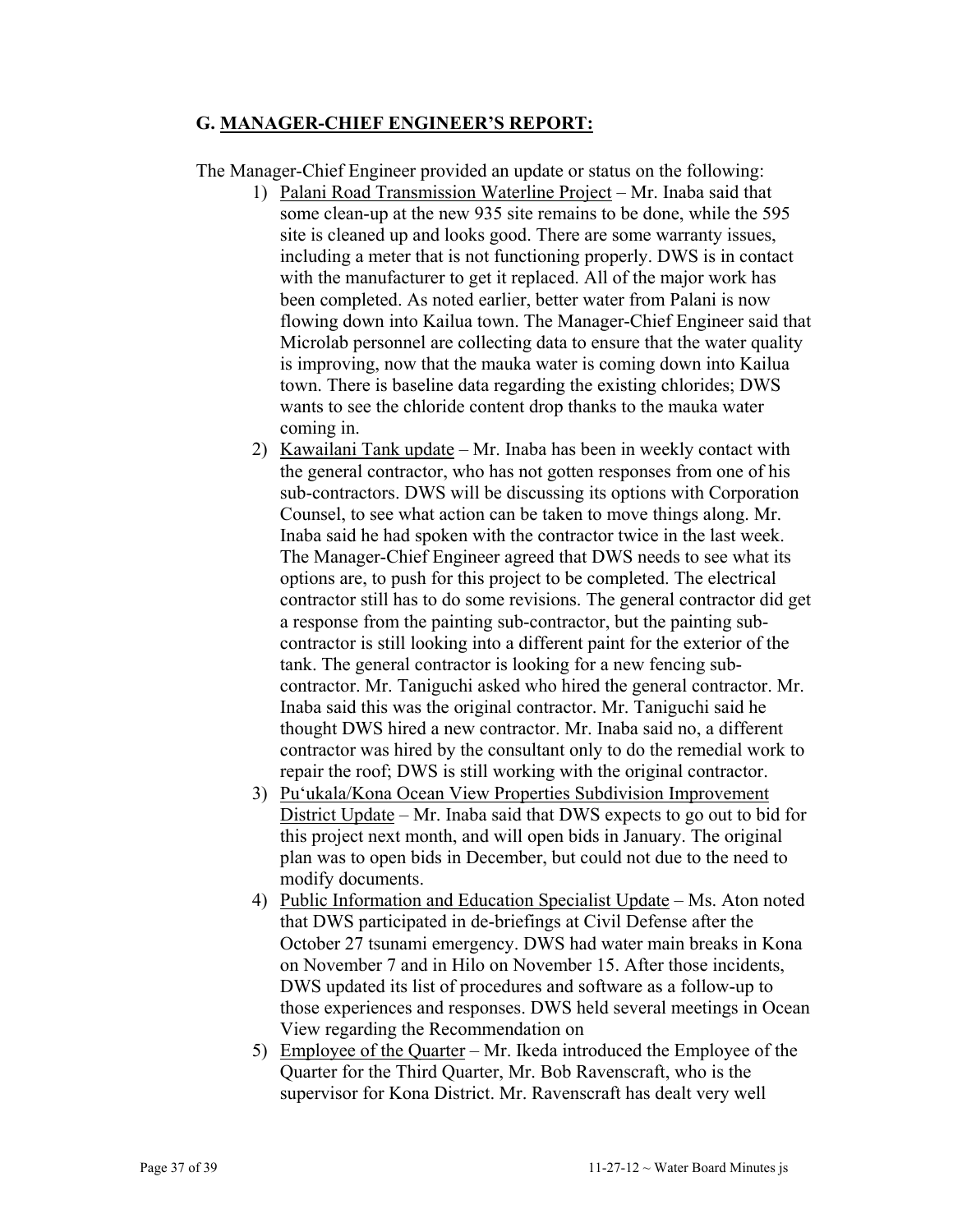#### **G. MANAGER-CHIEF ENGINEER'S REPORT:**

The Manager-Chief Engineer provided an update or status on the following:

- 1) Palani Road Transmission Waterline Project Mr. Inaba said that some clean-up at the new 935 site remains to be done, while the 595 site is cleaned up and looks good. There are some warranty issues, including a meter that is not functioning properly. DWS is in contact with the manufacturer to get it replaced. All of the major work has been completed. As noted earlier, better water from Palani is now flowing down into Kailua town. The Manager-Chief Engineer said that Microlab personnel are collecting data to ensure that the water quality is improving, now that the mauka water is coming down into Kailua town. There is baseline data regarding the existing chlorides; DWS wants to see the chloride content drop thanks to the mauka water coming in.
- 2) Kawailani Tank update Mr. Inaba has been in weekly contact with the general contractor, who has not gotten responses from one of his sub-contractors. DWS will be discussing its options with Corporation Counsel, to see what action can be taken to move things along. Mr. Inaba said he had spoken with the contractor twice in the last week. The Manager-Chief Engineer agreed that DWS needs to see what its options are, to push for this project to be completed. The electrical contractor still has to do some revisions. The general contractor did get a response from the painting sub-contractor, but the painting subcontractor is still looking into a different paint for the exterior of the tank. The general contractor is looking for a new fencing subcontractor. Mr. Taniguchi asked who hired the general contractor. Mr. Inaba said this was the original contractor. Mr. Taniguchi said he thought DWS hired a new contractor. Mr. Inaba said no, a different contractor was hired by the consultant only to do the remedial work to repair the roof; DWS is still working with the original contractor.
- 3) Pu'ukala/Kona Ocean View Properties Subdivision Improvement District Update – Mr. Inaba said that DWS expects to go out to bid for this project next month, and will open bids in January. The original plan was to open bids in December, but could not due to the need to modify documents.
- 4) Public Information and Education Specialist Update Ms. Aton noted that DWS participated in de-briefings at Civil Defense after the October 27 tsunami emergency. DWS had water main breaks in Kona on November 7 and in Hilo on November 15. After those incidents, DWS updated its list of procedures and software as a follow-up to those experiences and responses. DWS held several meetings in Ocean View regarding the Recommendation on
- 5) Employee of the Quarter Mr. Ikeda introduced the Employee of the Quarter for the Third Quarter, Mr. Bob Ravenscraft, who is the supervisor for Kona District. Mr. Ravenscraft has dealt very well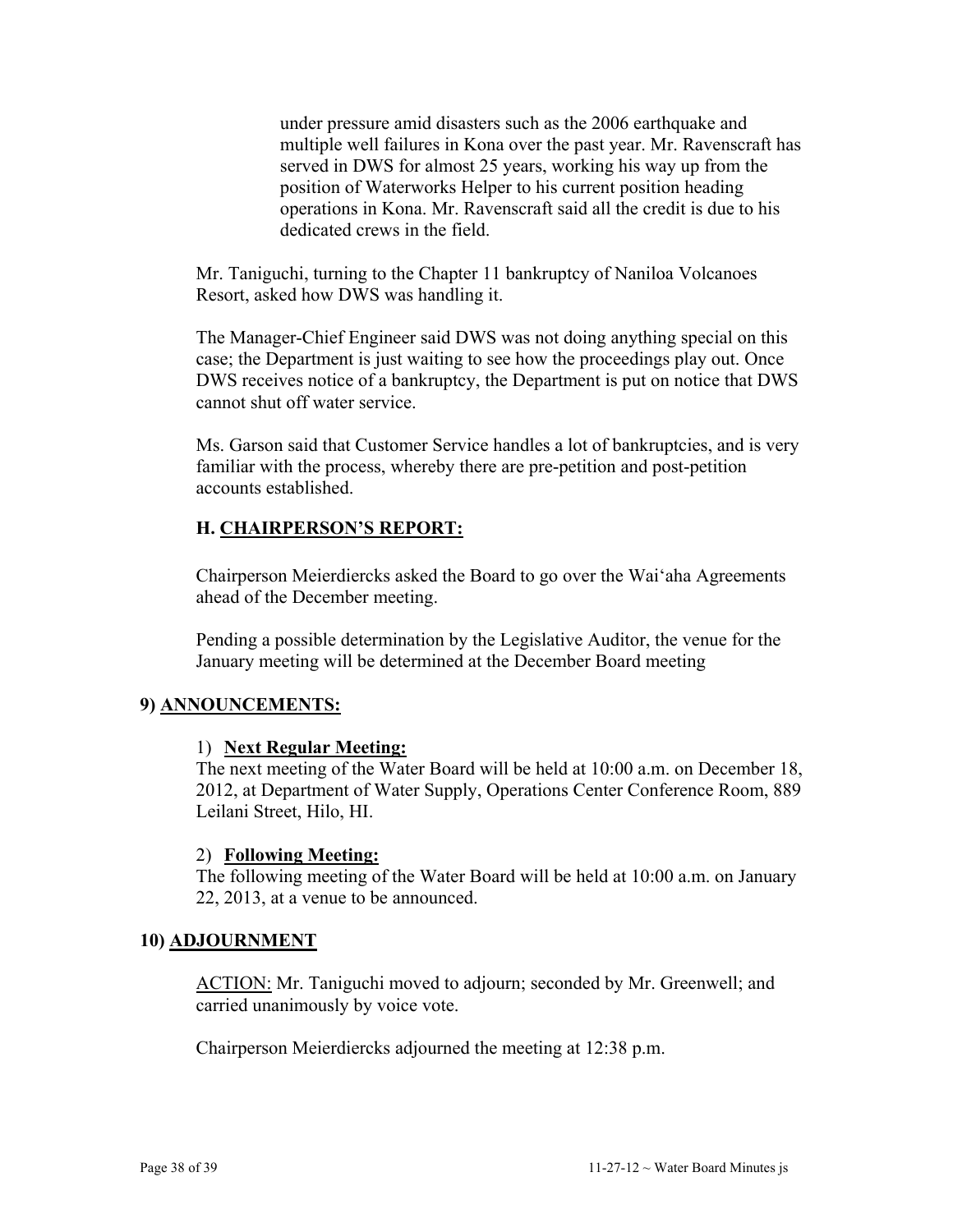under pressure amid disasters such as the 2006 earthquake and multiple well failures in Kona over the past year. Mr. Ravenscraft has served in DWS for almost 25 years, working his way up from the position of Waterworks Helper to his current position heading operations in Kona. Mr. Ravenscraft said all the credit is due to his dedicated crews in the field.

Mr. Taniguchi, turning to the Chapter 11 bankruptcy of Naniloa Volcanoes Resort, asked how DWS was handling it.

The Manager-Chief Engineer said DWS was not doing anything special on this case; the Department is just waiting to see how the proceedings play out. Once DWS receives notice of a bankruptcy, the Department is put on notice that DWS cannot shut off water service.

Ms. Garson said that Customer Service handles a lot of bankruptcies, and is very familiar with the process, whereby there are pre-petition and post-petition accounts established.

#### **H. CHAIRPERSON'S REPORT:**

Chairperson Meierdiercks asked the Board to go over the Wai'aha Agreements ahead of the December meeting.

Pending a possible determination by the Legislative Auditor, the venue for the January meeting will be determined at the December Board meeting

#### **9) ANNOUNCEMENTS:**

#### 1) **Next Regular Meeting:**

The next meeting of the Water Board will be held at 10:00 a.m. on December 18, 2012, at Department of Water Supply, Operations Center Conference Room, 889 Leilani Street, Hilo, HI.

#### 2) **Following Meeting:**

The following meeting of the Water Board will be held at 10:00 a.m. on January 22, 2013, at a venue to be announced.

#### **10) ADJOURNMENT**

ACTION: Mr. Taniguchi moved to adjourn; seconded by Mr. Greenwell; and carried unanimously by voice vote.

Chairperson Meierdiercks adjourned the meeting at 12:38 p.m.